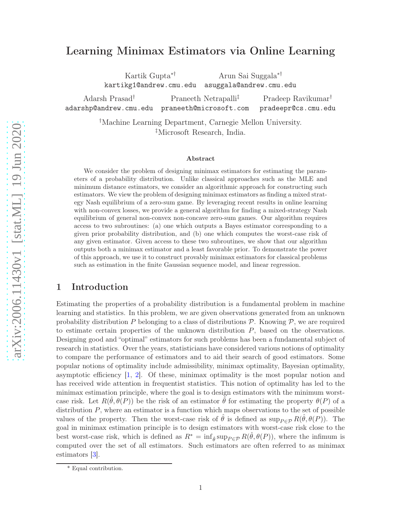# Learning Minimax Estimators via Online Learning

Kartik Gupta∗†

Arun Sai Suggala∗†

kartikg1@andrew.cmu.edu asuggala@andrew.cmu.edu

Adarsh Prasad† adarshp@andrew.cmu.edu praneeth@microsoft.com Praneeth Netrapalli‡ Pradeep Ravikumar† pradeepr@cs.cmu.edu

> †Machine Learning Department, Carnegie Mellon University. ‡Microsoft Research, India.

#### Abstract

We consider the problem of designing minimax estimators for estimating the parameters of a probability distribution. Unlike classical approaches such as the MLE and minimum distance estimators, we consider an algorithmic approach for constructing such estimators. We view the problem of designing minimax estimators as finding a mixed strategy Nash equilibrium of a zero-sum game. By leveraging recent results in online learning with non-convex losses, we provide a general algorithm for finding a mixed-strategy Nash equilibrium of general non-convex non-concave zero-sum games. Our algorithm requires access to two subroutines: (a) one which outputs a Bayes estimator corresponding to a given prior probability distribution, and (b) one which computes the worst-case risk of any given estimator. Given access to these two subroutines, we show that our algorithm outputs both a minimax estimator and a least favorable prior. To demonstrate the power of this approach, we use it to construct provably minimax estimators for classical problems such as estimation in the finite Gaussian sequence model, and linear regression[.](#page-0-0)

## 1 Introduction

Estimating the properties of a probability distribution is a fundamental problem in machine learning and statistics. In this problem, we are given observations generated from an unknown probability distribution P belonging to a class of distributions  $\mathcal{P}$ . Knowing  $\mathcal{P}$ , we are required to estimate certain properties of the unknown distribution P, based on the observations. Designing good and "optimal" estimators for such problems has been a fundamental subject of research in statistics. Over the years, statisticians have considered various notions of optimality to compare the performance of estimators and to aid their search of good estimators. Some popular notions of optimality include admissibility, minimax optimality, Bayesian optimality, asymptotic efficiency  $[1, 2]$  $[1, 2]$ . Of these, minimax optimality is the most popular notion and has received wide attention in frequentist statistics. This notion of optimality has led to the minimax estimation principle, where the goal is to design estimators with the minimum worstcase risk. Let  $R(\hat{\theta}, \theta(P))$  be the risk of an estimator  $\hat{\theta}$  for estimating the property  $\theta(P)$  of a distribution  $P$ , where an estimator is a function which maps observations to the set of possible values of the property. Then the worst-case risk of  $\hat{\theta}$  is defined as  $\sup_{P \in \mathcal{P}} R(\hat{\theta}, \theta(P))$ . The goal in minimax estimation principle is to design estimators with worst-case risk close to the best worst-case risk, which is defined as  $R^* = \inf_{\hat{\theta}} \sup_{P \in \mathcal{P}} R(\hat{\theta}, \theta(P))$ , where the infimum is computed over the set of all estimators. Such estimators are often referred to as minimax estimators [\[3](#page-28-2)].

<span id="page-0-0"></span><sup>\*</sup> Equal contribution.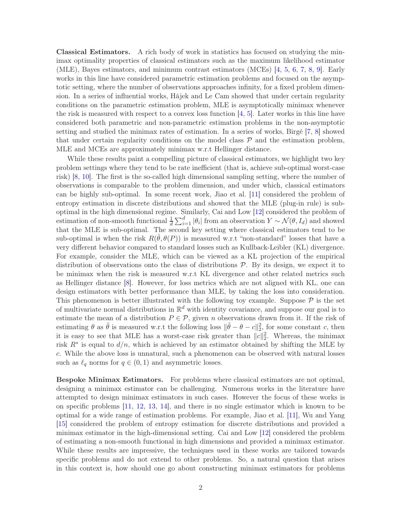Classical Estimators. A rich body of work in statistics has focused on studying the minimax optimality properties of classical estimators such as the maximum likelihood estimator (MLE), Bayes estimators, and minimum contrast estimators (MCEs) [\[4,](#page-28-3) [5](#page-28-4), [6](#page-28-5), [7,](#page-28-6) [8](#page-28-7), [9](#page-28-8)]. Early works in this line have considered parametric estimation problems and focused on the asymptotic setting, where the number of observations approaches infinity, for a fixed problem dimension. In a series of influential works, Hájek and Le Cam showed that under certain regularity conditions on the parametric estimation problem, MLE is asymptotically minimax whenever the risk is measured with respect to a convex loss function [\[4](#page-28-3), [5\]](#page-28-4). Later works in this line have considered both parametric and non-parametric estimation problems in the non-asymptotic setting and studied the minimax rates of estimation. In a series of works, Birgé [\[7,](#page-28-6) [8\]](#page-28-7) showed that under certain regularity conditions on the model class  $P$  and the estimation problem, MLE and MCEs are approximately minimax w.r.t Hellinger distance.

While these results paint a compelling picture of classical estimators, we highlight two key problem settings where they tend to be rate inefficient (that is, achieve sub-optimal worst-case risk) [\[8](#page-28-7), [10](#page-28-9)]. The first is the so-called high dimensional sampling setting, where the number of observations is comparable to the problem dimension, and under which, classical estimators can be highly sub-optimal. In some recent work, Jiao et al. [\[11\]](#page-28-10) considered the problem of entropy estimation in discrete distributions and showed that the MLE (plug-in rule) is suboptimal in the high dimensional regime. Similarly, Cai and Low [\[12](#page-28-11)] considered the problem of estimation of non-smooth functional  $\frac{1}{d} \sum_{i=1}^d |\theta_i|$  from an observation  $Y \sim \mathcal{N}(\theta, I_d)$  and showed that the MLE is sub-optimal. The second key setting where classical estimators tend to be sub-optimal is when the risk  $R(\hat{\theta}, \theta(P))$  is measured w.r.t "non-standard" losses that have a very different behavior compared to standard losses such as Kullback-Leibler (KL) divergence. For example, consider the MLE, which can be viewed as a KL projection of the empirical distribution of observations onto the class of distributions  $P$ . By its design, we expect it to be minimax when the risk is measured w.r.t KL divergence and other related metrics such as Hellinger distance [\[8](#page-28-7)]. However, for loss metrics which are not aligned with KL, one can design estimators with better performance than MLE, by taking the loss into consideration. This phenomenon is better illustrated with the following toy example. Suppose  $\mathcal P$  is the set of multivariate normal distributions in  $\mathbb{R}^d$  with identity covariance, and suppose our goal is to estimate the mean of a distribution  $P \in \mathcal{P}$ , given n observations drawn from it. If the risk of estimating  $\theta$  as  $\tilde{\theta}$  is measured w.r.t the following loss  $\|\tilde{\theta} - \theta - c\|_2^2$ , for some constant c, then it is easy to see that MLE has a worst-case risk greater than  $||c||_2^2$ . Whereas, the minimax risk  $R^*$  is equal to  $d/n$ , which is achieved by an estimator obtained by shifting the MLE by c. While the above loss is unnatural, such a phenomenon can be observed with natural losses such as  $\ell_q$  norms for  $q \in (0,1)$  and asymmetric losses.

Bespoke Minimax Estimators. For problems where classical estimators are not optimal, designing a minimax estimator can be challenging. Numerous works in the literature have attempted to design minimax estimators in such cases. However the focus of these works is on specific problems [\[11](#page-28-10), [12,](#page-28-11) [13,](#page-28-12) [14](#page-28-13)], and there is no single estimator which is known to be optimal for a wide range of estimation problems. For example, Jiao et al. [\[11](#page-28-10)], Wu and Yang [\[15](#page-28-14)] considered the problem of entropy estimation for discrete distributions and provided a minimax estimator in the high-dimensional setting. Cai and Low [\[12](#page-28-11)] considered the problem of estimating a non-smooth functional in high dimensions and provided a minimax estimator. While these results are impressive, the techniques used in these works are tailored towards specific problems and do not extend to other problems. So, a natural question that arises in this context is, how should one go about constructing minimax estimators for problems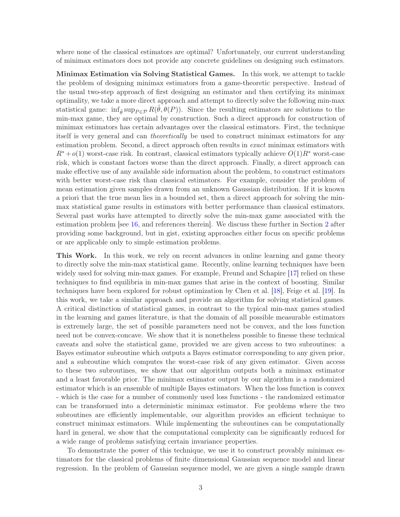where none of the classical estimators are optimal? Unfortunately, our current understanding of minimax estimators does not provide any concrete guidelines on designing such estimators.

Minimax Estimation via Solving Statistical Games. In this work, we attempt to tackle the problem of designing minimax estimators from a game-theoretic perspective. Instead of the usual two-step approach of first designing an estimator and then certifying its minimax optimality, we take a more direct approach and attempt to directly solve the following min-max statistical game:  $\inf_{\hat{\theta}} \sup_{P \in \mathcal{P}} R(\hat{\theta}, \theta(P))$ . Since the resulting estimators are solutions to the min-max game, they are optimal by construction. Such a direct approach for construction of minimax estimators has certain advantages over the classical estimators. First, the technique itself is very general and can *theoretically* be used to construct minimax estimators for any estimation problem. Second, a direct approach often results in *exact* minimax estimators with  $R^*$  +  $o(1)$  worst-case risk. In contrast, classical estimators typically achieve  $O(1)R^*$  worst-case risk, which is constant factors worse than the direct approach. Finally, a direct approach can make effective use of any available side information about the problem, to construct estimators with better worst-case risk than classical estimators. For example, consider the problem of mean estimation given samples drawn from an unknown Gaussian distribution. If it is known a priori that the true mean lies in a bounded set, then a direct approach for solving the minmax statistical game results in estimators with better performance than classical estimators. Several past works have attempted to directly solve the min-max game associated with the estimation problem [see [16](#page-28-15), and references therein]. We discuss these further in Section [2](#page-3-0) after providing some background, but in gist, existing approaches either focus on specific problems or are applicable only to simple estimation problems.

This Work. In this work, we rely on recent advances in online learning and game theory to directly solve the min-max statistical game. Recently, online learning techniques have been widely used for solving min-max games. For example, Freund and Schapire [\[17\]](#page-29-0) relied on these techniques to find equilibria in min-max games that arise in the context of boosting. Similar techniques have been explored for robust optimization by Chen et al. [\[18](#page-29-1)], Feige et al. [\[19](#page-29-2)]. In this work, we take a similar approach and provide an algorithm for solving statistical games. A critical distinction of statistical games, in contrast to the typical min-max games studied in the learning and games literature, is that the domain of all possible measurable estimators is extremely large, the set of possible parameters need not be convex, and the loss function need not be convex-concave. We show that it is nonetheless possible to finesse these technical caveats and solve the statistical game, provided we are given access to two subroutines: a Bayes estimator subroutine which outputs a Bayes estimator corresponding to any given prior, and a subroutine which computes the worst-case risk of any given estimator. Given access to these two subroutines, we show that our algorithm outputs both a minimax estimator and a least favorable prior. The minimax estimator output by our algorithm is a randomized estimator which is an ensemble of multiple Bayes estimators. When the loss function is convex - which is the case for a number of commonly used loss functions - the randomized estimator can be transformed into a deterministic minimax estimator. For problems where the two subroutines are efficiently implementable, our algorithm provides an efficient technique to construct minimax estimators. While implementing the subroutines can be computationally hard in general, we show that the computational complexity can be significantly reduced for a wide range of problems satisfying certain invariance properties.

To demonstrate the power of this technique, we use it to construct provably minimax estimators for the classical problems of finite dimensional Gaussian sequence model and linear regression. In the problem of Gaussian sequence model, we are given a single sample drawn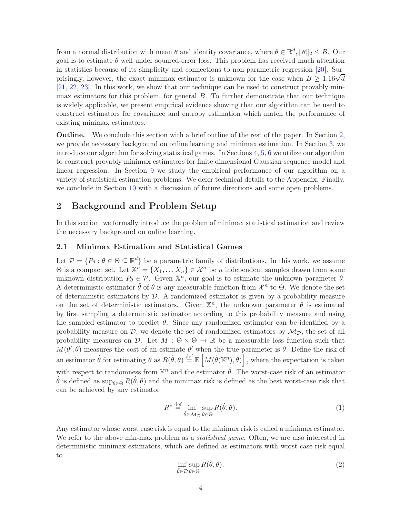from a normal distribution with mean  $\theta$  and identity covariance, where  $\theta \in \mathbb{R}^d$ ,  $\|\theta\|_2 \leq B$ . Our goal is to estimate  $\theta$  well under squared-error loss. This problem has received much attention in statistics because of its simplicity and connections to non-parametric regression [\[20\]](#page-29-3). Surprisingly, however, the exact minimax estimator is unknown for the case when  $B \geq 1.16\sqrt{d}$ [\[21](#page-29-4), [22](#page-29-5), [23\]](#page-29-6). In this work, we show that our technique can be used to construct provably minimax estimators for this problem, for general B. To further demonstrate that our technique is widely applicable, we present empirical evidence showing that our algorithm can be used to construct estimators for covariance and entropy estimation which match the performance of existing minimax estimators.

Outline. We conclude this section with a brief outline of the rest of the paper. In Section [2,](#page-3-0) we provide necessary background on online learning and minimax estimation. In Section [3,](#page-8-0) we introduce our algorithm for solving statistical games. In Sections [4,](#page-12-0) [5,](#page-16-0) [6](#page-18-0) we utilize our algorithm to construct provably minimax estimators for finite dimensional Gaussian sequence model and linear regression. In Section [9](#page-22-0) we study the empirical performance of our algorithm on a variety of statistical estimation problems. We defer technical details to the Appendix. Finally, we conclude in Section [10](#page-27-0) with a discussion of future directions and some open problems.

## <span id="page-3-0"></span>2 Background and Problem Setup

In this section, we formally introduce the problem of minimax statistical estimation and review the necessary background on online learning.

### 2.1 Minimax Estimation and Statistical Games

Let  $\mathcal{P} = \{P_{\theta} : \theta \in \Theta \subseteq \mathbb{R}^d\}$  be a parametric family of distributions. In this work, we assume  $\Theta$  is a compact set. Let  $\mathbb{X}^n = \{X_1, \ldots X_n\} \in \mathcal{X}^n$  be *n* independent samples drawn from some unknown distribution  $P_{\theta} \in \mathcal{P}$ . Given  $\mathbb{X}^n$ , our goal is to estimate the unknown parameter  $\theta$ . A deterministic estimator  $\hat{\theta}$  of  $\theta$  is any measurable function from  $\mathcal{X}^n$  to  $\Theta$ . We denote the set of deterministic estimators by  $D$ . A randomized estimator is given by a probability measure on the set of deterministic estimators. Given  $\mathbb{X}^n$ , the unknown parameter  $\theta$  is estimated by first sampling a deterministic estimator according to this probability measure and using the sampled estimator to predict  $\theta$ . Since any randomized estimator can be identified by a probability measure on  $\mathcal{D}$ , we denote the set of randomized estimators by  $\mathcal{M}_{\mathcal{D}}$ , the set of all probability measures on D. Let  $M : \Theta \times \Theta \to \mathbb{R}$  be a measurable loss function such that  $M(\theta', \theta)$  measures the cost of an estimate  $\theta'$  when the true parameter is  $\theta$ . Define the risk of an estimator  $\hat{\theta}$  for estimating  $\theta$  as  $R(\hat{\theta}, \theta) \stackrel{\text{def}}{=} \mathbb{E}\left[M(\hat{\theta}(\mathbb{X}^n), \theta)\right]$ , where the expectation is taken with respect to randomness from  $\mathbb{X}^n$  and the estimator  $\hat{\theta}$ . The worst-case risk of an estimator  $\hat{\theta}$  is defined as  $\sup_{\theta \in \Theta} R(\hat{\theta}, \theta)$  and the minimax risk is defined as the best worst-case risk that can be achieved by any estimator

<span id="page-3-1"></span>
$$
R^* \stackrel{\text{def}}{=} \inf_{\hat{\theta} \in \mathcal{M}_{\mathcal{D}}} \sup_{\theta \in \Theta} R(\hat{\theta}, \theta). \tag{1}
$$

<span id="page-3-2"></span>Any estimator whose worst case risk is equal to the minimax risk is called a minimax estimator. We refer to the above min-max problem as a *statistical game*. Often, we are also interested in deterministic minimax estimators, which are defined as estimators with worst case risk equal to

$$
\inf_{\hat{\theta}\in\mathcal{D}}\sup_{\theta\in\Theta}R(\hat{\theta},\theta). \tag{2}
$$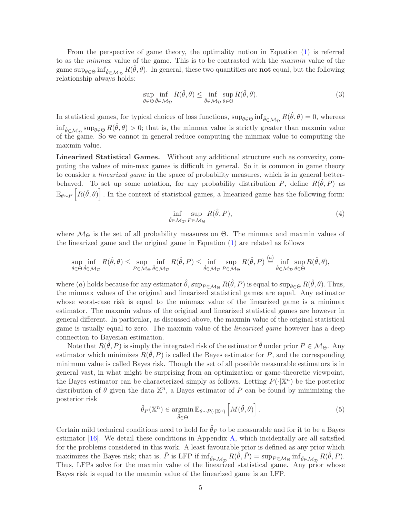From the perspective of game theory, the optimality notion in Equation [\(1\)](#page-3-1) is referred to as the *minmax* value of the game. This is to be contrasted with the *maxmin* value of the game  $\sup_{\theta \in \Theta} \inf_{\hat{\theta} \in \mathcal{M}_{\mathcal{D}}} R(\hat{\theta}, \theta)$ . In general, these two quantities are **not** equal, but the following relationship always holds:

<span id="page-4-0"></span>
$$
\sup_{\theta \in \Theta} \inf_{\hat{\theta} \in \mathcal{M}_{\mathcal{D}}} R(\hat{\theta}, \theta) \le \inf_{\hat{\theta} \in \mathcal{M}_{\mathcal{D}}} \sup_{\theta \in \Theta} R(\hat{\theta}, \theta). \tag{3}
$$

In statistical games, for typical choices of loss functions,  $\sup_{\theta \in \Theta} \inf_{\hat{\theta} \in \mathcal{M}_{\mathcal{D}}} R(\hat{\theta}, \theta) = 0$ , whereas  $\inf_{\hat{\theta}\in\mathcal{M}_{\mathcal{D}}} \sup_{\theta\in\Theta} R(\hat{\theta},\theta) > 0$ ; that is, the minmax value is strictly greater than maxmin value of the game. So we cannot in general reduce computing the minmax value to computing the maxmin value.

Linearized Statistical Games. Without any additional structure such as convexity, computing the values of min-max games is difficult in general. So it is common in game theory to consider a *linearized game* in the space of probability measures, which is in general betterbehaved. To set up some notation, for any probability distribution P, define  $R(\hat{\theta}, P)$  as  $\mathbb{E}_{\theta \sim P}\left[R(\hat{\theta}, \theta)\right]$ . In the context of statistical games, a linearized game has the following form:

<span id="page-4-1"></span>
$$
\inf_{\hat{\theta}\in\mathcal{M}_{\mathcal{D}}} \sup_{P\in\mathcal{M}_{\Theta}} R(\hat{\theta}, P),\tag{4}
$$

where  $\mathcal{M}_{\Theta}$  is the set of all probability measures on  $\Theta$ . The minmax and maxmin values of the linearized game and the original game in Equation [\(1\)](#page-3-1) are related as follows

$$
\sup_{\theta \in \Theta} \inf_{\hat{\theta} \in \mathcal{M}_{\mathcal{D}}} R(\hat{\theta}, \theta) \le \sup_{P \in \mathcal{M}_{\Theta}} \inf_{\hat{\theta} \in \mathcal{M}_{\mathcal{D}}} R(\hat{\theta}, P) \le \inf_{\hat{\theta} \in \mathcal{M}_{\mathcal{D}}} \sup_{P \in \mathcal{M}_{\Theta}} R(\hat{\theta}, P) \stackrel{(a)}{=} \inf_{\hat{\theta} \in \mathcal{M}_{\mathcal{D}}} \sup_{\theta \in \Theta} R(\hat{\theta}, \theta),
$$

where (a) holds because for any estimator  $\hat{\theta}$ ,  $\sup_{P \in \mathcal{M}_{\Theta}} R(\hat{\theta}, P)$  is equal to  $\sup_{\theta \in \Theta} R(\hat{\theta}, \theta)$ . Thus, the minmax values of the original and linearized statistical games are equal. Any estimator whose worst-case risk is equal to the minmax value of the linearized game is a minimax estimator. The maxmin values of the original and linearized statistical games are however in general different. In particular, as discussed above, the maxmin value of the original statistical game is usually equal to zero. The maxmin value of the *linearized game* however has a deep connection to Bayesian estimation.

Note that  $R(\hat{\theta}, P)$  is simply the integrated risk of the estimator  $\hat{\theta}$  under prior  $P \in \mathcal{M}_{\Theta}$ . Any estimator which minimizes  $R(\hat{\theta}, P)$  is called the Bayes estimator for P, and the corresponding minimum value is called Bayes risk. Though the set of all possible measurable estimators is in general vast, in what might be surprising from an optimization or game-theoretic viewpoint, the Bayes estimator can be characterized simply as follows. Letting  $P(\cdot|\mathbb{X}^n)$  be the posterior distribution of  $\theta$  given the data  $\mathbb{X}^n$ , a Bayes estimator of P can be found by minimizing the posterior risk

$$
\hat{\theta}_P(\mathbb{X}^n) \in \underset{\tilde{\theta} \in \Theta}{\text{argmin}} \, \mathbb{E}_{\theta \sim P(\cdot | \mathbb{X}^n)} \left[ M(\tilde{\theta}, \theta) \right]. \tag{5}
$$

Certain mild technical conditions need to hold for  $\hat{\theta}_P$  to be measurable and for it to be a Bayes estimator [\[16](#page-28-15)]. We detail these conditions in Appendix [A,](#page-31-0) which incidentally are all satisfied for the problems considered in this work. A least favourable prior is defined as any prior which maximizes the Bayes risk; that is,  $\tilde{P}$  is LFP if  $\inf_{\hat{\theta} \in \mathcal{M}_{\mathcal{D}}} R(\hat{\theta}, \tilde{P}) = \sup_{P \in \mathcal{M}_{\Theta}} \inf_{\hat{\theta} \in \mathcal{M}_{\mathcal{D}}} R(\hat{\theta}, P)$ . Thus, LFPs solve for the maxmin value of the linearized statistical game. Any prior whose Bayes risk is equal to the maxmin value of the linearized game is an LFP.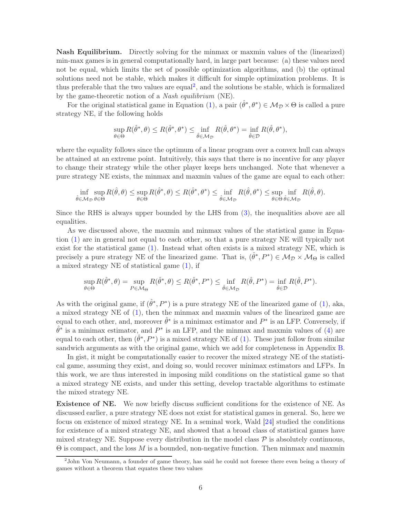Nash Equilibrium. Directly solving for the minmax or maxmin values of the (linearized) min-max games is in general computationally hard, in large part because: (a) these values need not be equal, which limits the set of possible optimization algorithms, and (b) the optimal solutions need not be stable, which makes it difficult for simple optimization problems. It is thus preferable that the two values are equal<sup>[2](#page-5-0)</sup>, and the solutions be stable, which is formalized by the game-theoretic notion of a *Nash equilibrium* (NE).

For the original statistical game in Equation [\(1\)](#page-3-1), a pair  $(\hat{\theta}^*, \theta^*) \in M_{\mathcal{D}} \times \Theta$  is called a pure strategy NE, if the following holds

$$
\sup_{\theta \in \Theta} R(\hat{\theta}^*, \theta) \le R(\hat{\theta}^*, \theta^*) \le \inf_{\hat{\theta} \in \mathcal{M}_{\mathcal{D}}} R(\hat{\theta}, \theta^*) = \inf_{\hat{\theta} \in \mathcal{D}} R(\hat{\theta}, \theta^*),
$$

where the equality follows since the optimum of a linear program over a convex hull can always be attained at an extreme point. Intuitively, this says that there is no incentive for any player to change their strategy while the other player keeps hers unchanged. Note that whenever a pure strategy NE exists, the minmax and maxmin values of the game are equal to each other:

$$
\inf_{\hat{\theta}\in\mathcal{M}_{\mathcal{D}}}\sup_{\theta\in\Theta} R(\hat{\theta},\theta) \leq \sup_{\theta\in\Theta} R(\hat{\theta}^*,\theta) \leq R(\hat{\theta}^*,\theta^*) \leq \inf_{\hat{\theta}\in\mathcal{M}_{\mathcal{D}}} R(\hat{\theta},\theta^*) \leq \sup_{\theta\in\Theta}\inf_{\hat{\theta}\in\mathcal{M}_{\mathcal{D}}} R(\hat{\theta},\theta).
$$

Since the RHS is always upper bounded by the LHS from [\(3\)](#page-4-0), the inequalities above are all equalities.

As we discussed above, the maxmin and minmax values of the statistical game in Equation [\(1\)](#page-3-1) are in general not equal to each other, so that a pure strategy NE will typically not exist for the statistical game [\(1\)](#page-3-1). Instead what often exists is a mixed strategy NE, which is precisely a pure strategy NE of the linearized game. That is,  $(\hat{\theta}^*, P^*) \in M_{\mathcal{D}} \times M_{\Theta}$  is called a mixed strategy NE of statistical game [\(1\)](#page-3-1), if

$$
\sup_{\theta \in \Theta} R(\hat{\theta}^*, \theta) = \sup_{P \in \mathcal{M}_{\Theta}} R(\hat{\theta}^*, \theta) \le R(\hat{\theta}^*, P^*) \le \inf_{\hat{\theta} \in \mathcal{M}_{\mathcal{D}}} R(\hat{\theta}, P^*) = \inf_{\hat{\theta} \in \mathcal{D}} R(\hat{\theta}, P^*).
$$

As with the original game, if  $(\hat{\theta}^*, P^*)$  is a pure strategy NE of the linearized game of [\(1\)](#page-3-1), aka, a mixed strategy NE of [\(1\)](#page-3-1), then the minmax and maxmin values of the linearized game are equal to each other, and, moreover  $\hat{\theta}^*$  is a minimax estimator and  $P^*$  is an LFP. Conversely, if  $\hat{\theta}^*$  is a minimax estimator, and  $P^*$  is an LFP, and the minmax and maxmin values of [\(4\)](#page-4-1) are equal to each other, then  $(\hat{\theta}^*, P^*)$  is a mixed strategy NE of [\(1\)](#page-3-1). These just follow from similar sandwich arguments as with the original game, which we add for completeness in Appendix [B.](#page-31-1)

In gist, it might be computationally easier to recover the mixed strategy NE of the statistical game, assuming they exist, and doing so, would recover minimax estimators and LFPs. In this work, we are thus interested in imposing mild conditions on the statistical game so that a mixed strategy NE exists, and under this setting, develop tractable algorithms to estimate the mixed strategy NE.

Existence of NE. We now briefly discuss sufficient conditions for the existence of NE. As discussed earlier, a pure strategy NE does not exist for statistical games in general. So, here we focus on existence of mixed strategy NE. In a seminal work, Wald [\[24\]](#page-29-7) studied the conditions for existence of a mixed strategy NE, and showed that a broad class of statistical games have mixed strategy NE. Suppose every distribution in the model class  $\mathcal P$  is absolutely continuous, Θ is compact, and the loss M is a bounded, non-negative function. Then minmax and maxmin

<span id="page-5-0"></span><sup>2</sup> John Von Neumann, a founder of game theory, has said he could not foresee there even being a theory of games without a theorem that equates these two values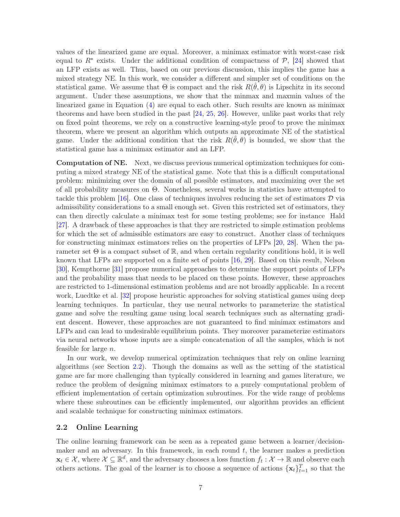values of the linearized game are equal. Moreover, a minimax estimator with worst-case risk equal to  $R^*$  exists. Under the additional condition of compactness of  $P$ , [\[24\]](#page-29-7) showed that an LFP exists as well. Thus, based on our previous discussion, this implies the game has a mixed strategy NE. In this work, we consider a different and simpler set of conditions on the statistical game. We assume that  $\Theta$  is compact and the risk  $R(\hat{\theta}, \theta)$  is Lipschitz in its second argument. Under these assumptions, we show that the minmax and maxmin values of the linearized game in Equation [\(4\)](#page-4-1) are equal to each other. Such results are known as minimax theorems and have been studied in the past [\[24](#page-29-7), [25,](#page-29-8) [26](#page-29-9)]. However, unlike past works that rely on fixed point theorems, we rely on a constructive learning-style proof to prove the minimax theorem, where we present an algorithm which outputs an approximate NE of the statistical game. Under the additional condition that the risk  $R(\hat{\theta}, \theta)$  is bounded, we show that the statistical game has a minimax estimator and an LFP.

Computation of NE. Next, we discuss previous numerical optimization techniques for computing a mixed strategy NE of the statistical game. Note that this is a difficult computational problem: minimizing over the domain of all possible estimators, and maximizing over the set of all probability measures on Θ. Nonetheless, several works in statistics have attempted to tackle this problem  $[16]$ . One class of techniques involves reducing the set of estimators D via admissibility considerations to a small enough set. Given this restricted set of estimators, they can then directly calculate a minimax test for some testing problems; see for instance Hald [\[27](#page-29-10)]. A drawback of these approaches is that they are restricted to simple estimation problems for which the set of admissible estimators are easy to construct. Another class of techniques for constructing minimax estimators relies on the properties of LFPs [\[20,](#page-29-3) [28](#page-29-11)]. When the parameter set  $\Theta$  is a compact subset of  $\mathbb{R}$ , and when certain regularity conditions hold, it is well known that LFPs are supported on a finite set of points [\[16,](#page-28-15) [29](#page-29-12)]. Based on this result, Nelson [\[30](#page-29-13)], Kempthorne [\[31\]](#page-29-14) propose numerical approaches to determine the support points of LFPs and the probability mass that needs to be placed on these points. However, these approaches are restricted to 1-dimensional estimation problems and are not broadly applicable. In a recent work, Luedtke et al. [\[32](#page-29-15)] propose heuristic approaches for solving statistical games using deep learning techniques. In particular, they use neural networks to parameterize the statistical game and solve the resulting game using local search techniques such as alternating gradient descent. However, these approaches are not guaranteed to find minimax estimators and LFPs and can lead to undesirable equilibrium points. They moreover parameterize estimators via neural networks whose inputs are a simple concatenation of all the samples, which is not feasible for large n.

In our work, we develop numerical optimization techniques that rely on online learning algorithms (see Section [2.2\)](#page-6-0). Though the domains as well as the setting of the statistical game are far more challenging than typically considered in learning and games literature, we reduce the problem of designing minimax estimators to a purely computational problem of efficient implementation of certain optimization subroutines. For the wide range of problems where these subroutines can be efficiently implemented, our algorithm provides an efficient and scalable technique for constructing minimax estimators.

### <span id="page-6-0"></span>2.2 Online Learning

The online learning framework can be seen as a repeated game between a learner/decisionmaker and an adversary. In this framework, in each round  $t$ , the learner makes a prediction  $\mathbf{x}_t \in \mathcal{X}$ , where  $\mathcal{X} \subseteq \mathbb{R}^d$ , and the adversary chooses a loss function  $f_t : \mathcal{X} \to \mathbb{R}$  and observe each others actions. The goal of the learner is to choose a sequence of actions  $\{\mathbf x_t\}_{t=1}^T$  so that the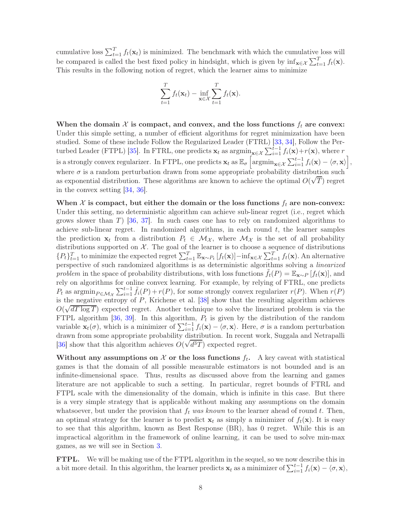cumulative loss  $\sum_{t=1}^{T} f_t(\mathbf{x}_t)$  is minimized. The benchmark with which the cumulative loss will be compared is called the best fixed policy in hindsight, which is given by  $\inf_{\mathbf{x}\in\mathcal{X}} \sum_{t=1}^T f_t(\mathbf{x})$ . This results in the following notion of regret, which the learner aims to minimize

$$
\sum_{t=1}^{T} f_t(\mathbf{x}_t) - \inf_{\mathbf{x} \in \mathcal{X}} \sum_{t=1}^{T} f_t(\mathbf{x}).
$$

When the domain  $\mathcal X$  is compact, and convex, and the loss functions  $f_t$  are convex: Under this simple setting, a number of efficient algorithms for regret minimization have been studied. Some of these include Follow the Regularized Leader (FTRL) [\[33](#page-29-16), [34\]](#page-29-17), Follow the Per-turbed Leader (FTPL) [\[35](#page-29-18)]. In FTRL, one predicts  $\mathbf{x}_t$  as  $\operatorname{argmin}_{\mathbf{x} \in \mathcal{X}} \sum_{i=1}^{t-1} f_i(\mathbf{x}) + r(\mathbf{x})$ , where r is a strongly convex regularizer. In FTPL, one predicts  $\mathbf{x}_t$  as  $\mathbb{E}_{\sigma} \left[ \operatorname{argmin}_{\mathbf{x} \in \mathcal{X}} \sum_{i=1}^{t-1} f_i(\mathbf{x}) - \langle \sigma, \mathbf{x} \rangle \right],$ where  $\sigma$  is a random perturbation drawn from some appropriate probability distribution such as exponential distribution. These algorithms are known to achieve the optimal  $O(\sqrt{T})$  regret in the convex setting [\[34](#page-29-17), [36](#page-30-0)].

When  $\mathcal X$  is compact, but either the domain or the loss functions  $f_t$  are non-convex: Under this setting, no deterministic algorithm can achieve sub-linear regret (i.e., regret which grows slower than  $T$ ) [\[36](#page-30-0), [37](#page-30-1)]. In such cases one has to rely on randomized algorithms to achieve sub-linear regret. In randomized algorithms, in each round  $t$ , the learner samples the prediction  $x_t$  from a distribution  $P_t \in \mathcal{M}_{\mathcal{X}}$ , where  $\mathcal{M}_{\mathcal{X}}$  is the set of all probability distributions supported on  $\mathcal{X}$ . The goal of the learner is to choose a sequence of distributions  ${P_t}_{t=1}^T$  to minimize the expected regret  $\sum_{t=1}^T \mathbb{E}_{\mathbf{x} \sim P_t} [f_t(\mathbf{x})] - \inf_{\mathbf{x} \in \mathcal{X}} \sum_{t=1}^T f_t(\mathbf{x})$ . An alternative perspective of such randomized algorithms is as deterministic algorithms solving a *linearized problem* in the space of probability distributions, with loss functions  $f_t(P) = \mathbb{E}_{\mathbf{x} \sim P} [f_t(\mathbf{x})]$ , and rely on algorithms for online convex learning. For example, by relying of FTRL, one predicts  $P_t$  as  $\operatorname{argmin}_{P \in \mathcal{M}_{\mathcal{X}}} \sum_{i=1}^{t-1} \tilde{f}_i(P) + r(P)$ , for some strongly convex regularizer  $r(P)$ . When  $r(P)$ is the negative entropy of  $P$ , Krichene et al. [\[38](#page-30-2)] show that the resulting algorithm achieves  $O(\sqrt{dT \log T})$  expected regret. Another technique to solve the linearized problem is via the FTPL algorithm [\[36](#page-30-0), [39\]](#page-30-3). In this algorithm,  $P_t$  is given by the distribution of the random variable  $\mathbf{x}_t(\sigma)$ , which is a minimizer of  $\sum_{i=1}^{t-1} f_i(\mathbf{x}) - \langle \sigma, \mathbf{x} \rangle$ . Here,  $\sigma$  is a random perturbation drawn from some appropriate probability distribution. In recent work, Suggala and Netrapalli  $[36]$  $[36]$  show that this algorithm achieves  $O(\sqrt{d^3T})$  expected regret.

Without any assumptions on X or the loss functions  $f_t$ . A key caveat with statistical games is that the domain of all possible measurable estimators is not bounded and is an infinite-dimensional space. Thus, results as discussed above from the learning and games literature are not applicable to such a setting. In particular, regret bounds of FTRL and FTPL scale with the dimensionality of the domain, which is infinite in this case. But there is a very simple strategy that is applicable without making any assumptions on the domain whatsoever, but under the provision that  $f_t$  was known to the learner ahead of round t. Then, an optimal strategy for the learner is to predict  $\mathbf{x}_t$  as simply a minimizer of  $f_t(\mathbf{x})$ . It is easy to see that this algorithm, known as Best Response (BR), has 0 regret. While this is an impractical algorithm in the framework of online learning, it can be used to solve min-max games, as we will see in Section [3.](#page-8-0)

FTPL. We will be making use of the FTPL algorithm in the sequel, so we now describe this in a bit more detail. In this algorithm, the learner predicts  $\mathbf{x}_t$  as a minimizer of  $\sum_{i=1}^{t-1} f_i(\mathbf{x}) - \langle \sigma, \mathbf{x} \rangle$ ,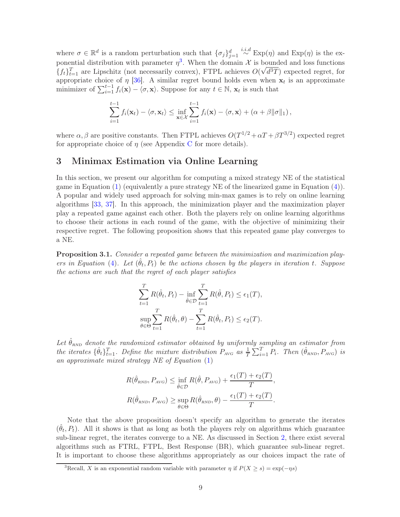where  $\sigma \in \mathbb{R}^d$  is a random perturbation such that  $\{\sigma_j\}_{j=1}^d \stackrel{i.i.d}{\sim} \text{Exp}(\eta)$  and  $\text{Exp}(\eta)$  is the exponential distribution with parameter  $\eta^3$  $\eta^3$ . When the domain X is bounded and loss functions  $\{f_t\}_{t=1}^T$  are Lipschitz (not necessarily convex), FTPL achieves  $O(\sqrt{d^3T})$  expected regret, for appropriate choice of  $\eta$  [\[36](#page-30-0)]. A similar regret bound holds even when  $x_t$  is an approximate minimizer of  $\sum_{i=1}^{t-1} f_i(\mathbf{x}) - \langle \sigma, \mathbf{x} \rangle$ . Suppose for any  $t \in \mathbb{N}$ ,  $\mathbf{x}_t$  is such that

$$
\sum_{i=1}^{t-1} f_i(\mathbf{x}_t) - \langle \sigma, \mathbf{x}_t \rangle \leq \inf_{\mathbf{x} \in \mathcal{X}} \sum_{i=1}^{t-1} f_i(\mathbf{x}) - \langle \sigma, \mathbf{x} \rangle + (\alpha + \beta \|\sigma\|_1),
$$

where  $\alpha, \beta$  are positive constants. Then FTPL achieves  $O(T^{1/2} + \alpha T + \beta T^{3/2})$  expected regret for appropriate choice of  $\eta$  (see Appendix [C](#page-32-0) for more details).

## <span id="page-8-0"></span>3 Minimax Estimation via Online Learning

In this section, we present our algorithm for computing a mixed strategy NE of the statistical game in Equation [\(1\)](#page-3-1) (equivalently a pure strategy NE of the linearized game in Equation [\(4\)](#page-4-1)). A popular and widely used approach for solving min-max games is to rely on online learning algorithms [\[33](#page-29-16), [37](#page-30-1)]. In this approach, the minimization player and the maximization player play a repeated game against each other. Both the players rely on online learning algorithms to choose their actions in each round of the game, with the objective of minimizing their respective regret. The following proposition shows that this repeated game play converges to a NE.

<span id="page-8-2"></span>Proposition 3.1. *Consider a repeated game between the minimization and maximization players in Equation* [\(4\)](#page-4-1). Let  $(\hat{\theta}_t, P_t)$  be the actions chosen by the players in iteration t. Suppose *the actions are such that the regret of each player satisfies*

$$
\sum_{t=1}^{T} R(\hat{\theta}_t, P_t) - \inf_{\hat{\theta} \in \mathcal{D}} \sum_{t=1}^{T} R(\hat{\theta}, P_t) \le \epsilon_1(T),
$$
  

$$
\sup_{\theta \in \Theta} \sum_{t=1}^{T} R(\hat{\theta}_t, \theta) - \sum_{t=1}^{T} R(\hat{\theta}_t, P_t) \le \epsilon_2(T).
$$

Let  $\hat{\theta}_{\text{RND}}$  denote the randomized estimator obtained by uniformly sampling an estimator from *the iterates*  $\{\hat{\theta}_t\}_{t=1}^T$ . Define the mixture distribution  $P_{AVG}$  as  $\frac{1}{T} \sum_{i=1}^T P_i$ . Then  $(\hat{\theta}_{RND}, P_{AVG})$  is *an approximate mixed strategy NE of Equation* [\(1\)](#page-3-1)

$$
R(\hat{\theta}_{RND}, P_{AVG}) \le \inf_{\hat{\theta} \in \mathcal{D}} R(\hat{\theta}, P_{AVG}) + \frac{\epsilon_1(T) + \epsilon_2(T)}{T},
$$
  

$$
R(\hat{\theta}_{RND}, P_{AVG}) \ge \sup_{\theta \in \Theta} R(\hat{\theta}_{RND}, \theta) - \frac{\epsilon_1(T) + \epsilon_2(T)}{T}.
$$

Note that the above proposition doesn't specify an algorithm to generate the iterates  $(\hat{\theta}_t, P_t)$ . All it shows is that as long as both the players rely on algorithms which guarantee sub-linear regret, the iterates converge to a NE. As discussed in Section [2,](#page-3-0) there exist several algorithms such as FTRL, FTPL, Best Response (BR), which guarantee sub-linear regret. It is important to choose these algorithms appropriately as our choices impact the rate of

<span id="page-8-1"></span><sup>&</sup>lt;sup>3</sup>Recall, X is an exponential random variable with parameter  $\eta$  if  $P(X > s) = \exp(-\eta s)$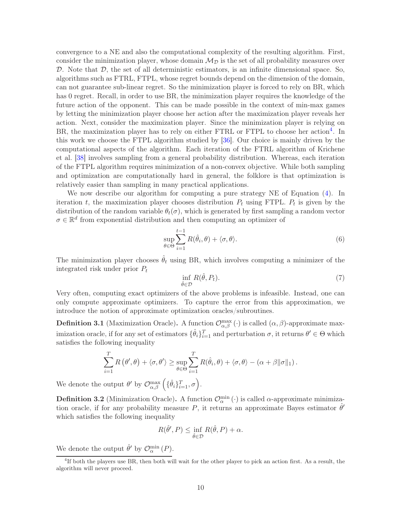convergence to a NE and also the computational complexity of the resulting algorithm. First, consider the minimization player, whose domain  $\mathcal{M}_{\mathcal{D}}$  is the set of all probability measures over D. Note that  $D$ , the set of all deterministic estimators, is an infinite dimensional space. So, algorithms such as FTRL, FTPL, whose regret bounds depend on the dimension of the domain, can not guarantee sub-linear regret. So the minimization player is forced to rely on BR, which has 0 regret. Recall, in order to use BR, the minimization player requires the knowledge of the future action of the opponent. This can be made possible in the context of min-max games by letting the minimization player choose her action after the maximization player reveals her action. Next, consider the maximization player. Since the minimization player is relying on BR, the maximization player has to rely on either FTRL or FTPL to choose her action<sup>[4](#page-9-0)</sup>. In this work we choose the FTPL algorithm studied by [\[36](#page-30-0)]. Our choice is mainly driven by the computational aspects of the algorithm. Each iteration of the FTRL algorithm of Krichene et al. [\[38](#page-30-2)] involves sampling from a general probability distribution. Whereas, each iteration of the FTPL algorithm requires minimization of a non-convex objective. While both sampling and optimization are computationally hard in general, the folklore is that optimization is relatively easier than sampling in many practical applications.

We now describe our algorithm for computing a pure strategy NE of Equation [\(4\)](#page-4-1). In iteration t, the maximization player chooses distribution  $P_t$  using FTPL.  $P_t$  is given by the distribution of the random variable  $\theta_t(\sigma)$ , which is generated by first sampling a random vector  $\sigma \in \mathbb{R}^d$  from exponential distribution and then computing an optimizer of

$$
\sup_{\theta \in \Theta} \sum_{i=1}^{t-1} R(\hat{\theta}_i, \theta) + \langle \sigma, \theta \rangle.
$$
 (6)

The minimization player chooses  $\hat{\theta}_t$  using BR, which involves computing a minimizer of the integrated risk under prior  $P_t$ 

<span id="page-9-2"></span><span id="page-9-1"></span>
$$
\inf_{\hat{\theta}\in\mathcal{D}} R(\hat{\theta}, P_t). \tag{7}
$$

Very often, computing exact optimizers of the above problems is infeasible. Instead, one can only compute approximate optimizers. To capture the error from this approximation, we introduce the notion of approximate optimization oracles/subroutines.

**Definition 3.1** (Maximization Oracle). A function  $\mathcal{O}_{\alpha,\beta}^{\max}(\cdot)$  is called  $(\alpha,\beta)$ -approximate maximization oracle, if for any set of estimators  $\{\hat{\theta}_i\}_{i=1}^T$  and perturbation  $\sigma$ , it returns  $\theta' \in \Theta$  which satisfies the following inequality

$$
\sum_{i=1}^T R(\theta', \theta) + \langle \sigma, \theta' \rangle \ge \sup_{\theta \in \Theta} \sum_{i=1}^T R(\hat{\theta}_i, \theta) + \langle \sigma, \theta \rangle - (\alpha + \beta ||\sigma||_1).
$$

We denote the output  $\theta'$  by  $\mathcal{O}_{\alpha,\beta}^{\max} (\{\hat{\theta}_i\}_{i=1}^T, \sigma)$ .

**Definition 3.2** (Minimization Oracle). A function  $\mathcal{O}_{\alpha}^{\min}(\cdot)$  is called  $\alpha$ -approximate minimization oracle, if for any probability measure P, it returns an approximate Bayes estimator  $\hat{\theta}'$ which satisfies the following inequality

$$
R(\hat{\theta}', P) \le \inf_{\hat{\theta} \in \mathcal{D}} R(\hat{\theta}, P) + \alpha.
$$

We denote the output  $\hat{\theta}'$  by  $\mathcal{O}_{\alpha}^{\min}(P)$ .

<span id="page-9-0"></span><sup>&</sup>lt;sup>4</sup>If both the players use BR, then both will wait for the other player to pick an action first. As a result, the algorithm will never proceed.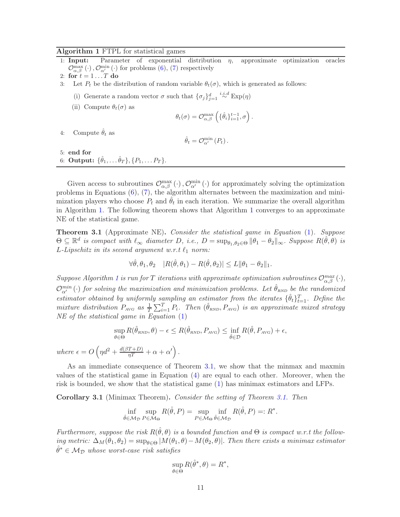#### <span id="page-10-0"></span>Algorithm 1 FTPL for statistical games

1: Input: Parameter of exponential distribution  $\eta$ , approximate optimization oracles  $\mathcal{O}^{\max}_{\alpha,\beta}\left(\cdot\right),\mathcal{O}^{\min}_{\alpha'}\left(\cdot\right)$  for problems [\(6\)](#page-9-1), [\(7\)](#page-9-2) respectively

- 3: Let  $P_t$  be the distribution of random variable  $\theta_t(\sigma)$ , which is generated as follows:
	- (i) Generate a random vector  $\sigma$  such that  $\{\sigma_j\}_{j=1}^d \stackrel{i.i.d}{\sim} \text{Exp}(\eta)$
	- (ii) Compute  $\theta_t(\sigma)$  as

$$
\theta_t(\sigma) = \mathcal{O}_{\alpha,\beta}^{\max} \left( \{\hat{\theta}_i\}_{i=1}^{t-1}, \sigma \right).
$$

4: Compute  $\hat{\theta}_t$  as

$$
\hat{\theta}_t = \mathcal{O}_{\alpha'}^{\min}(P_t).
$$

5: end for 6: **Output:**  $\{\hat{\theta}_1, \dots \hat{\theta}_T\}, \{P_1, \dots P_T\}.$ 

Given access to subroutines  $\mathcal{O}^{\max}_{\alpha,\beta}(\cdot), \mathcal{O}^{\min}_{\alpha'}(\cdot)$  for approximately solving the optimization problems in Equations [\(6\)](#page-9-1), [\(7\)](#page-9-2), the algorithm alternates between the maximization and minimization players who choose  $P_t$  and  $\hat{\theta}_t$  in each iteration. We summarize the overall algorithm in Algorithm [1.](#page-10-0) The following theorem shows that Algorithm [1](#page-10-0) converges to an approximate NE of the statistical game.

<span id="page-10-1"></span>Theorem 3.1 (Approximate NE). *Consider the statistical game in Equation* [\(1\)](#page-3-1)*. Suppose*  $\Theta \subseteq \mathbb{R}^d$  *is compact with*  $\ell_{\infty}$  *diameter*  $D$ , *i.e.*,  $D = \sup_{\theta_1, \theta_2 \in \Theta} ||\theta_1 - \theta_2||_{\infty}$ *. Suppose*  $R(\hat{\theta}, \theta)$  *is* L-Lipschitz in its second argument w.r.t  $\ell_1$  norm:

$$
\forall \hat{\theta}, \theta_1, \theta_2 \quad |R(\hat{\theta}, \theta_1) - R(\hat{\theta}, \theta_2)| \le L \|\theta_1 - \theta_2\|_1.
$$

 $Suppose Algorithm 1 is run for T iterations with approximate optimization subroutines  $\mathcal{O}_{\alpha,\beta}^{max}(\cdot),$  $Suppose Algorithm 1 is run for T iterations with approximate optimization subroutines  $\mathcal{O}_{\alpha,\beta}^{max}(\cdot),$  $Suppose Algorithm 1 is run for T iterations with approximate optimization subroutines  $\mathcal{O}_{\alpha,\beta}^{max}(\cdot),$$$$  $\mathcal{O}_{\alpha'}^{min}(\cdot)$  *for solving the maximization and minimization problems. Let*  $\hat{\theta}_{RND}$  *be the randomized estimator obtained by uniformly sampling an estimator from the iterates*  $\{\hat{\theta}_t\}_{t=1}^T$ . Define the *mixture distribution*  $P_{AVG}$  *as*  $\frac{1}{T} \sum_{i=1}^{T} P_i$ . *Then*  $(\hat{\theta}_{RND}, P_{AVG})$  *is an approximate mixed strategy NE of the statistical game in Equation* [\(1\)](#page-3-1)

$$
\sup_{\theta \in \Theta} R(\hat{\theta}_{RND}, \theta) - \epsilon \le R(\hat{\theta}_{RND}, P_{AVG}) \le \inf_{\hat{\theta} \in \mathcal{D}} R(\hat{\theta}, P_{AVG}) + \epsilon,
$$
  
where  $\epsilon = O\left(\eta d^2 + \frac{d(\beta T + D)}{\eta T} + \alpha + \alpha'\right)$ .

As an immediate consequence of Theorem [3.1,](#page-10-1) we show that the minmax and maxmin values of the statistical game in Equation [\(4\)](#page-4-1) are equal to each other. Moreover, when the risk is bounded, we show that the statistical game [\(1\)](#page-3-1) has minimax estimators and LFPs.

<span id="page-10-2"></span>Corollary 3.1 (Minimax Theorem). *Consider the setting of Theorem [3.1.](#page-10-1) Then*

$$
\inf_{\hat{\theta}\in\mathcal{M}_{\mathcal{D}}} \sup_{P\in\mathcal{M}_{\Theta}} R(\hat{\theta}, P) = \sup_{P\in\mathcal{M}_{\Theta}} \inf_{\hat{\theta}\in\mathcal{M}_{\mathcal{D}}} R(\hat{\theta}, P) =: R^*.
$$

*Furthermore, suppose the risk*  $R(\hat{\theta}, \theta)$  *is a bounded function and*  $\Theta$  *is compact w.r.t the following metric:*  $\Delta_M(\theta_1, \theta_2) = \sup_{\theta \in \Theta} |M(\theta_1, \theta) - M(\theta_2, \theta)|$ . *Then there exists a minimax estimator*  $\hat{\theta}^* \in \mathcal{M}_{\mathcal{D}}$  whose worst-case risk satisfies

$$
\sup_{\theta \in \Theta} R(\hat{\theta}^*, \theta) = R^*,
$$

<sup>2:</sup> for  $t = 1 \dots T$  do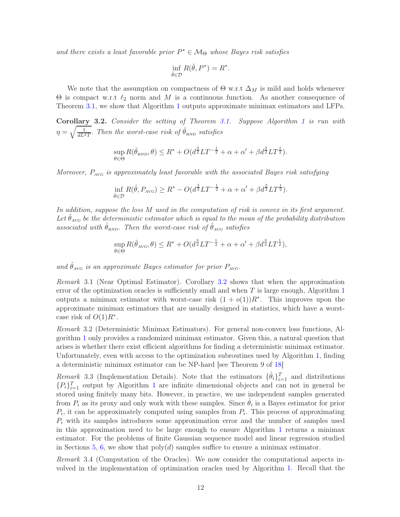and there exists a least favorable prior  $P^* \in \mathcal{M}_{\Theta}$  whose Bayes risk satisfies

$$
\inf_{\hat{\theta}\in\mathcal{D}} R(\hat{\theta}, P^*) = R^*.
$$

We note that the assumption on compactness of  $\Theta$  w.r.t  $\Delta_M$  is mild and holds whenever  $Θ$  is compact w.r.t  $\ell_2$  norm and M is a continuous function. As another consequence of Theorem [3.1,](#page-10-1) we show that Algorithm [1](#page-10-0) outputs approximate minimax estimators and LFPs.

<span id="page-11-0"></span>Corollary 3.2. *Consider the setting of Theorem [3.1.](#page-10-1) Suppose Algorithm [1](#page-10-0) is run with*  $\eta = \sqrt{\frac{1}{dL^2T}}$ . *Then the worst-case risk of*  $\hat{\theta}_{RND}$  *satisfies* 

$$
\sup_{\theta \in \Theta} R(\hat{\theta}_{RND}, \theta) \leq R^* + O(d^{\frac{3}{2}}LT^{-\frac{1}{2}} + \alpha + \alpha' + \beta d^{\frac{3}{2}}LT^{\frac{1}{2}}).
$$

*Moreover,* Pavg *is approximately least favorable with the associated Bayes risk satisfying*

$$
\inf_{\hat{\theta}\in\mathcal{D}} R(\hat{\theta}, P_{\text{AVG}}) \ge R^* - O(d^{\frac{3}{2}}LT^{-\frac{1}{2}} + \alpha + \alpha' + \beta d^{\frac{3}{2}}LT^{\frac{1}{2}}).
$$

*In addition, suppose the loss* M *used in the computation of risk is convex in its first argument.* Let  $\hat{\theta}_{AVG}$  be the deterministic estimator which is equal to the mean of the probability distribution *associated with*  $\hat{\theta}_{RND}$ *. Then the worst-case risk of*  $\hat{\theta}_{AVG}$  *satisfies* 

$$
\sup_{\theta \in \Theta} R(\hat{\theta}_{\text{AVG}}, \theta) \le R^* + O(d^{\frac{3}{2}}LT^{-\frac{1}{2}} + \alpha + \alpha' + \beta d^{\frac{3}{2}}LT^{\frac{1}{2}}),
$$

and  $\hat{\theta}_{AVG}$  *is an approximate Bayes estimator for prior*  $P_{AVG}$ .

*Remark* 3.1 (Near Optimal Estimator)*.* Corollary [3.2](#page-11-0) shows that when the approximation error of the optimization oracles is sufficiently small and when  $T$  is large enough, Algorithm [1](#page-10-0) outputs a minimax estimator with worst-case risk  $(1 + o(1))R^*$ . This improves upon the approximate minimax estimators that are usually designed in statistics, which have a worstcase risk of  $O(1)R^*$ .

*Remark* 3.2 (Deterministic Minimax Estimators)*.* For general non-convex loss functions, Algorithm [1](#page-10-0) only provides a randomized minimax estimator. Given this, a natural question that arises is whether there exist efficient algorithms for finding a deterministic minimax estimator. Unfortunately, even with access to the optimization subroutines used by Algorithm [1,](#page-10-0) finding a deterministic minimax estimator can be NP-hard [see Theorem 9 of [18](#page-29-1)]

*Remark* 3.3 (Implementation Details). Note that the estimators  $\{\hat{\theta}_i\}_{i=1}^T$  and distributions  ${P_i}_{i=1}^T$  ${P_i}_{i=1}^T$  ${P_i}_{i=1}^T$  output by Algorithm 1 are infinite dimensional objects and can not in general be stored using finitely many bits. However, in practice, we use independent samples generated from  $P_i$  as its proxy and only work with these samples. Since  $\hat{\theta}_i$  is a Bayes estimator for prior  $P_i$ , it can be approximately computed using samples from  $P_i$ . This process of approximating  $P_i$  with its samples introduces some approximation error and the number of samples used in this approximation need to be large enough to ensure Algorithm [1](#page-10-0) returns a minimax estimator. For the problems of finite Gaussian sequence model and linear regression studied in Sections [5,](#page-16-0) [6,](#page-18-0) we show that  $poly(d)$  samples suffice to ensure a minimax estimator.

*Remark* 3.4 (Computation of the Oracles)*.* We now consider the computational aspects involved in the implementation of optimization oracles used by Algorithm [1.](#page-10-0) Recall that the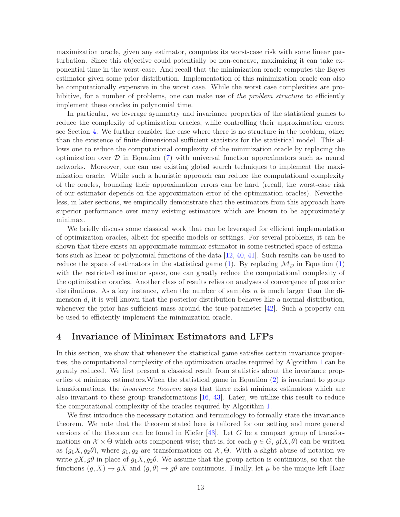maximization oracle, given any estimator, computes its worst-case risk with some linear perturbation. Since this objective could potentially be non-concave, maximizing it can take exponential time in the worst-case. And recall that the minimization oracle computes the Bayes estimator given some prior distribution. Implementation of this minimization oracle can also be computationally expensive in the worst case. While the worst case complexities are prohibitive, for a number of problems, one can make use of *the problem structure* to efficiently implement these oracles in polynomial time.

In particular, we leverage symmetry and invariance properties of the statistical games to reduce the complexity of optimization oracles, while controlling their approximation errors; see Section [4.](#page-12-0) We further consider the case where there is no structure in the problem, other than the existence of finite-dimensional sufficient statistics for the statistical model. This allows one to reduce the computational complexity of the minimization oracle by replacing the optimization over  $\mathcal D$  in Equation [\(7\)](#page-9-2) with universal function approximators such as neural networks. Moreover, one can use existing global search techniques to implement the maximization oracle. While such a heuristic approach can reduce the computational complexity of the oracles, bounding their approximation errors can be hard (recall, the worst-case risk of our estimator depends on the approximation error of the optimization oracles). Nevertheless, in later sections, we empirically demonstrate that the estimators from this approach have superior performance over many existing estimators which are known to be approximately minimax.

We briefly discuss some classical work that can be leveraged for efficient implementation of optimization oracles, albeit for specific models or settings. For several problems, it can be shown that there exists an approximate minimax estimator in some restricted space of estimators such as linear or polynomial functions of the data [\[12](#page-28-11), [40](#page-30-4), [41](#page-30-5)]. Such results can be used to reduce the space of estimators in the statistical game [\(1\)](#page-3-1). By replacing  $\mathcal{M}_{\mathcal{D}}$  in Equation (1) with the restricted estimator space, one can greatly reduce the computational complexity of the optimization oracles. Another class of results relies on analyses of convergence of posterior distributions. As a key instance, when the number of samples  $n$  is much larger than the dimension d, it is well known that the posterior distribution behaves like a normal distribution, whenever the prior has sufficient mass around the true parameter  $[42]$ . Such a property can be used to efficiently implement the minimization oracle.

## <span id="page-12-0"></span>4 Invariance of Minimax Estimators and LFPs

In this section, we show that whenever the statistical game satisfies certain invariance properties, the computational complexity of the optimization oracles required by Algorithm [1](#page-10-0) can be greatly reduced. We first present a classical result from statistics about the invariance properties of minimax estimators.When the statistical game in Equation [\(2\)](#page-3-2) is invariant to group transformations, the *invariance theorem* says that there exist minimax estimators which are also invariant to these group transformations [\[16,](#page-28-15) [43\]](#page-30-7). Later, we utilize this result to reduce the computational complexity of the oracles required by Algorithm [1.](#page-10-0)

We first introduce the necessary notation and terminology to formally state the invariance theorem. We note that the theorem stated here is tailored for our setting and more general versions of the theorem can be found in Kiefer  $|43|$ . Let G be a compact group of transformations on  $\mathcal{X} \times \Theta$  which acts component wise; that is, for each  $g \in G$ ,  $g(X, \theta)$  can be written as  $(g_1X, g_2\theta)$ , where  $g_1, g_2$  are transformations on  $\mathcal{X}, \Theta$ . With a slight abuse of notation we write  $gX, g\theta$  in place of  $g_1X, g_2\theta$ . We assume that the group action is continuous, so that the functions  $(g, X) \to gX$  and  $(g, \theta) \to g\theta$  are continuous. Finally, let  $\mu$  be the unique left Haar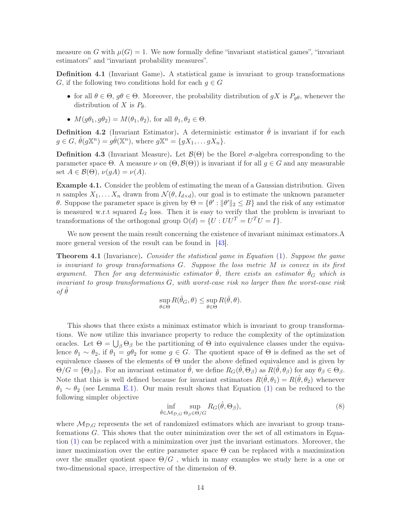measure on G with  $\mu(G) = 1$ . We now formally define "invariant statistical games", "invariant" estimators" and "invariant probability measures".

Definition 4.1 (Invariant Game). A statistical game is invariant to group transformations G, if the following two conditions hold for each  $g \in G$ 

- for all  $\theta \in \Theta$ ,  $g\theta \in \Theta$ . Moreover, the probability distribution of  $gX$  is  $P_{q\theta}$ , whenever the distribution of X is  $P_{\theta}$ .
- $M(q\theta_1, q\theta_2) = M(\theta_1, \theta_2)$ , for all  $\theta_1, \theta_2 \in \Theta$ .

Definition 4.2 (Invariant Estimator). A deterministic estimator  $\hat{\theta}$  is invariant if for each  $g \in G$ ,  $\hat{\theta}(g\mathbb{X}^n) = g\hat{\theta}(\mathbb{X}^n)$ , where  $g\mathbb{X}^n = \{gX_1, \ldots gX_n\}$ .

**Definition 4.3** (Invariant Measure). Let  $\mathcal{B}(\Theta)$  be the Borel  $\sigma$ -algebra corresponding to the parameter space Θ. A measure  $\nu$  on  $(\Theta, \mathcal{B}(\Theta))$  is invariant if for all  $g \in G$  and any measurable set  $A \in \mathcal{B}(\Theta)$ ,  $\nu(gA) = \nu(A)$ .

Example 4.1. Consider the problem of estimating the mean of a Gaussian distribution. Given n samples  $X_1, \ldots X_n$  drawn from  $\mathcal{N}(\theta, I_{d \times d})$ , our goal is to estimate the unknown parameter θ. Suppose the parameter space is given by  $\Theta = \{\theta' : ||\theta'||_2 \leq B\}$  and the risk of any estimator is measured w.r.t squared  $L_2$  loss. Then it is easy to verify that the problem is invariant to transformations of the orthogonal group  $\mathbb{O}(d) = \{U : UU^{T} = U^{T}U = I\}.$ 

We now present the main result concerning the existence of invariant minimax estimators.A more general version of the result can be found in [\[43\]](#page-30-7).

<span id="page-13-1"></span>Theorem 4.1 (Invariance). *Consider the statistical game in Equation* [\(1\)](#page-3-1)*. Suppose the game is invariant to group transformations* G*. Suppose the loss metric* M *is convex in its first argument.* Then for any deterministic estimator  $\hat{\theta}$ , there exists an estimator  $\hat{\theta}_G$  which is *invariant to group transformations* G*, with worst-case risk no larger than the worst-case risk*  $of \theta$ 

$$
\sup_{\theta \in \Theta} R(\hat{\theta}_G, \theta) \le \sup_{\theta \in \Theta} R(\hat{\theta}, \theta).
$$

This shows that there exists a minimax estimator which is invariant to group transformations. We now utilize this invariance property to reduce the complexity of the optimization oracles. Let  $\Theta = \bigcup_{\beta} \Theta_{\beta}$  be the partitioning of  $\Theta$  into equivalence classes under the equivalence  $\theta_1 \sim \theta_2$ , if  $\theta_1 = g\theta_2$  for some  $g \in G$ . The quotient space of  $\Theta$  is defined as the set of equivalence classes of the elements of Θ under the above defined equivalence and is given by  $\Theta/G = {\Theta_{\beta}}_{\beta}$ . For an invariant estimator  $\hat{\theta}$ , we define  $R_G(\hat{\theta}, \Theta_{\beta})$  as  $R(\hat{\theta}, \theta_{\beta})$  for any  $\theta_{\beta} \in \Theta_{\beta}$ . Note that this is well defined because for invariant estimators  $R(\hat{\theta}, \theta_1) = R(\hat{\theta}, \theta_2)$  whenever  $\theta_1 \sim \theta_2$  (see Lemma [E.1\)](#page-37-0). Our main result shows that Equation [\(1\)](#page-3-1) can be reduced to the following simpler objective

<span id="page-13-0"></span>
$$
\inf_{\hat{\theta}\in\mathcal{M}_{\mathcal{D},G}}\sup_{\Theta_{\beta}\in\Theta/G}R_G(\hat{\theta},\Theta_{\beta}),\tag{8}
$$

where  $\mathcal{M}_{\mathcal{D},G}$  represents the set of randomized estimators which are invariant to group transformations G. This shows that the outer minimization over the set of all estimators in Equation [\(1\)](#page-3-1) can be replaced with a minimization over just the invariant estimators. Moreover, the inner maximization over the entire parameter space  $\Theta$  can be replaced with a maximization over the smaller quotient space  $\Theta/G$ , which in many examples we study here is a one or two-dimensional space, irrespective of the dimension of Θ.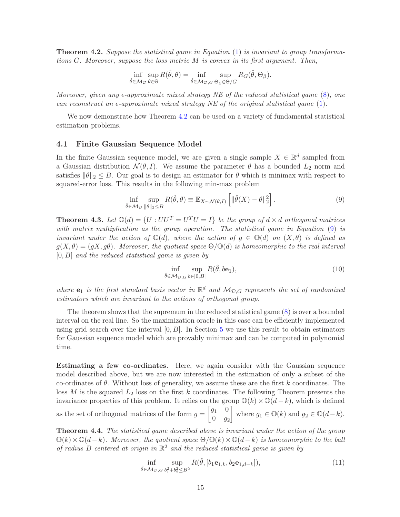<span id="page-14-0"></span>Theorem 4.2. *Suppose the statistical game in Equation* [\(1\)](#page-3-1) *is invariant to group transformations* G*. Moreover, suppose the loss metric* M *is convex in its first argument. Then,*

$$
\inf_{\hat{\theta}\in\mathcal{M}_{\mathcal{D}}}\sup_{\theta\in\Theta}R(\hat{\theta},\theta)=\inf_{\hat{\theta}\in\mathcal{M}_{\mathcal{D},G}}\sup_{\Theta_{\beta}\in\Theta/G}R_G(\hat{\theta},\Theta_{\beta}).
$$

*Moreover, given any*  $\epsilon$ -*approximate mixed strategy NE of the reduced statistical game* [\(8\)](#page-13-0), one *can reconstruct an*  $\epsilon$ -*approximate mixed strategy NE of the original statistical game* [\(1\)](#page-3-1).

We now demonstrate how Theorem [4.2](#page-14-0) can be used on a variety of fundamental statistical estimation problems.

#### <span id="page-14-2"></span>4.1 Finite Gaussian Sequence Model

In the finite Gaussian sequence model, we are given a single sample  $X \in \mathbb{R}^d$  sampled from a Gaussian distribution  $\mathcal{N}(\theta, I)$ . We assume the parameter  $\theta$  has a bounded  $L_2$  norm and satisfies  $\|\theta\|_2 \leq B$ . Our goal is to design an estimator for  $\theta$  which is minimax with respect to squared-error loss. This results in the following min-max problem

$$
\inf_{\hat{\theta}\in\mathcal{M}_{\mathcal{D}}}\sup_{\|\theta\|_2\leq B} R(\hat{\theta},\theta)\equiv \mathbb{E}_{X\sim\mathcal{N}(\theta,I)}\left[\|\hat{\theta}(X)-\theta\|_2^2\right].\tag{9}
$$

<span id="page-14-3"></span>**Theorem 4.3.** Let  $\mathbb{O}(d) = \{U : UU^T = U^TU = I\}$  be the group of  $d \times d$  orthogonal matrices *with matrix multiplication as the group operation. The statistical game in Equation* [\(9\)](#page-14-1) *is invariant under the action of*  $\mathbb{O}(d)$ *, where the action of*  $q \in \mathbb{O}(d)$  *on*  $(X, \theta)$  *is defined as*  $g(X, \theta) = (gX, g\theta)$ *. Moreover, the quotient space*  $\Theta/\mathbb{O}(d)$  *is homeomorphic to the real interval* [0, B] *and the reduced statistical game is given by*

<span id="page-14-4"></span><span id="page-14-1"></span>
$$
\inf_{\hat{\theta}\in\mathcal{M}_{\mathcal{D},G}}\sup_{b\in[0,B]} R(\hat{\theta},b\mathbf{e}_1),\tag{10}
$$

where  $e_1$  *is the first standard basis vector in*  $\mathbb{R}^d$  *and*  $\mathcal{M}_{\mathcal{D},G}$  *represents the set of randomized estimators which are invariant to the actions of orthogonal group.*

The theorem shows that the supremum in the reduced statistical game [\(8\)](#page-13-0) is over a bounded interval on the real line. So the maximization oracle in this case can be efficiently implemented using grid search over the interval  $[0, B]$ . In Section [5](#page-16-0) we use this result to obtain estimators for Gaussian sequence model which are provably minimax and can be computed in polynomial time.

Estimating a few co-ordinates. Here, we again consider with the Gaussian sequence model described above, but we are now interested in the estimation of only a subset of the co-ordinates of  $\theta$ . Without loss of generality, we assume these are the first k coordinates. The loss M is the squared  $L_2$  loss on the first k coordinates. The following Theorem presents the invariance properties of this problem. It relies on the group  $\mathbb{O}(k) \times \mathbb{O}(d-k)$ , which is defined as the set of orthogonal matrices of the form  $g = \begin{bmatrix} g_1 & 0 \\ 0 & g_2 \end{bmatrix}$  $0 \t g_2$ where  $g_1 \in \mathbb{O}(k)$  and  $g_2 \in \mathbb{O}(d-k)$ .

<span id="page-14-5"></span>Theorem 4.4. *The statistical game described above is invariant under the action of the group*  $\mathbb{O}(k)\times\mathbb{O}(d-k)$ *. Moreover, the quotient space*  $\Theta/\mathbb{O}(k)\times\mathbb{O}(d-k)$  *is homeomorphic to the ball of radius* B *centered at origin in* R <sup>2</sup> *and the reduced statistical game is given by*

<span id="page-14-6"></span>
$$
\inf_{\hat{\theta}\in\mathcal{M}_{\mathcal{D},G}}\sup_{b_1^2+b_2^2\leq B^2} R(\hat{\theta},[b_1\mathbf{e}_{1,k},b_2\mathbf{e}_{1,d-k}]),\tag{11}
$$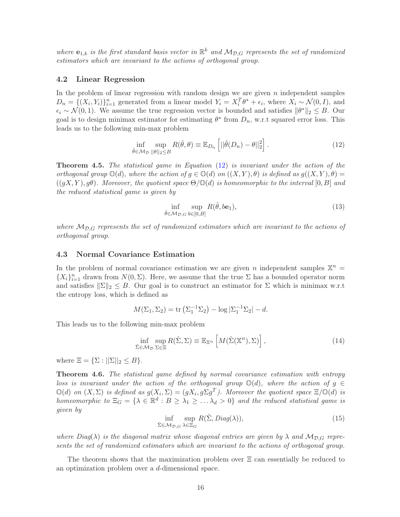where  $e_{1,k}$  is the first standard basis vector in  $\mathbb{R}^k$  and  $\mathcal{M}_{\mathcal{D},G}$  represents the set of randomized *estimators which are invariant to the actions of orthogonal group.*

### <span id="page-15-1"></span>4.2 Linear Regression

In the problem of linear regression with random design we are given  $n$  independent samples  $D_n = \{(X_i, Y_i)\}_{i=1}^n$  generated from a linear model  $Y_i = X_i^T \theta^* + \epsilon_i$ , where  $X_i \sim \mathcal{N}(0, I)$ , and  $\epsilon_i \sim \mathcal{N}(0, 1)$ . We assume the true regression vector is bounded and satisfies  $\|\theta^*\|_2 \leq B$ . Our goal is to design minimax estimator for estimating  $\theta^*$  from  $D_n$ , w.r.t squared error loss. This leads us to the following min-max problem

<span id="page-15-0"></span>
$$
\inf_{\hat{\theta}\in\mathcal{M}_{\mathcal{D}}}\sup_{\|\theta\|_2\leq B} R(\hat{\theta},\theta)\equiv \mathbb{E}_{D_n}\left[||\hat{\theta}(D_n)-\theta||_2^2\right].\tag{12}
$$

<span id="page-15-2"></span>Theorem 4.5. *The statistical game in Equation* [\(12\)](#page-15-0) *is invariant under the action of the orthogonal group*  $\mathbb{O}(d)$ *, where the action of*  $g \in \mathbb{O}(d)$  *on*  $((X, Y), \theta)$  *is defined as*  $g((X, Y), \theta)$  $((qX, Y), q\theta)$ *. Moreover, the quotient space*  $\Theta/\mathbb{O}(d)$  *is homeomorphic to the interval* [0, B] *and the reduced statistical game is given by*

<span id="page-15-3"></span>
$$
\inf_{\hat{\theta}\in\mathcal{M}_{\mathcal{D},G}}\sup_{b\in[0,B]} R(\hat{\theta},b\mathbf{e}_1),\tag{13}
$$

where  $\mathcal{M}_{\mathcal{D},G}$  represents the set of randomized estimators which are invariant to the actions of *orthogonal group.*

### <span id="page-15-4"></span>4.3 Normal Covariance Estimation

In the problem of normal covariance estimation we are given n independent samples  $\mathbb{X}^n$  =  $\{X_i\}_{i=1}^n$  drawn from  $N(0, \Sigma)$ . Here, we assume that the true  $\Sigma$  has a bounded operator norm and satisfies  $\|\Sigma\|_2 \leq B$ . Our goal is to construct an estimator for  $\Sigma$  which is minimax w.r.t the entropy loss, which is defined as

$$
M(\Sigma_1, \Sigma_2) = \text{tr}(\Sigma_1^{-1} \Sigma_2) - \log |\Sigma_1^{-1} \Sigma_2| - d.
$$

This leads us to the following min-max problem

$$
\inf_{\hat{\Sigma}\in\mathcal{M}_{\mathcal{D}}}\sup_{\Sigma\in\Xi}R(\hat{\Sigma},\Sigma)\equiv\mathbb{E}_{\mathbb{X}^n}\left[M(\hat{\Sigma}(\mathbb{X}^n),\Sigma)\right],\tag{14}
$$

where  $\Xi = {\Sigma : ||\Sigma||_2 \leq B}.$ 

<span id="page-15-6"></span>Theorem 4.6. *The statistical game defined by normal covariance estimation with entropy loss is invariant under the action of the orthogonal group*  $\mathbb{O}(d)$ *, where the action of*  $q \in$  $\mathbb{O}(d)$  *on*  $(X, \Sigma)$  *is defined as*  $g(X_i, \Sigma) = (gX_i, g\Sigma g^T)$ *. Moreover the quotient space*  $\Xi/\mathbb{O}(d)$  *is homeomorphic to*  $\Xi_G = \{ \lambda \in \mathbb{R}^d : B \geq \lambda_1 \geq \ldots \lambda_d > 0 \}$  *and the reduced statistical game is given by*

$$
\inf_{\hat{\Sigma}\in\mathcal{M}_{\mathcal{D},G}}\sup_{\lambda\in\Xi_G} R(\hat{\Sigma},Diag(\lambda)),\tag{15}
$$

<span id="page-15-5"></span>*where Diag*( $\lambda$ ) *is the diagonal matrix whose diagonal entries are given by*  $\lambda$  *and*  $M_{\mathcal{D},G}$  *represents the set of randomized estimators which are invariant to the actions of orthogonal group.*

The theorem shows that the maximization problem over  $\Xi$  can essentially be reduced to an optimization problem over a d-dimensional space.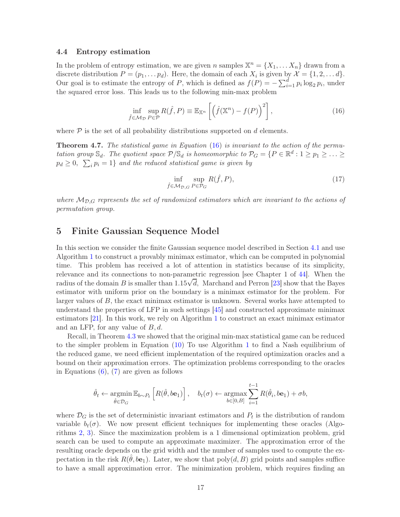### <span id="page-16-2"></span>4.4 Entropy estimation

In the problem of entropy estimation, we are given n samples  $\mathbb{X}^n = \{X_1, \ldots X_n\}$  drawn from a discrete distribution  $P = (p_1, \ldots, p_d)$ . Here, the domain of each  $X_i$  is given by  $\mathcal{X} = \{1, 2, \ldots, d\}$ . Our goal is to estimate the entropy of P, which is defined as  $f(P) = -\sum_{i=1}^{d} p_i \log_2 p_i$ , under the squared error loss. This leads us to the following min-max problem

$$
\inf_{\hat{f}\in\mathcal{M}_{\mathcal{D}}}\sup_{P\in\mathcal{P}}R(\hat{f},P)\equiv\mathbb{E}_{\mathbb{X}^n}\left[\left(\hat{f}(\mathbb{X}^n)-f(P)\right)^2\right],\tag{16}
$$

where  $\mathcal P$  is the set of all probability distributions supported on d elements.

<span id="page-16-4"></span>Theorem 4.7. *The statistical game in Equation* [\(16\)](#page-16-1) *is invariant to the action of the permutation group*  $\mathbb{S}_d$ . The quotient space  $\mathcal{P}/\mathbb{S}_d$  *is homeomorphic to*  $\mathcal{P}_G = \{P \in \mathbb{R}^d : 1 \ge p_1 \ge \ldots \ge p_d\}$  $p_d \geq 0$ ,  $\sum_i p_i = 1$ } and the reduced statistical game is given by

<span id="page-16-3"></span><span id="page-16-1"></span>
$$
\inf_{\hat{f}\in\mathcal{M}_{\mathcal{D},G}}\sup_{P\in\mathcal{P}_G}R(\hat{f},P),\tag{17}
$$

where  $\mathcal{M}_{\mathcal{D},G}$  represents the set of randomized estimators which are invariant to the actions of *permutation group.*

## <span id="page-16-0"></span>5 Finite Gaussian Sequence Model

In this section we consider the finite Gaussian sequence model described in Section [4.1](#page-14-2) and use Algorithm [1](#page-10-0) to construct a provably minimax estimator, which can be computed in polynomial time. This problem has received a lot of attention in statistics because of its simplicity, relevance and its connections to non-parametric regression [see Chapter 1 of [44](#page-30-8)]. When the radius of the domain B is smaller than  $1.15\sqrt{d}$ , Marchand and Perron [\[23\]](#page-29-6) show that the Bayes estimator with uniform prior on the boundary is a minimax estimator for the problem. For larger values of B, the exact minimax estimator is unknown. Several works have attempted to understand the properties of LFP in such settings [\[45\]](#page-30-9) and constructed approximate minimax estimators [\[21](#page-29-4)]. In this work, we rely on Algorithm [1](#page-10-0) to construct an exact minimax estimator and an LFP, for any value of  $B, d$ .

Recall, in Theorem [4.3](#page-14-3) we showed that the original min-max statistical game can be reduced to the simpler problem in Equation [\(10\)](#page-14-4) To use Algorithm [1](#page-10-0) to find a Nash equilibrium of the reduced game, we need efficient implementation of the required optimization oracles and a bound on their approximation errors. The optimization problems corresponding to the oracles in Equations  $(6)$ ,  $(7)$  are given as follows

$$
\hat{\theta}_t \leftarrow \underset{\hat{\theta} \in \mathcal{D}_G}{\operatorname{argmin}} \mathbb{E}_{b \sim P_t} \left[ R(\hat{\theta}, b\mathbf{e}_1) \right], \quad b_t(\sigma) \leftarrow \underset{b \in [0, B]}{\operatorname{argmax}} \sum_{i=1}^{t-1} R(\hat{\theta}_i, b\mathbf{e}_1) + \sigma b,
$$

where  $\mathcal{D}_G$  is the set of deterministic invariant estimators and  $P_t$  is the distribution of random variable  $b_t(\sigma)$ . We now present efficient techniques for implementing these oracles (Algorithms [2,](#page-17-0) [3\)](#page-17-1). Since the maximization problem is a 1 dimensional optimization problem, grid search can be used to compute an approximate maximizer. The approximation error of the resulting oracle depends on the grid width and the number of samples used to compute the expectation in the risk  $R(\hat{\theta}, b\mathbf{e}_1)$ . Later, we show that  $\text{poly}(d, B)$  grid points and samples suffice to have a small approximation error. The minimization problem, which requires finding an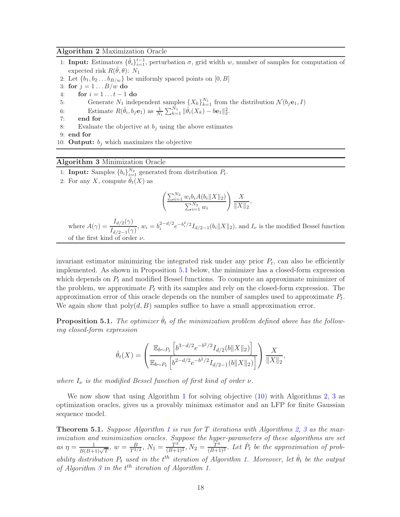### <span id="page-17-0"></span>Algorithm 2 Maximization Oracle

- 1: **Input:** Estimators  $\{\hat{\theta}_i\}_{i=1}^{t-1}$ , perturbation  $\sigma$ , grid width w, number of samples for computation of expected risk  $R(\hat{\theta}, \theta)$ :  $N_1$
- 2: Let  $\{b_1, b_2 \ldots b_{B/w}\}$  be uniformly spaced points on  $[0, B]$
- 3: for  $j = 1 \dots B/w$  do
- 4: **for**  $i = 1...t-1$  **do**<br>5: **Generate**  $N_1$  inde
- 5: Generate  $N_1$  independent samples  $\{X_k\}_{k=1}^{N_1}$  from the distribution  $\mathcal{N}(b_j \mathbf{e}_1, I)$
- 6: Estimate  $R(\hat{\theta}_i, b_j \mathbf{e}_1)$  as  $\frac{1}{N_1} \sum_{k=1}^{N_1} ||\hat{\theta}_i(X_k) b\mathbf{e}_1||_2^2$ .
- 7: end for
- 8: Evaluate the objective at  $b_i$  using the above estimates

9: end for

10: **Output:**  $b_i$  which maximizes the objective

### <span id="page-17-1"></span>Algorithm 3 Minimization Oracle

- 1: **Input:** Samples  ${b_i}_{i=1}^{N_2}$  generated from distribution  $P_t$ .
- 2: For any X, compute  $\hat{\theta}_t(X)$  as

$$
\left(\frac{\sum_{i=1}^{N_2} w_i b_i A(b_i ||X||_2)}{\sum_{i=1}^{N_2} w_i}\right) \frac{X}{\|X\|_2},
$$

where  $A(\gamma) = \frac{I_{d/2}(\gamma)}{I_{d/2-1}(\gamma)}$ ,  $w_i = b_i^{2-d/2}$  $\int_{i}^{2-d/2} e^{-b_i^2/2} I_{d/2-1}(b_i ||X||_2)$ , and  $I_{\nu}$  is the modified Bessel function of the first kind of order  $\nu$ 

invariant estimator minimizing the integrated risk under any prior  $P_t$ , can also be efficiently implemented. As shown in Proposition [5.1](#page-17-2) below, the minimizer has a closed-form expression which depends on  $P_t$  and modified Bessel functions. To compute an approximate minimizer of the problem, we approximate  $P_t$  with its samples and rely on the closed-form expression. The approximation error of this oracle depends on the number of samples used to approximate  $P_t$ . We again show that  $poly(d, B)$  samples suffice to have a small approximation error.

<span id="page-17-2"></span>**Proposition 5.1.** The optimizer  $\hat{\theta}_t$  of the minimization problem defined above has the follow*ing closed-form expression*

$$
\hat{\theta}_t(X) = \left(\frac{\mathbb{E}_{b \sim P_t} \left[ b^{3-d/2} e^{-b^2/2} I_{d/2}(b \|X\|_2) \right]}{\mathbb{E}_{b \sim P_t} \left[ b^{2-d/2} e^{-b^2/2} I_{d/2-1}(b \|X\|_2) \right]} \right) \frac{X}{\|X\|_2},
$$

*where*  $I_{\nu}$  *is the modified Bessel function of first kind of order*  $\nu$ *.* 

We now show that using Algorithm [1](#page-10-0) for solving objective  $(10)$  with Algorithms [2,](#page-17-0) [3](#page-17-1) as optimization oracles, gives us a provably minimax estimator and an LFP for finite Gaussian sequence model.

<span id="page-17-3"></span>Theorem 5.1. *Suppose Algorithm [1](#page-10-0) is run for* T *iterations with Algorithms [2,](#page-17-0) [3](#page-17-1) as the maximization and minimization oracles. Suppose the hyper-parameters of these algorithms are set*  $as \eta = \frac{1}{B(B+1)\sqrt{T}}, w = \frac{B}{T^{3/2}}, N_1 = \frac{T^{3^{*}}}{(B+1)^2}, N_2 = \frac{T^4}{(B+1)^2}.$  Let  $\hat{P}_t$  be the approximation of prob*ability distribution*  $P_t$  *used in the*  $t^{\text{th}}$  *iteration of Algorithm [1.](#page-10-0) Moreover, let*  $\hat{\theta}_t$  *be the output* of Algorithm [3](#page-17-1) in the  $t<sup>th</sup>$  iteration of Algorithm [1.](#page-10-0)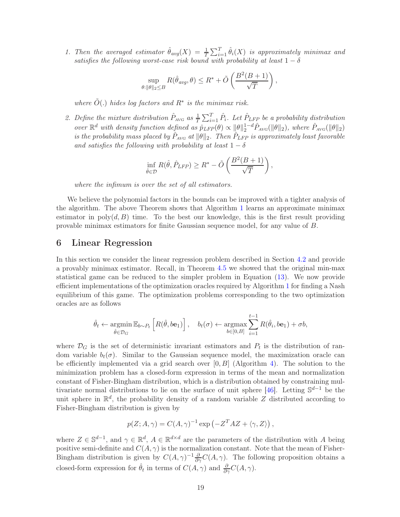*1. Then the averaged estimator*  $\hat{\theta}_{avg}(X) = \frac{1}{T} \sum_{i=1}^{T} \hat{\theta}_i(X)$  *is approximately minimax and satisfies the following worst-case risk bound with probability at least*  $1 - \delta$ 

$$
\sup_{\theta:\|\theta\|_2\leq B} R(\hat{\theta}_{avg}, \theta) \leq R^* + \tilde{O}\left(\frac{B^2(B+1)}{\sqrt{T}}\right),\,
$$

*where*  $\tilde{O}(.)$  *hides log factors and*  $R^*$  *is the minimax risk.* 

2. Define the mixture distribution  $\hat{P}_{AVG}$  as  $\frac{1}{T} \sum_{i=1}^{T} \hat{P}_{i}$ . Let  $\hat{P}_{LFP}$  be a probability distribution *over*  $\mathbb{R}^d$  *with density function defined as*  $\hat{p}_{LFP}(\theta) \propto ||\theta||_2^{1-d} \hat{P}_{AVG}(||\theta||_2)$ *, where*  $\hat{P}_{AVG}(||\theta||_2)$ *is the probability mass placed by*  $\hat{P}_{AVG}$  *at*  $\|\theta\|_2$ . Then  $\hat{P}_{LFP}$  *is approximately least favorable and satisfies the following with probability at least*  $1 - \delta$ 

$$
\inf_{\hat{\theta}\in\mathcal{D}} R(\hat{\theta}, \hat{P}_{LFP}) \ge R^* - \tilde{O}\left(\frac{B^2(B+1)}{\sqrt{T}}\right),\,
$$

*where the infimum is over the set of all estimators.*

We believe the polynomial factors in the bounds can be improved with a tighter analysis of the algorithm. The above Theorem shows that Algorithm [1](#page-10-0) learns an approximate minimax estimator in  $poly(d, B)$  time. To the best our knowledge, this is the first result providing provable minimax estimators for finite Gaussian sequence model, for any value of B.

### <span id="page-18-0"></span>6 Linear Regression

In this section we consider the linear regression problem described in Section [4.2](#page-15-1) and provide a provably minimax estimator. Recall, in Theorem [4.5](#page-15-2) we showed that the original min-max statistical game can be reduced to the simpler problem in Equation [\(13\)](#page-15-3). We now provide efficient implementations of the optimization oracles required by Algorithm [1](#page-10-0) for finding a Nash equilibrium of this game. The optimization problems corresponding to the two optimization oracles are as follows

$$
\hat{\theta}_t \leftarrow \underset{\hat{\theta} \in \mathcal{D}_G}{\operatorname{argmin}} \mathbb{E}_{b \sim P_t} \left[ R(\hat{\theta}, b\mathbf{e}_1) \right], \quad b_t(\sigma) \leftarrow \underset{b \in [0, B]}{\operatorname{argmax}} \sum_{i=1}^{t-1} R(\hat{\theta}_i, b\mathbf{e}_1) + \sigma b,
$$

where  $\mathcal{D}_G$  is the set of deterministic invariant estimators and  $P_t$  is the distribution of random variable  $b_t(\sigma)$ . Similar to the Gaussian sequence model, the maximization oracle can be efficiently implemented via a grid search over  $[0, B]$  (Algorithm [4\)](#page-19-0). The solution to the minimization problem has a closed-form expression in terms of the mean and normalization constant of Fisher-Bingham distribution, which is a distribution obtained by constraining mul-tivariate normal distributions to lie on the surface of unit sphere [\[46](#page-30-10)]. Letting  $\mathbb{S}^{d-1}$  be the unit sphere in  $\mathbb{R}^d$ , the probability density of a random variable Z distributed according to Fisher-Bingham distribution is given by

$$
p(Z; A, \gamma) = C(A, \gamma)^{-1} \exp(-Z^T A Z + \langle \gamma, Z \rangle),
$$

where  $Z \in \mathbb{S}^{d-1}$ , and  $\gamma \in \mathbb{R}^d$ ,  $A \in \mathbb{R}^{d \times d}$  are the parameters of the distribution with A being positive semi-definite and  $C(A, \gamma)$  is the normalization constant. Note that the mean of Fisher-Bingham distribution is given by  $C(A, \gamma)^{-1} \frac{\partial}{\partial \gamma} C(A, \gamma)$ . The following proposition obtains a closed-form expression for  $\hat{\theta}_t$  in terms of  $C(A, \gamma)$  and  $\frac{\partial}{\partial \gamma}C(A, \gamma)$ .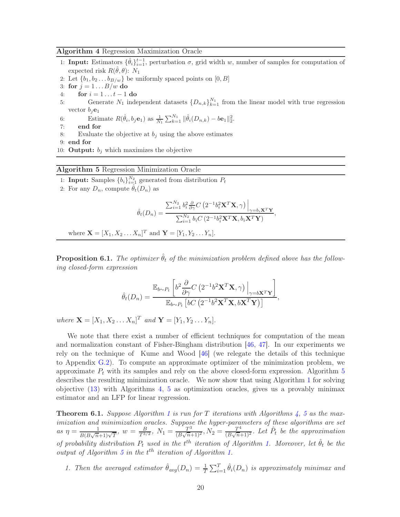#### <span id="page-19-0"></span>Algorithm 4 Regression Maximization Oracle

- 1: **Input:** Estimators  $\{\hat{\theta}_i\}_{i=1}^{t-1}$ , perturbation  $\sigma$ , grid width w, number of samples for computation of expected risk  $R(\hat{\theta}, \theta)$ :  $N_1$
- 2: Let  $\{b_1, b_2 \ldots b_{B/w}\}$  be uniformly spaced points on  $[0, B]$
- 3: for  $j = 1 \dots B/w$  do
- 4: **for**  $i = 1...t-1$  **do**<br>5: **Generate**  $N_1$  inde
- 5: Generate  $N_1$  independent datasets  $\{D_{n,k}\}_{k=1}^{N_1}$  from the linear model with true regression vector  $b_j$ **e**<sub>1</sub>
- 6: Estimate  $R(\hat{\theta}_i, b_j \mathbf{e}_1)$  as  $\frac{1}{N_1} \sum_{k=1}^{N_1} ||\hat{\theta}_i(D_{n,k}) b\mathbf{e}_1||_2^2$ .
- 7: end for
- 8: Evaluate the objective at  $b_i$  using the above estimates
- 9: end for
- 10: **Output:**  $b_i$  which maximizes the objective

### <span id="page-19-1"></span>Algorithm 5 Regression Minimization Oracle

- 1: **Input:** Samples  ${b_i}_{i=1}^{N_2}$  generated from distribution  $P_t$
- 2: For any  $D_n$ , compute  $\hat{\theta}_t(D_n)$  as

$$
\hat{\theta}_t(D_n) = \frac{\sum_{i=1}^{N_2} b_i^2 \frac{\partial}{\partial \gamma} C\left(2^{-1} b_i^2 \mathbf{X}^T \mathbf{X}, \gamma\right)\Big|_{\gamma=b_i \mathbf{X}^T \mathbf{Y}}}{\sum_{i=1}^{N_2} b_i C\left(2^{-1} b_i^2 \mathbf{X}^T \mathbf{X}, b_i \mathbf{X}^T \mathbf{Y}\right)},
$$

where 
$$
\mathbf{X} = [X_1, X_2 \dots X_n]^T
$$
 and  $\mathbf{Y} = [Y_1, Y_2 \dots Y_n]$ .

<span id="page-19-2"></span>**Proposition 6.1.** The optimizer  $\hat{\theta}_t$  of the minimization problem defined above has the follow*ing closed-form expression*

$$
\hat{\theta}_t(D_n) = \frac{\mathbb{E}_{b \sim P_t} \left[ b^2 \frac{\partial}{\partial \gamma} C \left( 2^{-1} b^2 \mathbf{X}^T \mathbf{X}, \gamma \right) \Big|_{\gamma = b \mathbf{X}^T \mathbf{Y}} \right]}{\mathbb{E}_{b \sim P_t} \left[ b C \left( 2^{-1} b^2 \mathbf{X}^T \mathbf{X}, b \mathbf{X}^T \mathbf{Y} \right) \right]},
$$

*where*  $\mathbf{X} = [X_1, X_2 \dots X_n]^T$  *and*  $\mathbf{Y} = [Y_1, Y_2 \dots Y_n]$ *.* 

We note that there exist a number of efficient techniques for computation of the mean and normalization constant of Fisher-Bingham distribution [\[46,](#page-30-10) [47](#page-30-11)]. In our experiments we rely on the technique of Kume and Wood [\[46](#page-30-10)] (we relegate the details of this technique to Appendix [G.2\)](#page-50-0). To compute an approximate optimizer of the minimization problem, we approximate  $P_t$  with its samples and rely on the above closed-form expression. Algorithm [5](#page-19-1) describes the resulting minimization oracle. We now show that using Algorithm [1](#page-10-0) for solving objective [\(13\)](#page-15-3) with Algorithms [4,](#page-19-0) [5](#page-19-1) as optimization oracles, gives us a provably minimax estimator and an LFP for linear regression.

<span id="page-19-3"></span>Theorem 6.1. *Suppose Algorithm [1](#page-10-0) is run for* T *iterations with Algorithms [4,](#page-19-0) [5](#page-19-1) as the maximization and minimization oracles. Suppose the hyper-parameters of these algorithms are set as*  $\eta = \frac{1}{P(P\sqrt{n}}$  $\frac{1}{B(B\sqrt{n+1})\sqrt{T}}, w = \frac{B}{T^{3/2}}, N_1 = \frac{T^3}{(B\sqrt{n+1})^3}$  $\frac{T^3}{(B\sqrt{n}+1)^2}, N_2 = \frac{T^4}{(B\sqrt{n}+1)^2}$  $\frac{T^4}{(B\sqrt{n}+1)^2}$ *. Let*  $\hat{P}_t$  *be the approximation of probability distribution*  $P_t$  *used in the*  $t^{th}$  *iteration of Algorithm [1.](#page-10-0) Moreover, let*  $\hat{\theta}_t$  *be the output of Algorithm [5](#page-19-1) in the*  $t^{\text{th}}$  *iteration of Algorithm [1.](#page-10-0)* 

*1. Then the averaged estimator*  $\hat{\theta}_{avg}(D_n) = \frac{1}{T} \sum_{i=1}^{T} \hat{\theta}_i(D_n)$  *is approximately minimax and*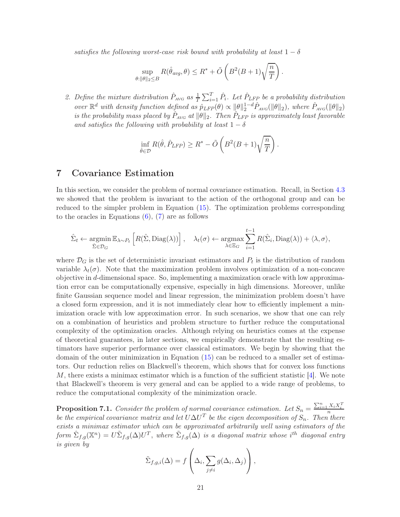*satisfies the following worst-case risk bound with probability at least*  $1 - \delta$ 

$$
\sup_{\theta: \|\theta\|_2 \leq B} R(\hat{\theta}_{avg}, \theta) \leq R^* + \tilde{O}\left(B^2(B+1)\sqrt{\frac{n}{T}}\right).
$$

2. Define the mixture distribution  $\hat{P}_{AVG}$  as  $\frac{1}{T} \sum_{i=1}^{T} \hat{P}_{i}$ . Let  $\hat{P}_{LFP}$  be a probability distribution *over*  $\mathbb{R}^d$  *with density function defined as*  $\hat{p}_{LFP}(\theta) \propto ||\theta||_2^{1-d} \hat{P}_{AVG}(||\theta||_2)$ *, where*  $\hat{P}_{AVG}(||\theta||_2)$ *is the probability mass placed by*  $\hat{P}_{AVG}$  *at*  $\|\theta\|_2$ . Then  $\hat{P}_{LFP}$  *is approximately least favorable and satisfies the following with probability at least*  $1 - \delta$ 

$$
\inf_{\hat{\theta}\in\mathcal{D}} R(\hat{\theta}, \hat{P}_{LFP}) \ge R^* - \tilde{O}\left(B^2(B+1)\sqrt{\frac{n}{T}}\right).
$$

## 7 Covariance Estimation

In this section, we consider the problem of normal covariance estimation. Recall, in Section [4.3](#page-15-4) we showed that the problem is invariant to the action of the orthogonal group and can be reduced to the simpler problem in Equation [\(15\)](#page-15-5). The optimization problems corresponding to the oracles in Equations  $(6)$ ,  $(7)$  are as follows

$$
\hat{\Sigma}_t \leftarrow \underset{\hat{\Sigma} \in \mathcal{D}_G}{\operatorname{argmin}} \mathbb{E}_{\lambda \sim P_t} \left[ R(\hat{\Sigma}, \text{Diag}(\lambda)) \right], \quad \lambda_t(\sigma) \leftarrow \underset{\lambda \in \Xi_G}{\operatorname{argmax}} \sum_{i=1}^{t-1} R(\hat{\Sigma}_i, \text{Diag}(\lambda)) + \langle \lambda, \sigma \rangle,
$$

where  $\mathcal{D}_G$  is the set of deterministic invariant estimators and  $P_t$  is the distribution of random variable  $\lambda_t(\sigma)$ . Note that the maximization problem involves optimization of a non-concave objective in d-dimensional space. So, implementing a maximization oracle with low approximation error can be computationally expensive, especially in high dimensions. Moreover, unlike finite Gaussian sequence model and linear regression, the minimization problem doesn't have a closed form expression, and it is not immediately clear how to efficiently implement a minimization oracle with low approximation error. In such scenarios, we show that one can rely on a combination of heuristics and problem structure to further reduce the computational complexity of the optimization oracles. Although relying on heuristics comes at the expense of theoretical guarantees, in later sections, we empirically demonstrate that the resulting estimators have superior performance over classical estimators. We begin by showing that the domain of the outer minimization in Equation [\(15\)](#page-15-5) can be reduced to a smaller set of estimators. Our reduction relies on Blackwell's theorem, which shows that for convex loss functions M, there exists a minimax estimator which is a function of the sufficient statistic  $[4]$ . We note that Blackwell's theorem is very general and can be applied to a wide range of problems, to reduce the computational complexity of the minimization oracle.

<span id="page-20-0"></span>**Proposition 7.1.** Consider the problem of normal covariance estimation. Let  $S_n = \frac{\sum_{i=1}^n X_i X_i^T}{n}$ *be the empirical covariance matrix and let*  $U\Delta U^T$  *be the eigen decomposition of*  $S_n$ . Then there *exists a minimax estimator which can be approximated arbitrarily well using estimators of the*  ${\hat \Sigma}_{f,g}({\mathbb X}^n)=U{\tilde \Sigma}_{f,g}(\Delta)U^T,$  where  ${\tilde \Sigma}_{f,g}(\Delta)$  is a diagonal matrix whose i<sup>th</sup> diagonal entry *is given by*

$$
\tilde{\Sigma}_{f,g,i}(\Delta) = f\left(\Delta_i, \sum_{j \neq i} g(\Delta_i, \Delta_j)\right),
$$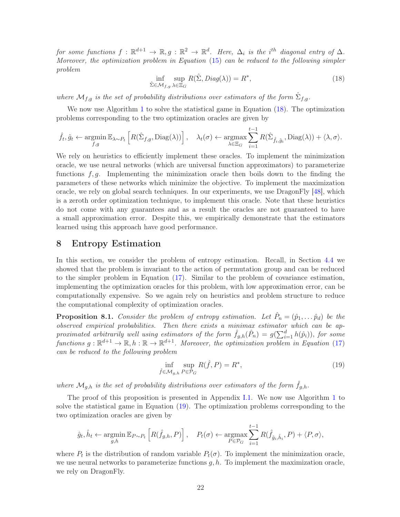<span id="page-21-0"></span> $\mathcal{L}$  *for some functions*  $f: \mathbb{R}^{d+1} \to \mathbb{R}$ ,  $g: \mathbb{R}^2 \to \mathbb{R}^d$ . Here,  $\Delta_i$  is the i<sup>th</sup> diagonal entry of  $\Delta$ . *Moreover, the optimization problem in Equation* [\(15\)](#page-15-5) *can be reduced to the following simpler problem*

$$
\inf_{\hat{\Sigma}\in\mathcal{M}_{f,g}}\sup_{\lambda\in\Xi_G} R(\hat{\Sigma},Diag(\lambda))=R^*,\tag{18}
$$

where  $\mathcal{M}_{f,g}$  *is the set of probability distributions over estimators of the form*  $\hat{\Sigma}_{f,g}$ .

We now use Algorithm [1](#page-10-0) to solve the statistical game in Equation [\(18\)](#page-21-0). The optimization problems corresponding to the two optimization oracles are given by

$$
\hat{f}_t, \hat{g}_t \leftarrow \underset{f,g}{\text{argmin}} \mathbb{E}_{\lambda \sim P_t} \left[ R(\hat{\Sigma}_{f,g}, \text{Diag}(\lambda)) \right], \quad \lambda_t(\sigma) \leftarrow \underset{\lambda \in \Xi_G}{\text{argmax}} \sum_{i=1}^{t-1} R(\hat{\Sigma}_{\hat{f}_i, \hat{g}_i}, \text{Diag}(\lambda)) + \langle \lambda, \sigma \rangle.
$$

We rely on heuristics to efficiently implement these oracles. To implement the minimization oracle, we use neural networks (which are universal function approximators) to parameterize functions  $f, g$ . Implementing the minimization oracle then boils down to the finding the parameters of these networks which minimize the objective. To implement the maximization oracle, we rely on global search techniques. In our experiments, we use DragonFly [\[48](#page-30-12)], which is a zeroth order optimization technique, to implement this oracle. Note that these heuristics do not come with any guarantees and as a result the oracles are not guaranteed to have a small approximation error. Despite this, we empirically demonstrate that the estimators learned using this approach have good performance.

## 8 Entropy Estimation

In this section, we consider the problem of entropy estimation. Recall, in Section [4.4](#page-16-2) we showed that the problem is invariant to the action of permutation group and can be reduced to the simpler problem in Equation [\(17\)](#page-16-3). Similar to the problem of covariance estimation, implementing the optimization oracles for this problem, with low approximation error, can be computationally expensive. So we again rely on heuristics and problem structure to reduce the computational complexity of optimization oracles.

<span id="page-21-2"></span>**Proposition 8.1.** *Consider the problem of entropy estimation. Let*  $\hat{P}_n = (\hat{p}_1, \dots, \hat{p}_d)$  *be the observed empirical probabilities. Then there exists a minimax estimator which can be approximated arbitrarily well using estimators of the form*  $\hat{f}_{g,h}(\hat{P}_n) = g(\sum_{i=1}^d h(\hat{p}_i))$ , *for some*  $functions g: \mathbb{R}^{d+1} \to \mathbb{R}, h: \mathbb{R} \to \mathbb{R}^{d+1}$ . Moreover, the optimization problem in Equation [\(17\)](#page-16-3) *can be reduced to the following problem*

<span id="page-21-1"></span>
$$
\inf_{\hat{f}\in\mathcal{M}_{g,h}} \sup_{P\in\mathcal{P}_G} R(\hat{f}, P) = R^*,\tag{19}
$$

where  $\mathcal{M}_{g,h}$  *is the set of probability distributions over estimators of the form*  $\hat{f}_{g,h}$ *.* 

The proof of this proposition is presented in Appendix [I.1.](#page-58-0) We now use Algorithm [1](#page-10-0) to solve the statistical game in Equation [\(19\)](#page-21-1). The optimization problems corresponding to the two optimization oracles are given by

$$
\hat{g}_t, \hat{h}_t \leftarrow \underset{g, h}{\text{argmin}} \mathbb{E}_{P \sim P_t} \left[ R(\hat{f}_{g,h}, P) \right], \quad P_t(\sigma) \leftarrow \underset{P \in \mathcal{P}_G}{\text{argmax}} \sum_{i=1}^{t-1} R(\hat{f}_{\hat{g}_i, \hat{h}_i}, P) + \langle P, \sigma \rangle,
$$

where  $P_t$  is the distribution of random variable  $P_t(\sigma)$ . To implement the minimization oracle, we use neural networks to parameterize functions  $g, h$ . To implement the maximization oracle, we rely on DragonFly.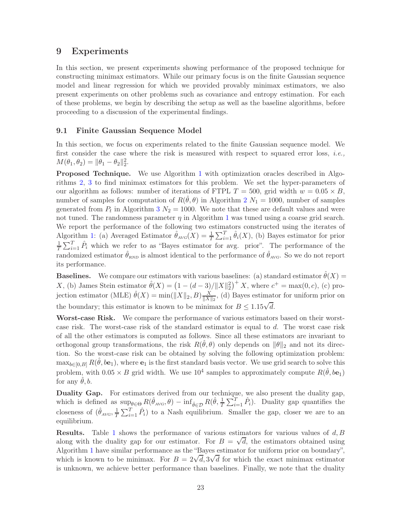## <span id="page-22-0"></span>9 Experiments

In this section, we present experiments showing performance of the proposed technique for constructing minimax estimators. While our primary focus is on the finite Gaussian sequence model and linear regression for which we provided provably minimax estimators, we also present experiments on other problems such as covariance and entropy estimation. For each of these problems, we begin by describing the setup as well as the baseline algorithms, before proceeding to a discussion of the experimental findings.

### 9.1 Finite Gaussian Sequence Model

In this section, we focus on experiments related to the finite Gaussian sequence model. We first consider the case where the risk is measured with respect to squared error loss, *i.e.,*  $M(\theta_1, \theta_2) = ||\theta_1 - \theta_2||_2^2.$ 

Proposed Technique. We use Algorithm [1](#page-10-0) with optimization oracles described in Algorithms [2,](#page-17-0) [3](#page-17-1) to find minimax estimators for this problem. We set the hyper-parameters of our algorithm as follows: number of iterations of FTPL  $T = 500$ , grid width  $w = 0.05 \times B$ , number of samples for computation of  $R(\hat{\theta}, \theta)$  in Algorithm [2](#page-17-0)  $N_1 = 1000$ , number of samples generated from  $P_t$  in Algorithm [3](#page-17-1)  $N_2 = 1000$ . We note that these are default values and were not tuned. The randomness parameter  $\eta$  in Algorithm [1](#page-10-0) was tuned using a coarse grid search. We report the performance of the following two estimators constructed using the iterates of Algorithm [1:](#page-10-0) (a) Averaged Estimator  $\hat{\theta}_{AVG}(X) = \frac{1}{T} \sum_{i=1}^{T} \hat{\theta}_i(X)$ , (b) Bayes estimator for prior 1  $\frac{1}{T}\sum_{i=1}^{T} \hat{P}_i$  which we refer to as "Bayes estimator for avg. prior". The performance of the randomized estimator  $\hat{\theta}_{RND}$  is almost identical to the performance of  $\hat{\theta}_{AVG}$ . So we do not report its performance.

**Baselines.** We compare our estimators with various baselines: (a) standard estimator  $\hat{\theta}(X)$  = X, (b) James Stein estimator  $\hat{\theta}(X) = (1 - (d-3)/||X||_2^2)^+ X$ , where  $c^+ = \max(0, c)$ , (c) projection estimator (MLE)  $\hat{\theta}(X) = \min(||X||_2, B) \frac{X}{||X||}$  $\frac{X}{\|X\|_2}$ , (d) Bayes estimator for uniform prior on the boundary; this estimator is known to be minimax for  $B \leq 1.15\sqrt{d}$ .

Worst-case Risk. We compare the performance of various estimators based on their worstcase risk. The worst-case risk of the standard estimator is equal to d. The worst case risk of all the other estimators is computed as follows. Since all these estimators are invariant to orthogonal group transformations, the risk  $R(\hat{\theta}, \theta)$  only depends on  $\|\theta\|_2$  and not its direction. So the worst-case risk can be obtained by solving the following optimization problem:  $\max_{b \in [0,B]} R(\hat{\theta}, b\mathbf{e}_1)$ , where  $\mathbf{e}_1$  is the first standard basis vector. We use grid search to solve this problem, with  $0.05 \times B$  grid width. We use  $10^4$  samples to approximately compute  $R(\hat{\theta}, b\mathbf{e}_1)$ for any  $\theta$ , b.

Duality Gap. For estimators derived from our technique, we also present the duality gap, which is defined as  $\sup_{\theta \in \Theta} R(\hat{\theta}_{AVG}, \theta) - \inf_{\hat{\theta} \in \mathcal{D}} R(\hat{\theta}, \frac{1}{T} \sum_{i=1}^{T} \hat{P}_i)$ . Duality gap quantifies the closeness of  $(\hat{\theta}_{AVG}, \frac{1}{7})$  $\frac{1}{T} \sum_{i=1}^{T} \hat{P}_i$  to a Nash equilibrium. Smaller the gap, closer we are to an equilibrium.

**Results.** Table [1](#page-23-0) shows the performance of various estimators for various values of  $d, B$ along with the duality gap for our estimator. For  $B = \sqrt{d}$ , the estimators obtained using Algorithm [1](#page-10-0) have similar performance as the "Bayes estimator for uniform prior on boundary", which is known to be minimax. For  $B = 2\sqrt{d}$ ,  $3\sqrt{d}$  for which the exact minimax estimator is unknown, we achieve better performance than baselines. Finally, we note that the duality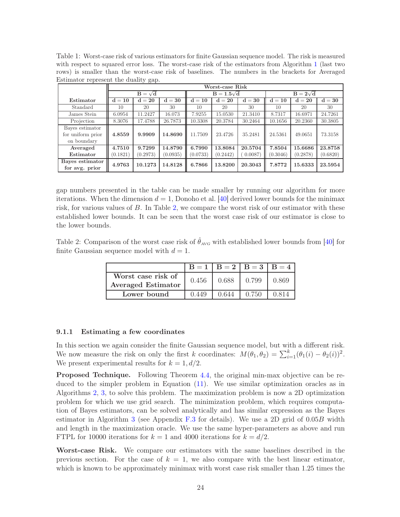<span id="page-23-0"></span>Table 1: Worst-case risk of various estimators for finite Gaussian sequence model. The risk is measured with respect to squared error loss. The worst-case risk of the estimators from Algorithm [1](#page-10-0) (last two rows) is smaller than the worst-case risk of baselines. The numbers in the brackets for Averaged Estimator represent the duality gap.

|                   |          | Worst-case Risk |          |          |                   |         |                 |          |                   |  |
|-------------------|----------|-----------------|----------|----------|-------------------|---------|-----------------|----------|-------------------|--|
|                   |          | $B = \sqrt{d}$  |          |          | $B = 1.5\sqrt{d}$ |         | $B = 2\sqrt{d}$ |          |                   |  |
| Estimator         | $d = 10$ | $d=20$          | $d=30$   | $d = 10$ | $d = 20$          | $d=30$  | $d = 10$        | $d = 20$ | $\mathrm{d} = 30$ |  |
| Standard          | 10       | 20              | 30       | 10       | 20                | 30      | 10              | 20       | 30                |  |
| James Stein       | 6.0954   | 11.2427         | 16.073   | 7.9255   | 15.0530           | 21.3410 | 8.7317          | 16.6971  | 24.7261           |  |
| Projection        | 8.3076   | 17.4788         | 26.7873  | 10.3308  | 20.3784           | 30.2464 | 10.1656         | 20.2360  | 30.3805           |  |
| Bayes estimator   |          |                 |          |          |                   |         |                 |          |                   |  |
| for uniform prior | 4.8559   | 9.9909          | 14.8690  | 11.7509  | 23.4726           | 35.2481 | 24.5361         | 49.0651  | 73.3158           |  |
| on boundary       |          |                 |          |          |                   |         |                 |          |                   |  |
| Averaged          | 4.7510   | 9.7299          | 14.8790  | 6.7990   | 13.8084           | 20.5704 | 7.8504          | 15.6686  | 23.8758           |  |
| Estimator         | (0.1821) | (0.2973)        | (0.0935) | (0.0733) | (0.2442)          | 0.0087  | (0.3046)        | (0.2878) | (0.6820)          |  |
| Bayes estimator   | 4.9763   | 10.1273         | 14.8128  | 6.7866   | 13.8200           | 20.3043 | 7.8772          | 15.6333  | 23.5954           |  |
| for avg. prior    |          |                 |          |          |                   |         |                 |          |                   |  |

gap numbers presented in the table can be made smaller by running our algorithm for more iterations. When the dimension  $d = 1$ , Donoho et al. [\[40](#page-30-4)] derived lower bounds for the minimax risk, for various values of B. In Table [2,](#page-23-1) we compare the worst risk of our estimator with these established lower bounds. It can be seen that the worst case risk of our estimator is close to the lower bounds.

Table 2: Comparison of the worst case risk of  $\hat{\theta}_{AVG}$  with established lower bounds from [\[40\]](#page-30-4) for finite Gaussian sequence model with  $d = 1$ .

<span id="page-23-1"></span>

|                                                 |       | $B = 1   B = 2   B = 3   B = 4$ |       |       |
|-------------------------------------------------|-------|---------------------------------|-------|-------|
| Worst case risk of<br><b>Averaged Estimator</b> | 0.456 | 0.688                           | 0.799 | 0.869 |
| Lower bound                                     | 0.449 | 0.644                           | 0.750 | 0.814 |

### 9.1.1 Estimating a few coordinates

In this section we again consider the finite Gaussian sequence model, but with a different risk. We now measure the risk on only the first k coordinates:  $M(\theta_1, \theta_2) = \sum_{i=1}^k (\theta_1(i) - \theta_2(i))^2$ . We present experimental results for  $k = 1, d/2$ .

Proposed Technique. Following Theorem [4.4,](#page-14-5) the original min-max objective can be reduced to the simpler problem in Equation [\(11\)](#page-14-6). We use similar optimization oracles as in Algorithms [2,](#page-17-0) [3,](#page-17-1) to solve this problem. The maximization problem is now a 2D optimization problem for which we use grid search. The minimization problem, which requires computation of Bayes estimators, can be solved analytically and has similar expression as the Bayes estimator in Algorithm [3](#page-17-1) (see Appendix [F.3](#page-48-0) for details). We use a 2D grid of  $0.05B$  width and length in the maximization oracle. We use the same hyper-parameters as above and run FTPL for 10000 iterations for  $k = 1$  and 4000 iterations for  $k = d/2$ .

Worst-case Risk. We compare our estimators with the same baselines described in the previous section. For the case of  $k = 1$ , we also compare with the best linear estimator, which is known to be approximately minimax with worst case risk smaller than 1.25 times the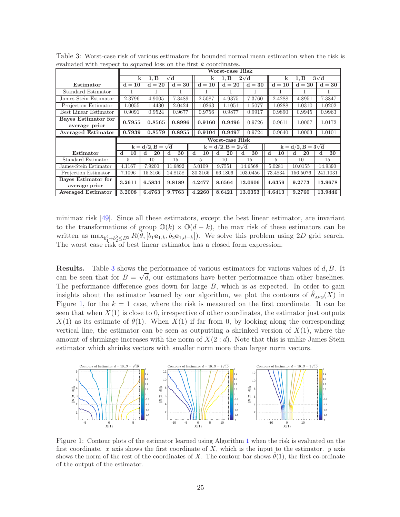|                                      | Worst-case Risk       |                         |          |  |                             |  |                            |  |                            |                             |                            |          |  |
|--------------------------------------|-----------------------|-------------------------|----------|--|-----------------------------|--|----------------------------|--|----------------------------|-----------------------------|----------------------------|----------|--|
|                                      | $k = 1, B = \sqrt{d}$ |                         |          |  | $k = 1$ , $B = 2\sqrt{d}$   |  |                            |  |                            | $k = 1$ , $B = 3\sqrt{d}$   |                            |          |  |
| Estimator                            | $d = 10$              | $d=20$                  | $d = 30$ |  | $\mathbf{d} = \mathbf{10}$  |  | $\mathbf{d} = \mathbf{20}$ |  | $d = 30$                   | $\mathbf{d} = \mathbf{10}$  | $d=20$                     | $d = 30$ |  |
| Standard Estimator                   |                       |                         |          |  |                             |  |                            |  |                            |                             |                            |          |  |
| James-Stein Estimator                | 2.3796                | 4.9005                  | 7.3489   |  | 2.5087                      |  | 4.9375                     |  | 7.3760                     | 2.4288                      | 4.8951                     | 7.3847   |  |
| Projection Estimator                 | 1.0055                | 1.4430                  | 2.0424   |  | 1.0263                      |  | 1.1051                     |  | 1.5077                     | 1.0288                      | 1.0310                     | 1.0202   |  |
| Best Linear Estimator                | 0.9091                | 0.9524                  | 0.9677   |  | 0.9756                      |  | 0.9877                     |  | 0.9917                     | 0.9890                      | 0.9945                     | 0.9963   |  |
| Bayes Estimator for<br>average prior | 0.7955                | 0.8565                  | 0.8996   |  | 0.9160                      |  | 0.9496                     |  | 0.9726                     | 0.9611                      | 1.0007                     | 1.0172   |  |
| <b>Averaged Estimator</b>            | 0.7939                | 0.8579                  | 0.8955   |  | 0.9104                      |  | 0.9497                     |  | 0.9724                     | 0.9640                      | 1.0003                     | 1.0101   |  |
|                                      |                       |                         |          |  | Worst-case Risk             |  |                            |  |                            |                             |                            |          |  |
|                                      |                       | $k = d/2, B = \sqrt{d}$ |          |  | $k = d/2$ , $B = 2\sqrt{d}$ |  |                            |  |                            | $k = d/2$ , $B = 3\sqrt{d}$ |                            |          |  |
| Estimator                            | $d = 10$              | $d=20$                  | $d=30$   |  | $d = 10$                    |  | $d=20$                     |  | $\mathbf{d} = \mathbf{30}$ | $d = 10$                    | $\mathbf{d} = \mathbf{20}$ | $d = 30$ |  |
| Standard Estimator                   | 5                     | 10                      | 15       |  | 5                           |  | 10                         |  | 15                         | 5.                          | 10                         | 15       |  |
| James-Stein Estimator                | 4.1167                | 7.9200                  | 11.6892  |  | 5.0109                      |  | 9.7551                     |  | 14.6568                    | 5.0281                      | 10.0155                    | 14.9390  |  |
| Projection Estimator                 | 7.1096                | 15.8166                 | 24.8158  |  | 30.3166                     |  | 66.1806                    |  | 103.0456                   | 73.4834                     | 156.5076                   | 241.1031 |  |
| Bayes Estimator for<br>average prior | 3.2611                | 6.5834                  | 9.8189   |  | 4.2477                      |  | 8.6564                     |  | 13.0606                    | 4.6359                      | 9.2773                     | 13.9678  |  |
| <b>Averaged Estimator</b>            | 3.2008                | 6.4763                  | 9.7763   |  | 4.2260                      |  | 8.6421                     |  | 13.0353                    | 4.6413                      | 9.2760                     | 13.9446  |  |

<span id="page-24-0"></span>Table 3: Worst-case risk of various estimators for bounded normal mean estimation when the risk is evaluated with respect to squared loss on the first k coordinates.

minimax risk [\[49\]](#page-30-13). Since all these estimators, except the best linear estimator, are invariant to the transformations of group  $\mathbb{O}(k) \times \mathbb{O}(d-k)$ , the max risk of these estimators can be written as  $\max_{b_1^2+b_2^2\leq B^2} R(\hat{\theta}, [b_1\mathbf{e}_{1,k}, b_2\mathbf{e}_{1,d-k}])$ . We solve this problem using 2D grid search. The worst case risk of best linear estimator has a closed form expression.

Results. Table [3](#page-24-0) shows the performance of various estimators for various values of d, B. It can be seen that for  $B = \sqrt{d}$ , our estimators have better performance than other baselines. The performance difference goes down for large  $B$ , which is as expected. In order to gain insights about the estimator learned by our algorithm, we plot the contours of  $\theta_{AVG}(X)$  in Figure [1,](#page-24-1) for the  $k = 1$  case, where the risk is measured on the first coordinate. It can be seen that when  $X(1)$  is close to 0, irrespective of other coordinates, the estimator just outputs  $X(1)$  as its estimate of  $\theta(1)$ . When  $X(1)$  if far from 0, by looking along the corresponding vertical line, the estimator can be seen as outputting a shrinked version of  $X(1)$ , where the amount of shrinkage increases with the norm of  $X(2:d)$ . Note that this is unlike James Stein estimator which shrinks vectors with smaller norm more than larger norm vectors.



<span id="page-24-1"></span>Figure 1: Contour plots of the estimator learned using Algorithm [1](#page-10-0) when the risk is evaluated on the first coordinate. x axis shows the first coordinate of  $X$ , which is the input to the estimator.  $y$  axis shows the norm of the rest of the coordinates of X. The contour bar shows  $\hat{\theta}(1)$ , the first co-ordinate of the output of the estimator.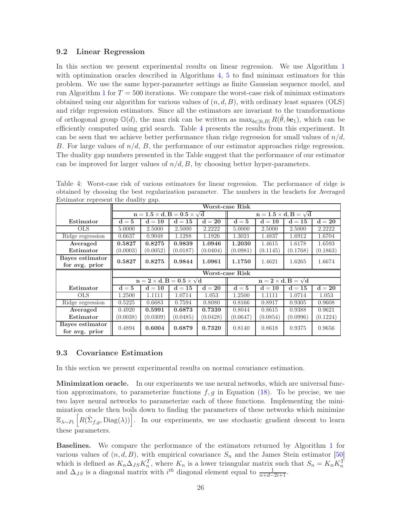### 9.2 Linear Regression

In this section we present experimental results on linear regression. We use Algorithm [1](#page-10-0) with optimization oracles described in Algorithms [4,](#page-19-0) [5](#page-19-1) to find minimax estimators for this problem. We use the same hyper-parameter settings as finite Gaussian sequence model, and run Algorithm [1](#page-10-0) for  $T = 500$  iterations. We compare the worst-case risk of minimax estimators obtained using our algorithm for various values of  $(n, d, B)$ , with ordinary least squares (OLS) and ridge regression estimators. Since all the estimators are invariant to the transformations of orthogonal group  $\mathbb{O}(d)$ , the max risk can be written as  $\max_{b\in[0,B]} R(\hat{\theta}, b\mathbf{e}_1)$ , which can be efficiently computed using grid search. Table [4](#page-25-0) presents the results from this experiment. It can be seen that we achieve better performance than ridge regression for small values of  $n/d$ , B. For large values of  $n/d$ , B, the performance of our estimator approaches ridge regression. The duality gap numbers presented in the Table suggest that the performance of our estimator can be improved for larger values of  $n/d, B$ , by choosing better hyper-parameters.

|                                   | Worst-case Risk |          |                                                |                                     |                 |                                   |          |          |  |
|-----------------------------------|-----------------|----------|------------------------------------------------|-------------------------------------|-----------------|-----------------------------------|----------|----------|--|
|                                   |                 |          | $n = 1.5 \times d$ , $B = 0.5 \times \sqrt{d}$ | $n = 1.5 \times d$ , $B = \sqrt{d}$ |                 |                                   |          |          |  |
| Estimator                         | $d=5$           | $d = 10$ | $d=15$                                         | $d=20$                              | $d = 5$         | $d = 10$                          | $d = 15$ | $d=20$   |  |
| <b>OLS</b>                        | 5.0000          | 2.5000   | 2.5000                                         | 2.2222                              | 5.0000          | 2.5000                            | 2.5000   | 2.2222   |  |
| Ridge regression                  | 0.6637          | 0.9048   | 1.1288                                         | 1.1926                              | 1.3021          | 1.4837                            | 1.6912   | 1.6704   |  |
| Averaged                          | 0.5827          | 0.8275   | 0.9839                                         | 1.0946                              | 1.2030          | 1.4615                            | 1.6178   | 1.6593   |  |
| Estimator                         | (0.0003)        | (0.0052) | (0.0187)                                       | (0.0404)                            | (0.0981)        | (0.1145)                          | (0.1768) | (0.1863) |  |
| Bayes estimator<br>for avg. prior | 0.5827          | 0.8275   | 0.9844                                         | 1.0961                              | 1.1750          | 1.4621                            | 1.6265   | 1.6674   |  |
|                                   |                 |          |                                                |                                     |                 |                                   |          |          |  |
|                                   |                 |          |                                                |                                     | Worst-case Risk |                                   |          |          |  |
|                                   |                 |          | $n = 2 \times d$ , $B = 0.5 \times \sqrt{d}$   |                                     |                 | $n = 2 \times d$ , $B = \sqrt{d}$ |          |          |  |
| Estimator                         | $d=5$           | $d = 10$ | $d = 15$                                       | $d=20$                              | $d=5$           | $d = 10$                          | $d = 15$ | $d=20$   |  |
| <b>OLS</b>                        | 1.2500          | 1.1111   | 1.0714                                         | 1.053                               | 1.2500          | 1.1111                            | 1.0714   | 1.053    |  |
| Ridge regression                  | 0.5225          | 0.6683   | 0.7594                                         | 0.8080                              | 0.8166          | 0.8917                            | 0.9305   | 0.9608   |  |
| Averaged                          | 0.4920          | 0.5991   | 0.6873                                         | 0.7339                              | 0.8044          | 0.8615                            | 0.9388   | 0.9621   |  |
| Estimator                         | (0.0038)        | (0.0309) | (0.0485)                                       | (0.0428)                            | (0.0647)        | (0.0854)                          | (0.0996) | (0.1224) |  |

<span id="page-25-0"></span>Table 4: Worst-case risk of various estimators for linear regression. The performance of ridge is obtained by choosing the best regularization parameter. The numbers in the brackets for Averaged Estimator represent the duality gap.

## 9.3 Covariance Estimation

In this section we present experimental results on normal covariance estimation.

Minimization oracle. In our experiments we use neural networks, which are universal function approximators, to parameterize functions  $f, g$  in Equation [\(18\)](#page-21-0). To be precise, we use two layer neural networks to parameterize each of these functions. Implementing the minimization oracle then boils down to finding the parameters of these networks which minimize  $\mathbb{E}_{\lambda \sim P_t} \left[ R(\hat{\Sigma}_{f,g}, \text{Diag}(\lambda)) \right]$ . In our experiments, we use stochastic gradient descent to learn these parameters.

Baselines. We compare the performance of the estimators returned by Algorithm [1](#page-10-0) for various values of  $(n, d, B)$ , with empirical covariance  $S_n$  and the James Stein estimator [\[50](#page-30-14)] which is defined as  $K_n \Delta_{JS} K_n^T$ , where  $K_n$  is a lower triangular matrix such that  $S_n = K_n K_n^T$ and  $\Delta_{JS}$  is a diagonal matrix with  $i^{th}$  diagonal element equal to  $\frac{1}{n+d-2i+1}$ .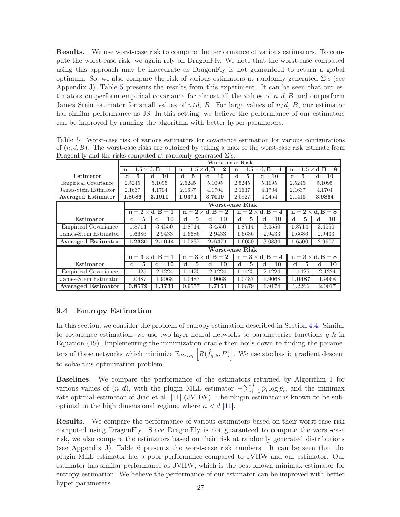Results. We use worst-case risk to compare the performance of various estimators. To compute the worst-case risk, we again rely on DragonFly. We note that the worst-case computed using this approach may be inaccurate as DragonFly is not guaranteed to return a global optimum. So, we also compare the risk of various estimators at randomly generated  $\Sigma$ 's (see Appendix [J\)](#page-58-1). Table [5](#page-26-0) presents the results from this experiment. It can be seen that our estimators outperform empirical covariance for almost all the values of  $n, d, B$  and outperform James Stein estimator for small values of  $n/d$ , B. For large values of  $n/d$ , B, our estimator has similar performance as JS. In this setting, we believe the performance of our estimators can be improved by running the algorithm with better hyper-parameters.

| Dragonery and the risks computed at randomly generated $\omega$ s. |         |                              |                            |                              |                            |                              |                              |          |  |  |  |
|--------------------------------------------------------------------|---------|------------------------------|----------------------------|------------------------------|----------------------------|------------------------------|------------------------------|----------|--|--|--|
|                                                                    |         | Worst-case Risk              |                            |                              |                            |                              |                              |          |  |  |  |
|                                                                    |         | $n = 1.5 \times d$ , $B = 1$ |                            | $n = 1.5 \times d$ . $B = 2$ |                            | $n = 1.5 \times d$ , $B = 4$ | $n = 1.5 \times d$ , $B = 8$ |          |  |  |  |
| Estimator                                                          | $d = 5$ | $d=10$                       | $d=5$                      | $\mathbf{d} = \mathbf{10}$   | $d=5$                      | $d = 10$                     | $d=5$                        | $d = 10$ |  |  |  |
| Empirical Covariance                                               | 2.5245  | 5.1095                       | 2.5245                     | 5.1095                       | 2.5245                     | 5.1095                       | 2.5245                       | 5.1095   |  |  |  |
| James-Stein Estimator                                              | 2.1637  | 4.1704                       | 2.1637                     | 4.1704                       | 2.1637                     | 4.1704                       | 2.1637                       | 4.1704   |  |  |  |
| <b>Averaged Estimator</b>                                          | 1.8686  | 3.1910                       | 1.9371                     | 3.7019                       | 2.0827                     | 4.2454                       | 2.1416                       | 3.9864   |  |  |  |
|                                                                    |         |                              |                            |                              | Worst-case Risk            |                              |                              |          |  |  |  |
|                                                                    |         | $n = 2 \times d$ , $B = 1$   |                            | $n = 2 \times d$ . $B = 2$   |                            | $n = 2 \times d$ , $B = 4$   | $n = 2 \times d$ . $B = 8$   |          |  |  |  |
| Estimator                                                          | $d=5$   | $d = 10$                     | $d=5$                      | $d = 10$                     | $d=5$                      | $d = 10$                     | $d=5$                        | $d = 10$ |  |  |  |
| Empirical Covariance                                               | 1.8714  | 3.4550                       | 1.8714                     | 3.4550                       | 1.8714                     | 3.4550                       | 1.8714                       | 3.4550   |  |  |  |
| James-Stein Estimator                                              | 1.6686  | 2.9433                       | 1.6686                     | 2.9433                       | 1.6686                     | 2.9433                       | 1.6686                       | 2.9433   |  |  |  |
| <b>Averaged Estimator</b>                                          | 1.2330  | 2.1944                       | 1.5237                     | 2.6471                       | 1.6050                     | 3.0834                       | 1.6500                       | 2.9907   |  |  |  |
|                                                                    |         | Worst-case Risk              |                            |                              |                            |                              |                              |          |  |  |  |
|                                                                    |         | $n = 3 \times d$ , $B = 1$   | $n = 3 \times d$ , $B = 2$ |                              | $n = 3 \times d$ . $B = 4$ |                              | $n = 3 \times d$ , $B = 8$   |          |  |  |  |
| Estimator                                                          | $d=5$   | $d = 10$                     | $d=5$                      | $d = 10$                     | $d=5$                      | $d = 10$                     | $d=5$                        | $d = 10$ |  |  |  |
| Empirical Covariance                                               | 1.1425  | 2.1224                       | 1.1425                     | 2.1224                       | 1.1425                     | 2.1224                       | 1.1425                       | 2.1224   |  |  |  |
| James-Stein Estimator                                              | 1.0487  | 1.9068                       | 1.0487                     | 1.9068                       | 1.0487                     | 1.9068                       | 1.0487                       | 1.9068   |  |  |  |
| <b>Averaged Estimator</b>                                          | 0.8579  | 1.3731                       | 0.9557                     | 1.7151                       | 1.0879                     | 1.9174                       | 1.2266                       | 2.0017   |  |  |  |

<span id="page-26-0"></span>Table 5: Worst-case risk of various estimators for covariance estimation for various configurations of  $(n, d, B)$ . The worst-case risks are obtained by taking a max of the worst-case risk estimate from DragonFly and the risks computed at randomly generated  $\Sigma$ 's.

### 9.4 Entropy Estimation

In this section, we consider the problem of entropy estimation described in Section [4.4.](#page-16-2) Similar to covariance estimation, we use two layer neural networks to parameterize functions  $q, h$  in Equation [\(19\)](#page-21-1). Implementing the minimization oracle then boils down to finding the parameters of these networks which minimize  $\mathbb{E}_{P \sim P_t} \left[ R(\hat{f}_{g,h}, P) \right]$ . We use stochastic gradient descent to solve this optimization problem.

Baselines. We compare the performance of the estimators returned by Algorithm [1](#page-10-0) for various values of  $(n, d)$ , with the plugin MLE estimator  $-\sum_{i=1}^{d} \hat{p}_i \log \hat{p}_i$ , and the minimax rate optimal estimator of Jiao et al. [\[11\]](#page-28-10) (JVHW). The plugin estimator is known to be suboptimal in the high dimensional regime, where  $n < d$  [\[11\]](#page-28-10).

Results. We compare the performance of various estimators based on their worst-case risk computed using DragonFly. Since DragonFly is not guaranteed to compute the worst-case risk, we also compare the estimators based on their risk at randomly generated distributions (see Appendix [J\)](#page-58-1). Table [6](#page-27-1) presents the worst-case risk numbers. It can be seen that the plugin MLE estimator has a poor performance compared to JVHW and our estimator. Our estimator has similar performance as JVHW, which is the best known minimax estimator for entropy estimation. We believe the performance of our estimator can be improved with better hyper-parameters. 27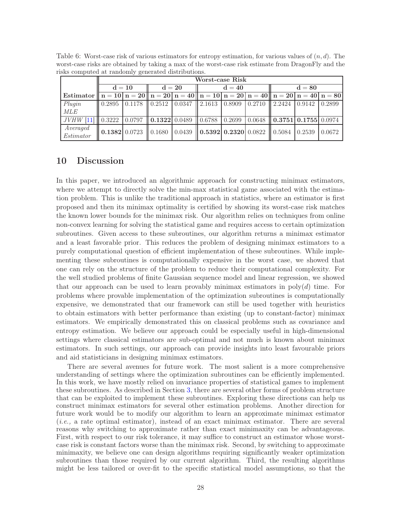|                                                                                                                                                                                                           | Worst-case Risk |  |                                                                                                                                                                             |  |  |          |  |          |  |  |
|-----------------------------------------------------------------------------------------------------------------------------------------------------------------------------------------------------------|-----------------|--|-----------------------------------------------------------------------------------------------------------------------------------------------------------------------------|--|--|----------|--|----------|--|--|
|                                                                                                                                                                                                           | $d = 10$        |  | $d = 20$                                                                                                                                                                    |  |  | $d = 40$ |  | $d = 80$ |  |  |
| Estimator $\ \mathbf{n} = 10\ \mathbf{n} = 20\ \mathbf{n} = 20\ \mathbf{n} = 40\ \mathbf{n} = 10\ \mathbf{n} = 20\ \mathbf{n} = 40\ \mathbf{n} = 20\ \mathbf{n} = 40\ \mathbf{n} = 80\ $                  |                 |  |                                                                                                                                                                             |  |  |          |  |          |  |  |
| Plugin                                                                                                                                                                                                    |                 |  | $\parallel 0.2895 \parallel 0.1178 \parallel 0.2512 \parallel 0.0347 \parallel 2.1613 \parallel 0.8909 \parallel 0.2710 \parallel 2.2424 \parallel 0.9142 \parallel 0.2899$ |  |  |          |  |          |  |  |
| <i>MLE</i>                                                                                                                                                                                                |                 |  |                                                                                                                                                                             |  |  |          |  |          |  |  |
| JVHW [11] $\parallel$ 0.3222 $\parallel$ 0.0797 $\parallel$ <b>0.1322</b> 0.0489 $\parallel$ 0.6788 $\parallel$ 0.2699 $\parallel$ 0.0648 $\parallel$ <b>0.3751</b> $\parallel$ 0.1755 $\parallel$ 0.0974 |                 |  |                                                                                                                                                                             |  |  |          |  |          |  |  |
| Averaged<br>Estimator                                                                                                                                                                                     |                 |  | $\parallel$ 0.1382 0.0723 $\parallel$ 0.1680   0.0439 $\parallel$ 0.5392   0.2320   0.0822 $\parallel$ 0.5084   0.2539   0.0672                                             |  |  |          |  |          |  |  |

<span id="page-27-1"></span>Table 6: Worst-case risk of various estimators for entropy estimation, for various values of  $(n, d)$ . The worst-case risks are obtained by taking a max of the worst-case risk estimate from DragonFly and the risks computed at randomly generated distributions.

## <span id="page-27-0"></span>10 Discussion

In this paper, we introduced an algorithmic approach for constructing minimax estimators, where we attempt to directly solve the min-max statistical game associated with the estimation problem. This is unlike the traditional approach in statistics, where an estimator is first proposed and then its minimax optimality is certified by showing its worst-case risk matches the known lower bounds for the minimax risk. Our algorithm relies on techniques from online non-convex learning for solving the statistical game and requires access to certain optimization subroutines. Given access to these subroutines, our algorithm returns a minimax estimator and a least favorable prior. This reduces the problem of designing minimax estimators to a purely computational question of efficient implementation of these subroutines. While implementing these subroutines is computationally expensive in the worst case, we showed that one can rely on the structure of the problem to reduce their computational complexity. For the well studied problems of finite Gaussian sequence model and linear regression, we showed that our approach can be used to learn provably minimax estimators in  $poly(d)$  time. For problems where provable implementation of the optimization subroutines is computationally expensive, we demonstrated that our framework can still be used together with heuristics to obtain estimators with better performance than existing (up to constant-factor) minimax estimators. We empirically demonstrated this on classical problems such as covariance and entropy estimation. We believe our approach could be especially useful in high-dimensional settings where classical estimators are sub-optimal and not much is known about minimax estimators. In such settings, our approach can provide insights into least favourable priors and aid statisticians in designing minimax estimators.

There are several avenues for future work. The most salient is a more comprehensive understanding of settings where the optimization subroutines can be efficiently implemented. In this work, we have mostly relied on invariance properties of statistical games to implement these subroutines. As described in Section [3,](#page-8-0) there are several other forms of problem structure that can be exploited to implement these subroutines. Exploring these directions can help us construct minimax estimators for several other estimation problems. Another direction for future work would be to modify our algorithm to learn an approximate minimax estimator (*i.e.,* a rate optimal estimator), instead of an exact minimax estimator. There are several reasons why switching to approximate rather than exact minimaxity can be advantageous. First, with respect to our risk tolerance, it may suffice to construct an estimator whose worstcase risk is constant factors worse than the minimax risk. Second, by switching to approximate minimaxity, we believe one can design algorithms requiring significantly weaker optimization subroutines than those required by our current algorithm. Third, the resulting algorithms might be less tailored or over-fit to the specific statistical model assumptions, so that the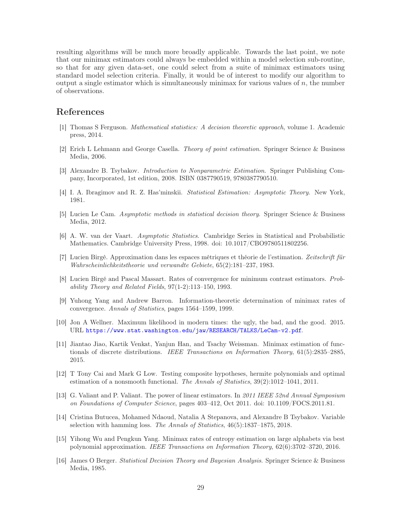resulting algorithms will be much more broadly applicable. Towards the last point, we note that our minimax estimators could always be embedded within a model selection sub-routine, so that for any given data-set, one could select from a suite of minimax estimators using standard model selection criteria. Finally, it would be of interest to modify our algorithm to output a single estimator which is simultaneously minimax for various values of  $n$ , the number of observations.

## References

- <span id="page-28-0"></span>[1] Thomas S Ferguson. Mathematical statistics: A decision theoretic approach, volume 1. Academic press, 2014.
- <span id="page-28-1"></span>[2] Erich L Lehmann and George Casella. Theory of point estimation. Springer Science & Business Media, 2006.
- <span id="page-28-2"></span>[3] Alexandre B. Tsybakov. Introduction to Nonparametric Estimation. Springer Publishing Company, Incorporated, 1st edition, 2008. ISBN 0387790519, 9780387790510.
- <span id="page-28-3"></span>[4] I. A. Ibragimov and R. Z. Has'minskii. Statistical Estimation: Asymptotic Theory. New York, 1981.
- <span id="page-28-4"></span>[5] Lucien Le Cam. Asymptotic methods in statistical decision theory. Springer Science & Business Media, 2012.
- <span id="page-28-5"></span>[6] A. W. van der Vaart. Asymptotic Statistics. Cambridge Series in Statistical and Probabilistic Mathematics. Cambridge University Press, 1998. doi: 10.1017/CBO9780511802256.
- <span id="page-28-6"></span>[7] Lucien Birgé. Approximation dans les espaces métriques et théorie de l'estimation. Zeitschrift für Wahrscheinlichkeitstheorie und verwandte Gebiete, 65(2):181–237, 1983.
- <span id="page-28-7"></span>[8] Lucien Birgé and Pascal Massart. Rates of convergence for minimum contrast estimators. Probability Theory and Related Fields, 97(1-2):113–150, 1993.
- <span id="page-28-8"></span>[9] Yuhong Yang and Andrew Barron. Information-theoretic determination of minimax rates of convergence. Annals of Statistics, pages 1564–1599, 1999.
- <span id="page-28-9"></span>[10] Jon A Wellner. Maximum likelihood in modern times: the ugly, the bad, and the good. 2015. URL <https://www.stat.washington.edu/jaw/RESEARCH/TALKS/LeCam-v2.pdf>.
- <span id="page-28-10"></span>[11] Jiantao Jiao, Kartik Venkat, Yanjun Han, and Tsachy Weissman. Minimax estimation of functionals of discrete distributions. IEEE Transactions on Information Theory, 61(5):2835–2885, 2015.
- <span id="page-28-11"></span>[12] T Tony Cai and Mark G Low. Testing composite hypotheses, hermite polynomials and optimal estimation of a nonsmooth functional. The Annals of Statistics, 39(2):1012–1041, 2011.
- <span id="page-28-12"></span>[13] G. Valiant and P. Valiant. The power of linear estimators. In 2011 IEEE 52nd Annual Symposium on Foundations of Computer Science, pages 403–412, Oct 2011. doi: 10.1109/FOCS.2011.81.
- <span id="page-28-13"></span>[14] Cristina Butucea, Mohamed Ndaoud, Natalia A Stepanova, and Alexandre B Tsybakov. Variable selection with hamming loss. The Annals of Statistics, 46(5):1837–1875, 2018.
- <span id="page-28-14"></span>[15] Yihong Wu and Pengkun Yang. Minimax rates of entropy estimation on large alphabets via best polynomial approximation. IEEE Transactions on Information Theory, 62(6):3702–3720, 2016.
- <span id="page-28-15"></span>[16] James O Berger. Statistical Decision Theory and Bayesian Analysis. Springer Science & Business Media, 1985.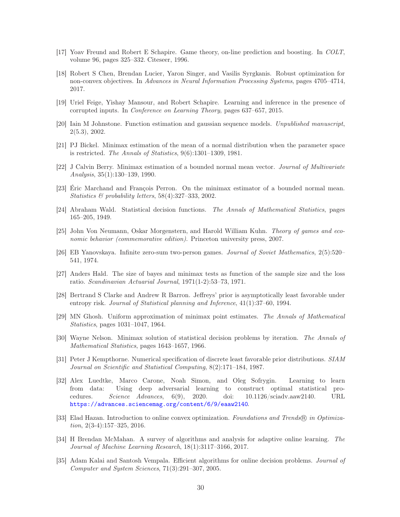- <span id="page-29-0"></span>[17] Yoav Freund and Robert E Schapire. Game theory, on-line prediction and boosting. In COLT, volume 96, pages 325–332. Citeseer, 1996.
- <span id="page-29-1"></span>[18] Robert S Chen, Brendan Lucier, Yaron Singer, and Vasilis Syrgkanis. Robust optimization for non-convex objectives. In Advances in Neural Information Processing Systems, pages 4705–4714, 2017.
- <span id="page-29-2"></span>[19] Uriel Feige, Yishay Mansour, and Robert Schapire. Learning and inference in the presence of corrupted inputs. In Conference on Learning Theory, pages 637–657, 2015.
- <span id="page-29-3"></span>[20] Iain M Johnstone. Function estimation and gaussian sequence models. Unpublished manuscript, 2(5.3), 2002.
- <span id="page-29-4"></span>[21] PJ Bickel. Minimax estimation of the mean of a normal distribution when the parameter space is restricted. The Annals of Statistics, 9(6):1301–1309, 1981.
- <span id="page-29-5"></span>[22] J Calvin Berry. Minimax estimation of a bounded normal mean vector. Journal of Multivariate Analysis, 35(1):130–139, 1990.
- <span id="page-29-6"></span>[23] Éric Marchand and François Perron. On the minimax estimator of a bounded normal mean. Statistics & probability letters, 58(4):327–333, 2002.
- <span id="page-29-7"></span>[24] Abraham Wald. Statistical decision functions. The Annals of Mathematical Statistics, pages 165–205, 1949.
- <span id="page-29-8"></span>[25] John Von Neumann, Oskar Morgenstern, and Harold William Kuhn. Theory of games and economic behavior (commemorative edition). Princeton university press, 2007.
- <span id="page-29-9"></span>[26] EB Yanovskaya. Infinite zero-sum two-person games. Journal of Soviet Mathematics, 2(5):520– 541, 1974.
- <span id="page-29-10"></span>[27] Anders Hald. The size of bayes and minimax tests as function of the sample size and the loss ratio. Scandinavian Actuarial Journal, 1971(1-2):53–73, 1971.
- <span id="page-29-11"></span>[28] Bertrand S Clarke and Andrew R Barron. Jeffreys' prior is asymptotically least favorable under entropy risk. *Journal of Statistical planning and Inference*,  $41(1):37-60, 1994$ .
- <span id="page-29-12"></span>[29] MN Ghosh. Uniform approximation of minimax point estimates. The Annals of Mathematical Statistics, pages 1031–1047, 1964.
- <span id="page-29-13"></span>[30] Wayne Nelson. Minimax solution of statistical decision problems by iteration. The Annals of Mathematical Statistics, pages 1643–1657, 1966.
- <span id="page-29-14"></span>[31] Peter J Kempthorne. Numerical specification of discrete least favorable prior distributions. SIAM Journal on Scientific and Statistical Computing, 8(2):171–184, 1987.
- <span id="page-29-15"></span>[32] Alex Luedtke, Marco Carone, Noah Simon, and Oleg Sofrygin. Learning to learn from data: Using deep adversarial learning to construct optimal statistical procedures. Science Advances, 6(9), 2020. doi: 10.1126/sciadv.aaw2140. URL <https://advances.sciencemag.org/content/6/9/eaaw2140>.
- <span id="page-29-16"></span>[33] Elad Hazan. Introduction to online convex optimization. Foundations and Trends® in Optimization,  $2(3-4):157-325$ ,  $2016$ .
- <span id="page-29-17"></span>[34] H Brendan McMahan. A survey of algorithms and analysis for adaptive online learning. The Journal of Machine Learning Research, 18(1):3117–3166, 2017.
- <span id="page-29-18"></span>[35] Adam Kalai and Santosh Vempala. Efficient algorithms for online decision problems. Journal of Computer and System Sciences, 71(3):291–307, 2005.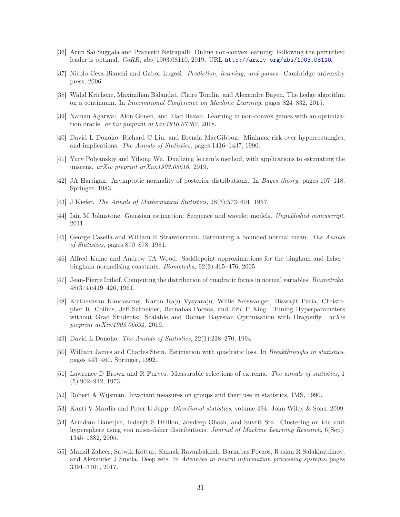- <span id="page-30-0"></span>[36] Arun Sai Suggala and Praneeth Netrapalli. Online non-convex learning: Following the perturbed leader is optimal. CoRR, abs/1903.08110, 2019. URL <http://arxiv.org/abs/1903.08110>.
- <span id="page-30-1"></span>[37] Nicolo Cesa-Bianchi and Gabor Lugosi. Prediction, learning, and games. Cambridge university press, 2006.
- <span id="page-30-2"></span>[38] Walid Krichene, Maximilian Balandat, Claire Tomlin, and Alexandre Bayen. The hedge algorithm on a continuum. In International Conference on Machine Learning, pages 824–832, 2015.
- <span id="page-30-3"></span>[39] Naman Agarwal, Alon Gonen, and Elad Hazan. Learning in non-convex games with an optimization oracle. arXiv preprint arXiv:1810.07362, 2018.
- <span id="page-30-4"></span>[40] David L Donoho, Richard C Liu, and Brenda MacGibbon. Minimax risk over hyperrectangles, and implications. The Annals of Statistics, pages 1416–1437, 1990.
- <span id="page-30-5"></span>[41] Yury Polyanskiy and Yihong Wu. Dualizing le cam's method, with applications to estimating the unseens. arXiv preprint arXiv:1902.05616, 2019.
- <span id="page-30-6"></span>[42] JA Hartigan. Asymptotic normality of posterior distributions. In Bayes theory, pages 107–118. Springer, 1983.
- <span id="page-30-7"></span>[43] J Kiefer. The Annals of Mathematical Statistics, 28(3):573–601, 1957.
- <span id="page-30-8"></span>[44] Iain M Johnstone. Gaussian estimation: Sequence and wavelet models. Unpublished manuscript, 2011.
- <span id="page-30-9"></span>[45] George Casella and William E Strawderman. Estimating a bounded normal mean. The Annals of Statistics, pages 870–878, 1981.
- <span id="page-30-10"></span>[46] Alfred Kume and Andrew TA Wood. Saddlepoint approximations for the bingham and fisher– bingham normalising constants. Biometrika, 92(2):465–476, 2005.
- <span id="page-30-11"></span>[47] Jean-Pierre Imhof. Computing the distribution of quadratic forms in normal variables. Biometrika, 48(3/4):419–426, 1961.
- <span id="page-30-12"></span>[48] Kirthevasan Kandasamy, Karun Raju Vysyaraju, Willie Neiswanger, Biswajit Paria, Christopher R. Collins, Jeff Schneider, Barnabas Poczos, and Eric P Xing. Tuning Hyperparameters without Grad Students: Scalable and Robust Bayesian Optimisation with Dragonfly.  $arXiv$ preprint arXiv:1903.06694, 2019.
- <span id="page-30-13"></span>[49] David L Donoho. The Annals of Statistics, 22(1):238–270, 1994.
- <span id="page-30-14"></span>[50] William James and Charles Stein. Estimation with quadratic loss. In *Breakthroughs in statistics*, pages 443–460. Springer, 1992.
- <span id="page-30-15"></span>[51] Lawrence D Brown and R Purves. Measurable selections of extrema. The annals of statistics, 1 (5):902–912, 1973.
- <span id="page-30-16"></span>[52] Robert A Wijsman. Invariant measures on groups and their use in statistics. IMS, 1990.
- <span id="page-30-17"></span>[53] Kanti V Mardia and Peter E Jupp. Directional statistics, volume 494. John Wiley & Sons, 2009.
- <span id="page-30-18"></span>[54] Arindam Banerjee, Inderjit S Dhillon, Joydeep Ghosh, and Suvrit Sra. Clustering on the unit hypersphere using von mises-fisher distributions. Journal of Machine Learning Research, 6(Sep): 1345–1382, 2005.
- <span id="page-30-19"></span>[55] Manzil Zaheer, Satwik Kottur, Siamak Ravanbakhsh, Barnabas Poczos, Ruslan R Salakhutdinov, and Alexander J Smola. Deep sets. In Advances in neural information processing systems, pages 3391–3401, 2017.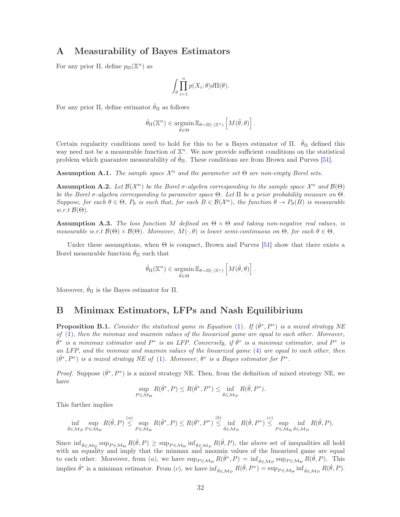## <span id="page-31-0"></span>A Measurability of Bayes Estimators

For any prior  $\Pi$ , define  $p_{\Pi}(\mathbb{X}^n)$  as

$$
\int_{\theta} \prod_{i=1}^n p(X_i; \theta) d\Pi(\theta).
$$

For any prior  $\Pi$ , define estimator  $\hat{\theta}_{\Pi}$  as follows

$$
\hat{\theta}_{\Pi}(\mathbb{X}^n) \in \operatorname*{argmin}_{\tilde{\theta} \in \Theta} \mathbb{E}_{\theta \sim \Pi(\cdot | \mathbb{X}^n)} \left[ M(\tilde{\theta}, \theta) \right].
$$

Certain regularity conditions need to hold for this to be a Bayes estimator of  $\Pi$ .  $\hat{\theta}_{\Pi}$  defined this way need not be a measurable function of  $\mathbb{X}^n$ . We now provide sufficient conditions on the statistical problem which guarantee measurability of  $\theta_{\Pi}$ . These conditions are from Brown and Purves [\[51](#page-30-15)].

**Assumption A.1.** The sample space  $\mathcal{X}^n$  and the parameter set  $\Theta$  are non-empty Borel sets.

**Assumption A.2.** Let  $\mathcal{B}(\mathcal{X}^n)$  be the Borel  $\sigma$ -algebra corresponding to the sample space  $\mathcal{X}^n$  and  $\mathcal{B}(\Theta)$ be the Borel  $\sigma$ -algebra corresponding to parameter space  $\Theta$ . Let  $\Pi$  be a prior probability measure on  $\Theta$ . Suppose, for each  $\theta \in \Theta$ ,  $P_{\theta}$  is such that, for each  $B \in \mathcal{B}(\mathcal{X}^n)$ , the function  $\theta \to P_{\theta}(B)$  is measurable  $w.r.t \mathcal{B}(\Theta)$ .

**Assumption A.3.** The loss function M defined on  $\Theta \times \Theta$  and taking non-negative real values, is measurable w.r.t  $\mathcal{B}(\Theta) \times \mathcal{B}(\Theta)$ . Moreover,  $M(\cdot, \theta)$  is lower semi-continuous on  $\Theta$ , for each  $\theta \in \Theta$ .

Under these assumptions, when  $\Theta$  is compact, Brown and Purves [\[51\]](#page-30-15) show that there exists a Borel measurable function  $\hat{\theta}_{\Pi}$  such that

$$
\hat{\theta}_{\Pi}(\mathbb{X}^n) \in \operatorname*{argmin}_{\tilde{\theta} \in \Theta} \mathbb{E}_{\theta \sim \Pi(\cdot | \mathbb{X}^n)} \left[ M(\tilde{\theta}, \theta) \right].
$$

Moreover,  $\hat{\theta}_{\Pi}$  is the Bayes estimator for  $\Pi$ .

## <span id="page-31-1"></span>B Minimax Estimators, LFPs and Nash Equilibirium

**Proposition B.1.** Consider the statistical game in Equation [\(1\)](#page-3-1). If  $(\hat{\theta}^*, P^*)$  is a mixed strategy NE of [\(1\)](#page-3-1), then the minmax and maxmin values of the linearized game are equal to each other. Moreover,  $\hat{\theta}^*$  is a minimax estimator and  $P^*$  is an LFP. Conversely, if  $\hat{\theta}^*$  is a minimax estimator, and  $P^*$  is an LFP, and the minmax and maxmin values of the linearized game [\(4\)](#page-4-1) are equal to each other, then  $(\hat{\theta}^*, P^*)$  is a mixed strategy NE of [\(1\)](#page-3-1). Moreover,  $\theta^*$  is a Bayes estimator for  $P^*$ .

*Proof.* Suppose  $(\hat{\theta}^*, P^*)$  is a mixed strategy NE. Then, from the definition of mixed strategy NE, we have

$$
\sup_{P \in \mathcal{M}_{\Theta}} R(\hat{\theta}^*, P) \le R(\hat{\theta}^*, P^*) \le \inf_{\hat{\theta} \in \mathcal{M}_{\mathcal{D}}} R(\hat{\theta}, P^*).
$$

This further implies

$$
\inf_{\hat{\theta}\in\mathcal{M}_{\mathcal{D}}} \sup_{P\in\mathcal{M}_{\Theta}} R(\hat{\theta},P) \stackrel{(a)}{\leq} \sup_{P\in\mathcal{M}_{\Theta}} R(\hat{\theta}^*,P) \leq R(\hat{\theta}^*,P^*) \stackrel{(b)}{\leq} \inf_{\hat{\theta}\in\mathcal{M}_{\mathcal{D}}} R(\hat{\theta},P^*) \stackrel{(c)}{\leq} \sup_{P\in\mathcal{M}_{\Theta}} \inf_{\hat{\theta}\in\mathcal{M}_{\mathcal{D}}} R(\hat{\theta},P).
$$

Since  $\inf_{\hat{\theta} \in \mathcal{M}_{\mathcal{D}}} \sup_{P \in \mathcal{M}_{\Theta}} R(\hat{\theta}, P) \geq \sup_{P \in \mathcal{M}_{\Theta}} \inf_{\hat{\theta} \in \mathcal{M}_{\mathcal{D}}} R(\hat{\theta}, P)$ , the above set of inequalities all hold with an equality and imply that the minmax and maxmin values of the linearized game are equal to each other. Moreover, from (a), we have  $\sup_{P \in \mathcal{M}_{\Theta}} R(\hat{\theta}^*, P) = \inf_{\hat{\theta} \in \mathcal{M}_{\mathcal{D}}} \sup_{P \in \mathcal{M}_{\Theta}} R(\hat{\theta}, P)$ . This implies  $\hat{\theta}^*$  is a minimax estimator. From (c), we have  $\inf_{\hat{\theta} \in \mathcal{M}_{\mathcal{D}}} R(\hat{\theta}, P^*) = \sup_{P \in \mathcal{M}_{\Theta}} \inf_{\hat{\theta} \in \mathcal{M}_{\mathcal{D}}} R(\hat{\theta}, P)$ .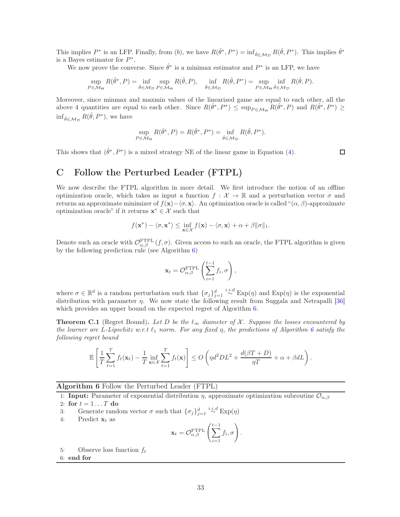This implies  $P^*$  is an LFP. Finally, from (b), we have  $R(\hat{\theta}^*, P^*) = \inf_{\hat{\theta} \in \mathcal{M}_{\mathcal{D}}} R(\hat{\theta}, P^*)$ . This implies  $\hat{\theta}^*$ is a Bayes estimator for  $P^*$ .

We now prove the converse. Since  $\hat{\theta}^*$  is a minimax estimator and  $P^*$  is an LFP, we have

$$
\sup_{P \in \mathcal{M}_{\Theta}} R(\hat{\theta}^*, P) = \inf_{\hat{\theta} \in \mathcal{M}_{\mathcal{D}}} \sup_{P \in \mathcal{M}_{\Theta}} R(\hat{\theta}, P), \quad \inf_{\hat{\theta} \in \mathcal{M}_{\mathcal{D}}} R(\hat{\theta}, P^*) = \sup_{P \in \mathcal{M}_{\Theta}} \inf_{\hat{\theta} \in \mathcal{M}_{\mathcal{D}}} R(\hat{\theta}, P).
$$

Moreover, since minmax and maxmin values of the linearized game are equal to each other, all the above 4 quantities are equal to each other. Since  $R(\hat{\theta}^*, P^*) \leq \sup_{P \in \mathcal{M}_{\Theta}} R(\hat{\theta}^*, P)$  and  $R(\hat{\theta}^*, P^*) \geq$  $\inf_{\hat{\theta}\in\mathcal{M}_{\mathcal{D}}} R(\hat{\theta}, P^*)$ , we have

$$
\sup_{P \in \mathcal{M}_{\Theta}} R(\hat{\theta}^*, P) = R(\hat{\theta}^*, P^*) = \inf_{\hat{\theta} \in \mathcal{M}_{\mathcal{D}}} R(\hat{\theta}, P^*).
$$

This shows that  $(\hat{\theta}^*, P^*)$  is a mixed strategy NE of the linear game in Equation [\(4\)](#page-4-1).

 $\Box$ 

# <span id="page-32-0"></span>C Follow the Perturbed Leader (FTPL)

We now describe the FTPL algorithm in more detail. We first introduce the notion of an offline optimization oracle, which takes as input a function  $f : \mathcal{X} \to \mathbb{R}$  and a perturbation vector  $\sigma$  and returns an approximate minimizer of  $f(x)-\langle \sigma, x \rangle$ . An optimization oracle is called " $(\alpha, \beta)$ -approximate optimization oracle" if it returns  $\mathbf{x}^* \in \mathcal{X}$  such that

$$
f(\mathbf{x}^*) - \langle \sigma, \mathbf{x}^* \rangle \le \inf_{\mathbf{x} \in \mathcal{X}} f(\mathbf{x}) - \langle \sigma, \mathbf{x} \rangle + \alpha + \beta ||\sigma||_1.
$$

Denote such an oracle with  $\mathcal{O}_{\alpha,\beta}^{\text{FTPL}}(f,\sigma)$ . Given access to such an oracle, the FTPL algorithm is given by the following prediction rule (see Algorithm [6\)](#page-32-1)

$$
\mathbf{x}_t = \mathcal{O}_{\alpha,\beta}^{\text{FTPL}}\left(\sum_{i=1}^{t-1} f_i, \sigma\right),
$$

where  $\sigma \in \mathbb{R}^d$  is a random perturbation such that  $\{\sigma_j\}_{j=1}^d \stackrel{i.i.d}{\sim} \text{Exp}(\eta)$  and  $\text{Exp}(\eta)$  is the exponential distribution with parameter  $\eta$ . We now state the following result from Suggala and Netrapalli [\[36](#page-30-0)] which provides an upper bound on the expected regret of Algorithm [6.](#page-32-1)

<span id="page-32-2"></span>**Theorem C.1** (Regret Bound). Let D be the  $\ell_{\infty}$  diameter of X. Suppose the losses encountered by the learner are L-Lipschitz w.r.t  $\ell_1$  norm. For any fixed  $\eta$ , the predictions of Algorithm [6](#page-32-1) satisfy the following regret bound

$$
\mathbb{E}\left[\frac{1}{T}\sum_{t=1}^T f_t(\mathbf{x}_t) - \frac{1}{T}\inf_{\mathbf{x}\in\mathcal{X}}\sum_{t=1}^T f_t(\mathbf{x})\right] \leq O\left(\eta d^2 DL^2 + \frac{d(\beta T + D)}{\eta T} + \alpha + \beta dL\right).
$$

<span id="page-32-1"></span>Algorithm 6 Follow the Perturbed Leader (FTPL)

1: **Input:** Parameter of exponential distribution  $\eta$ , approximate optimization subroutine  $\mathcal{O}_{\alpha,\beta}$ 

2: for  $t = 1 \dots T$  do

3: Generate random vector  $\sigma$  such that  $\{\sigma_j\}_{j=1}^d \stackrel{i.i.d}{\sim} \text{Exp}(\eta)$ 

4: Predict  $\mathbf{x}_t$  as

$$
\mathbf{x}_t = \mathcal{O}_{\alpha,\beta}^{\text{FTPL}}\left(\sum_{i=1}^{t-1} f_i, \sigma\right).
$$

5: Observe loss function  $f_t$ 

6: end for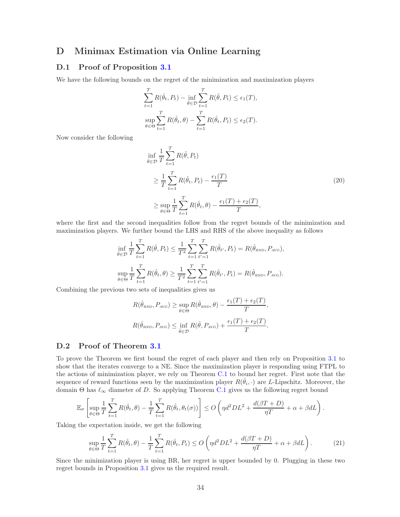## D Minimax Estimation via Online Learning

### D.1 Proof of Proposition [3.1](#page-8-2)

We have the following bounds on the regret of the minimization and maximization players

$$
\sum_{t=1}^{T} R(\hat{\theta}_t, P_t) - \inf_{\hat{\theta} \in \mathcal{D}} \sum_{t=1}^{T} R(\hat{\theta}, P_t) \le \epsilon_1(T),
$$
  
\n
$$
\sup_{\theta \in \Theta} \sum_{t=1}^{T} R(\hat{\theta}_t, \theta) - \sum_{t=1}^{T} R(\hat{\theta}_t, P_t) \le \epsilon_2(T).
$$

Now consider the following

$$
\inf_{\hat{\theta}\in\mathcal{D}}\frac{1}{T}\sum_{t=1}^{T}R(\hat{\theta},P_t)
$$
\n
$$
\geq \frac{1}{T}\sum_{t=1}^{T}R(\hat{\theta}_t,P_t) - \frac{\epsilon_1(T)}{T}
$$
\n
$$
\geq \sup_{\theta\in\Theta}\frac{1}{T}\sum_{t=1}^{T}R(\hat{\theta}_t,\theta) - \frac{\epsilon_1(T) + \epsilon_2(T)}{T},
$$
\n(20)

where the first and the second inequalities follow from the regret bounds of the minimization and maximization players. We further bound the LHS and RHS of the above inequality as follows

$$
\inf_{\hat{\theta}\in\mathcal{D}}\frac{1}{T}\sum_{t=1}^{T}R(\hat{\theta},P_t) \leq \frac{1}{T^2}\sum_{t=1}^{T}\sum_{t'=1}^{T}R(\hat{\theta}_{t'},P_t) = R(\hat{\theta}_{RND},P_{AVG}),
$$
  
\n
$$
\sup_{\theta\in\Theta}\frac{1}{T}\sum_{t=1}^{T}R(\hat{\theta}_{t},\theta) \geq \frac{1}{T^2}\sum_{t=1}^{T}\sum_{t'=1}^{T}R(\hat{\theta}_{t'},P_t) = R(\hat{\theta}_{RND},P_{AVG}).
$$

Combining the previous two sets of inequalities gives us

$$
R(\hat{\theta}_{RND}, P_{AVG}) \ge \sup_{\theta \in \Theta} R(\hat{\theta}_{RND}, \theta) - \frac{\epsilon_1(T) + \epsilon_2(T)}{T},
$$
  

$$
R(\hat{\theta}_{RND}, P_{AVG}) \le \inf_{\hat{\theta} \in \mathcal{D}} R(\hat{\theta}, P_{AVG}) + \frac{\epsilon_1(T) + \epsilon_2(T)}{T}.
$$

### D.2 Proof of Theorem [3.1](#page-10-1)

To prove the Theorem we first bound the regret of each player and then rely on Proposition [3.1](#page-8-2) to show that the iterates converge to a NE. Since the maximization player is responding using FTPL to the actions of minimization player, we rely on Theorem [C.1](#page-32-2) to bound her regret. First note that the sequence of reward functions seen by the maximization player  $R(\hat{\theta}_i, \cdot)$  are L-Lipschitz. Moreover, the domain  $\Theta$  has  $\ell_{\infty}$  diameter of D. So applying Theorem [C.1](#page-32-2) gives us the following regret bound

$$
\mathbb{E}_{\sigma}\left[\sup_{\theta\in\Theta}\frac{1}{T}\sum_{t=1}^T R(\hat{\theta}_t,\theta)-\frac{1}{T}\sum_{t=1}^T R(\hat{\theta}_t,\theta_t(\sigma))\right]\leq O\left(\eta d^2DL^2+\frac{d(\beta T+D)}{\eta T}+\alpha+\beta dL\right).
$$

Taking the expectation inside, we get the following

$$
\sup_{\theta \in \Theta} \frac{1}{T} \sum_{t=1}^{T} R(\hat{\theta}_t, \theta) - \frac{1}{T} \sum_{t=1}^{T} R(\hat{\theta}_t, P_t) \le O\left(\eta d^2 DL^2 + \frac{d(\beta T + D)}{\eta T} + \alpha + \beta dL\right).
$$
 (21)

Since the minimization player is using BR, her regret is upper bounded by 0. Plugging in these two regret bounds in Proposition [3.1](#page-8-2) gives us the required result.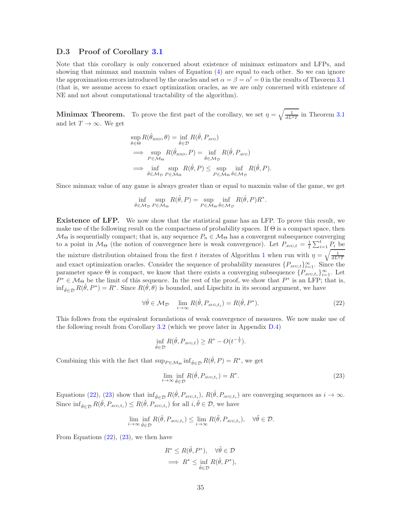### D.3 Proof of Corollary [3.1](#page-10-2)

Note that this corollary is only concerned about existence of minimax estimators and LFPs, and showing that minmax and maxmin values of Equation [\(4\)](#page-4-1) are equal to each other. So we can ignore the approximation errors introduced by the oracles and set  $\alpha = \beta = \alpha' = 0$  in the results of Theorem [3.1](#page-10-1) (that is, we assume access to exact optimization oracles, as we are only concerned with existence of NE and not about computational tractability of the algorithm).

**Minimax Theorem.** To prove the first part of the corollary, we set  $\eta = \sqrt{\frac{1}{dL^2T}}$  in Theorem [3.1](#page-10-1) and let  $T \to \infty$ . We get

$$
\sup_{\theta \in \Theta} R(\hat{\theta}_{RND}, \theta) = \inf_{\hat{\theta} \in \mathcal{D}} R(\hat{\theta}, P_{AVG})
$$
  
\n
$$
\implies \sup_{P \in \mathcal{M}_{\Theta}} R(\hat{\theta}_{RND}, P) = \inf_{\hat{\theta} \in \mathcal{M}_{\mathcal{D}}} R(\hat{\theta}, P_{AVG})
$$
  
\n
$$
\implies \inf_{\hat{\theta} \in \mathcal{M}_{\mathcal{D}}} \sup_{P \in \mathcal{M}_{\Theta}} R(\hat{\theta}, P) \le \sup_{P \in \mathcal{M}_{\Theta}} \inf_{\hat{\theta} \in \mathcal{M}_{\mathcal{D}}} R(\hat{\theta}, P).
$$

Since minmax value of any game is always greater than or equal to maxmin value of the game, we get

$$
\inf_{\hat{\theta}\in\mathcal{M}_{\mathcal{D}}} \sup_{P\in\mathcal{M}_{\Theta}} R(\hat{\theta}, P) = \sup_{P\in\mathcal{M}_{\Theta}} \inf_{\hat{\theta}\in\mathcal{M}_{\mathcal{D}}} R(\hat{\theta}, P) R^*.
$$

Existence of LFP. We now show that the statistical game has an LFP. To prove this result, we make use of the following result on the compactness of probability spaces. If  $\Theta$  is a compact space, then  $M_{\Theta}$  is sequentially compact; that is, any sequence  $P_n \in M_{\Theta}$  has a convergent subsequence converging to a point in  $M_{\Theta}$  (the notion of convergence here is weak convergence). Let  $P_{AVG,t} = \frac{1}{t} \sum_{i=1}^{t} P_i$  be the mixture distribution obtained from the first t iterates of Algorithm [1](#page-10-0) when run with  $\eta = \sqrt{\frac{1}{dL^2T}}$ and exact optimization oracles. Consider the sequence of probability measures  $\{P_{AVG,t}\}_{t=1}^{\infty}$ . Since the parameter space  $\Theta$  is compact, we know that there exists a converging subsequence  $\{P_{AVG,t_i}\}_{i=1}^{\infty}$ . Let  $P^* \in \mathcal{M}_{\Theta}$  be the limit of this sequence. In the rest of the proof, we show that  $P^*$  is an LFP; that is,  $\inf_{\hat{\theta}\in\mathcal{D}} R(\hat{\theta}, P^*) = R^*$ . Since  $R(\hat{\theta}, \theta)$  is bounded, and Lipschitz in its second argument, we have

$$
\forall \hat{\theta} \in \mathcal{M}_{\mathcal{D}} \quad \lim_{i \to \infty} R(\hat{\theta}, P_{\text{AVG}, t_i}) = R(\hat{\theta}, P^*). \tag{22}
$$

This follows from the equivalent formulations of weak convergence of measures. We now make use of the following result from Corollary [3.2](#page-11-0) (which we prove later in Appendix [D.4\)](#page-35-0)

<span id="page-34-0"></span>
$$
\inf_{\hat{\theta}\in\mathcal{D}} R(\hat{\theta}, P_{\text{AVG},t}) \ge R^* - O(t^{-\frac{1}{2}}).
$$

Combining this with the fact that  $\sup_{P \in \mathcal{M}_{\Theta}} \inf_{\hat{\theta} \in \mathcal{D}} R(\hat{\theta}, P) = R^*$ , we get

<span id="page-34-1"></span>
$$
\lim_{i \to \infty} \inf_{\hat{\theta} \in \mathcal{D}} R(\hat{\theta}, P_{\text{AVG}, t_i}) = R^*.
$$
\n(23)

Equations [\(22\)](#page-34-0), [\(23\)](#page-34-1) show that  $\inf_{\hat{\theta}\in\mathcal{D}} R(\hat{\theta}, P_{AVG,t_i})$ ,  $R(\tilde{\theta}, P_{AVG,t_i})$  are converging sequences as  $i \to \infty$ . Since  $\inf_{\hat{\theta}\in\mathcal{D}} R(\hat{\theta}, P_{AVG,t_i}) \leq R(\tilde{\theta}, P_{AVG,t_i})$  for all  $i, \tilde{\theta} \in \mathcal{D}$ , we have

$$
\lim_{i \to \infty} \inf_{\hat{\theta} \in \mathcal{D}} R(\hat{\theta}, P_{\text{AVG}, t_i}) \leq \lim_{i \to \infty} R(\tilde{\theta}, P_{\text{AVG}, t_i}), \quad \forall \tilde{\theta} \in \mathcal{D}.
$$

From Equations  $(22)$ ,  $(23)$ , we then have

$$
R^* \le R(\tilde{\theta}, P^*), \quad \forall \tilde{\theta} \in \mathcal{D}
$$

$$
\implies R^* \le \inf_{\hat{\theta} \in \mathcal{D}} R(\hat{\theta}, P^*),
$$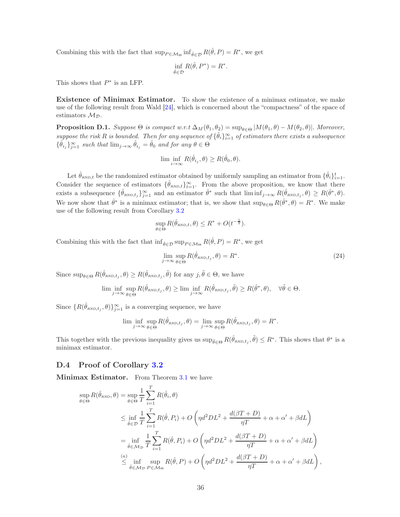Combining this with the fact that  $\sup_{P \in \mathcal{M}_{\Theta}} \inf_{\hat{\theta} \in \mathcal{D}} R(\hat{\theta}, P) = R^*$ , we get

$$
\inf_{\hat{\theta}\in\mathcal{D}} R(\hat{\theta}, P^*) = R^*.
$$

This shows that  $P^*$  is an LFP.

Existence of Minimax Estimator. To show the existence of a minimax estimator, we make use of the following result from Wald [\[24\]](#page-29-7), which is concerned about the "compactness" of the space of estimators  $\mathcal{M}_{\mathcal{D}}$ .

**Proposition D.1.** Suppose  $\Theta$  is compact w.r.t  $\Delta_M(\theta_1, \theta_2) = \sup_{\theta \in \Theta} |M(\theta_1, \theta) - M(\theta_2, \theta)|$ . Moreover, suppose the risk R is bounded. Then for any sequence of  $\{\hat{\theta}_i\}_{i=1}^{\infty}$  of estimators there exists a subsequence  $\{\hat{\theta}_{i_j}\}_{j=1}^{\infty}$  such that  $\lim_{j\to\infty} \hat{\theta}_{i_j} = \hat{\theta}_0$  and for any  $\theta \in \Theta$ 

$$
\lim \inf_{i \to \infty} R(\hat{\theta}_{i_j}, \theta) \ge R(\hat{\theta}_0, \theta).
$$

Let  $\hat{\theta}_{RND,t}$  be the randomized estimator obtained by uniformly sampling an estimator from  $\{\hat{\theta}_i\}_{i=1}^t$ . Consider the sequence of estimators  $\{\hat{\theta}_{RND,t}\}_{t=1}^{\infty}$ . From the above proposition, we know that there exists a subsequence  $\{\hat{\theta}_{RND,t_j}\}_{j=1}^{\infty}$  and an estimator  $\hat{\theta}^*$  such that  $\liminf_{j\to\infty} R(\hat{\theta}_{RND,t_j}, \theta) \geq R(\hat{\theta}^*, \theta)$ . We now show that  $\hat{\theta}^*$  is a minimax estimator; that is, we show that  $\sup_{\theta \in \Theta} R(\hat{\theta}^*, \theta) = R^*$ . We make use of the following result from Corollary [3.2](#page-11-0)

$$
\sup_{\theta \in \Theta} R(\hat{\theta}_{RND,t}, \theta) \leq R^* + O(t^{-\frac{1}{2}}).
$$

Combining this with the fact that  $\inf_{\hat{\theta} \in \mathcal{D}} \sup_{P \in \mathcal{M}_{\Theta}} R(\hat{\theta}, P) = R^*$ , we get

$$
\lim_{j \to \infty} \sup_{\theta \in \Theta} R(\hat{\theta}_{\text{RND}, t_j}, \theta) = R^*.
$$
\n(24)

Since  $\sup_{\theta \in \Theta} R(\hat{\theta}_{\text{RND},t_j}, \theta) \geq R(\hat{\theta}_{\text{RND},t_j}, \tilde{\theta})$  for any  $j, \tilde{\theta} \in \Theta$ , we have

$$
\liminf_{j \to \infty} \sup_{\theta \in \Theta} R(\hat{\theta}_{\text{RND}, t_j}, \theta) \ge \liminf_{j \to \infty} R(\hat{\theta}_{\text{RND}, t_j}, \tilde{\theta}) \ge R(\hat{\theta}^*, \theta), \quad \forall \tilde{\theta} \in \Theta.
$$

Since  $\{R(\hat{\theta}_{RND,t_j}, \theta)\}_{j=1}^{\infty}$  is a converging sequence, we have

$$
\liminf_{j \to \infty} \sup_{\theta \in \Theta} R(\hat{\theta}_{\text{RND}, t_j}, \theta) = \lim_{j \to \infty} \sup_{\theta \in \Theta} R(\hat{\theta}_{\text{RND}, t_j}, \theta) = R^*.
$$

This together with the previous inequality gives us  $\sup_{\tilde{\theta}\in\Theta} R(\hat{\theta}_{RND,t_j}, \tilde{\theta}) \leq R^*$ . This shows that  $\theta^*$  is a minimax estimator.

### <span id="page-35-0"></span>D.4 Proof of Corollary [3.2](#page-11-0)

Minimax Estimator. From Theorem [3.1](#page-10-1) we have

$$
\sup_{\theta \in \Theta} R(\hat{\theta}_{RND}, \theta) = \sup_{\theta \in \Theta} \frac{1}{T} \sum_{i=1}^{T} R(\hat{\theta}_{i}, \theta)
$$
  
\n
$$
\leq \inf_{\hat{\theta} \in \mathcal{D}} \frac{1}{T} \sum_{i=1}^{T} R(\hat{\theta}, P_{i}) + O\left(\eta d^{2} DL^{2} + \frac{d(\beta T + D)}{\eta T} + \alpha + \alpha' + \beta dL\right)
$$
  
\n
$$
= \inf_{\hat{\theta} \in \mathcal{M}_{\mathcal{D}}} \frac{1}{T} \sum_{i=1}^{T} R(\hat{\theta}, P_{i}) + O\left(\eta d^{2} DL^{2} + \frac{d(\beta T + D)}{\eta T} + \alpha + \alpha' + \beta dL\right)
$$
  
\n
$$
\leq \inf_{\hat{\theta} \in \mathcal{M}_{\mathcal{D}}} \sup_{P \in \mathcal{M}_{\Theta}} R(\hat{\theta}, P) + O\left(\eta d^{2} DL^{2} + \frac{d(\beta T + D)}{\eta T} + \alpha + \alpha' + \beta dL\right),
$$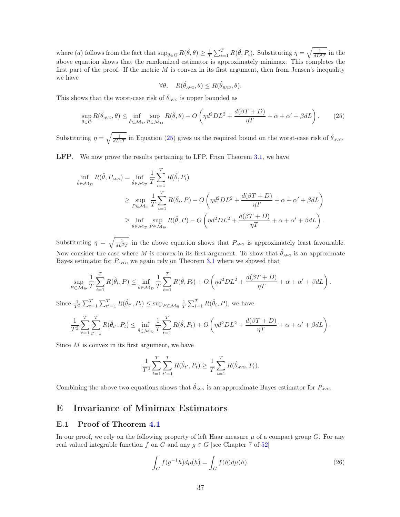where (a) follows from the fact that  $\sup_{\theta \in \Theta} R(\hat{\theta}, \theta) \geq \frac{1}{T} \sum_{i=1}^{T} R(\hat{\theta}, P_i)$ . Substituting  $\eta = \sqrt{\frac{1}{dL^2T}}$  in the above equation shows that the randomized estimator is approximately minimax. This completes the first part of the proof. If the metric  $M$  is convex in its first argument, then from Jensen's inequality we have

<span id="page-36-0"></span>
$$
\forall \theta, \quad R(\hat{\theta}_{AVG}, \theta) \le R(\hat{\theta}_{RND}, \theta).
$$

This shows that the worst-case risk of  $\hat{\theta}_{AVG}$  is upper bounded as

$$
\sup_{\theta \in \Theta} R(\hat{\theta}_{A\vee\sigma}, \theta) \le \inf_{\hat{\theta} \in \mathcal{M}_D} \sup_{P \in \mathcal{M}_\Theta} R(\hat{\theta}, \theta) + O\left(\eta d^2 DL^2 + \frac{d(\beta T + D)}{\eta T} + \alpha + \alpha' + \beta dL\right). \tag{25}
$$

Substituting  $\eta = \sqrt{\frac{1}{dL^2T}}$  in Equation [\(25\)](#page-36-0) gives us the required bound on the worst-case risk of  $\hat{\theta}_{AVG}$ .

LFP. We now prove the results pertaining to LFP. From Theorem [3.1,](#page-10-1) we have

$$
\inf_{\hat{\theta} \in \mathcal{M}_{\mathcal{D}}} R(\hat{\theta}, P_{\text{AVG}}) = \inf_{\hat{\theta} \in \mathcal{M}_{\mathcal{D}}} \frac{1}{T} \sum_{i=1}^{T} R(\hat{\theta}, P_i)
$$
\n
$$
\geq \sup_{P \in \mathcal{M}_{\Theta}} \frac{1}{T} \sum_{i=1}^{T} R(\hat{\theta}_i, P) - O\left(\eta d^2 DL^2 + \frac{d(\beta T + D)}{\eta T} + \alpha + \alpha' + \beta dL\right)
$$
\n
$$
\geq \inf_{\hat{\theta} \in \mathcal{M}_{\mathcal{D}}} \sup_{P \in \mathcal{M}_{\Theta}} R(\hat{\theta}, P) - O\left(\eta d^2 DL^2 + \frac{d(\beta T + D)}{\eta T} + \alpha + \alpha' + \beta dL\right).
$$

Substituting  $\eta = \sqrt{\frac{1}{dL^2T}}$  in the above equation shows that  $P_{AVG}$  is approximately least favourable. Now consider the case where M is convex in its first argument. To show that  $\hat{\theta}_{AVG}$  is an approximate Bayes estimator for  $P_{AVG}$ , we again rely on Theorem [3.1](#page-10-1) where we showed that

$$
\sup_{P \in \mathcal{M}_{\Theta}} \frac{1}{T} \sum_{i=1}^T R(\hat{\theta}_i, P) \le \inf_{\hat{\theta} \in \mathcal{M}_{\mathcal{D}}} \frac{1}{T} \sum_{t=1}^T R(\hat{\theta}, P_t) + O\left(\eta d^2 DL^2 + \frac{d(\beta T + D)}{\eta T} + \alpha + \alpha' + \beta dL\right).
$$

Since  $\frac{1}{T^2} \sum_{t=1}^T \sum_{t'=1}^T R(\hat{\theta}_{t'}, P_t) \le \sup_{P \in \mathcal{M}_{\Theta}} \frac{1}{T} \sum_{i=1}^T R(\hat{\theta}_i, P)$ , we have

$$
\frac{1}{T^2} \sum_{t=1}^T \sum_{t'=1}^T R(\hat{\theta}_{t'}, P_t) \le \inf_{\hat{\theta} \in \mathcal{M}_{\mathcal{D}}} \frac{1}{T} \sum_{t=1}^T R(\hat{\theta}, P_t) + O\left(\eta d^2 DL^2 + \frac{d(\beta T + D)}{\eta T} + \alpha + \alpha' + \beta dL\right).
$$

Since  $M$  is convex in its first argument, we have

$$
\frac{1}{T^2} \sum_{t=1}^T \sum_{t'=1}^T R(\hat{\theta}_{t'}, P_t) \ge \frac{1}{T} \sum_{i=1}^T R(\hat{\theta}_{AVG}, P_i).
$$

Combining the above two equations shows that  $\hat{\theta}_{AVG}$  is an approximate Bayes estimator for  $P_{AVG}$ .

## E Invariance of Minimax Estimators

### E.1 Proof of Theorem [4.1](#page-13-1)

In our proof, we rely on the following property of left Haar measure  $\mu$  of a compact group G. For any real valued integrable function f on G and any  $g \in G$  [see Chapter 7 of [52](#page-30-16)]

<span id="page-36-1"></span>
$$
\int_{G} f(g^{-1}h)d\mu(h) = \int_{G} f(h)d\mu(h).
$$
\n(26)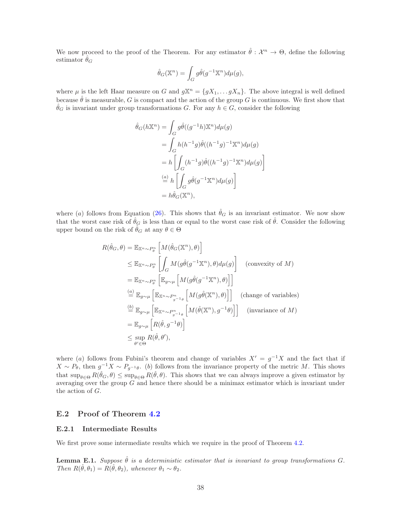We now proceed to the proof of the Theorem. For any estimator  $\hat{\theta}: \mathcal{X}^n \to \Theta$ , define the following estimator  $\theta_G$ 

$$
\hat{\theta}_G(\mathbb{X}^n) = \int_G g \hat{\theta}(g^{-1} \mathbb{X}^n) d\mu(g),
$$

where  $\mu$  is the left Haar measure on G and  $g\mathbb{X}^n = \{gX_1, \ldots gX_n\}$ . The above integral is well defined because  $\hat{\theta}$  is measurable, G is compact and the action of the group G is continuous. We first show that  $\hat{\theta}_G$  is invariant under group transformations G. For any  $h \in G$ , consider the following

$$
\hat{\theta}_G(h\mathbb{X}^n) = \int_G g\hat{\theta}((g^{-1}h)\mathbb{X}^n)d\mu(g)
$$
  
\n
$$
= \int_G h(h^{-1}g)\hat{\theta}((h^{-1}g)^{-1}\mathbb{X}^n)d\mu(g)
$$
  
\n
$$
= h\left[\int_G (h^{-1}g)\hat{\theta}((h^{-1}g)^{-1}\mathbb{X}^n)d\mu(g)\right]
$$
  
\n
$$
\stackrel{(a)}{=} h\left[\int_G g\hat{\theta}(g^{-1}\mathbb{X}^n)d\mu(g)\right]
$$
  
\n
$$
= h\hat{\theta}_G(\mathbb{X}^n),
$$

where (a) follows from Equation [\(26\)](#page-36-1). This shows that  $\hat{\theta}_G$  is an invariant estimator. We now show that the worst case risk of  $\hat{\theta}_G$  is less than or equal to the worst case risk of  $\hat{\theta}$ . Consider the following upper bound on the risk of  $\hat{\theta}_G$  at any  $\theta \in \Theta$ 

$$
R(\hat{\theta}_{G}, \theta) = \mathbb{E}_{\mathbb{X}^{n} \sim P_{\theta}^{n}} \left[ M(\hat{\theta}_{G}(\mathbb{X}^{n}), \theta) \right]
$$
  
\n
$$
\leq \mathbb{E}_{\mathbb{X}^{n} \sim P_{\theta}^{n}} \left[ \int_{G} M(g\hat{\theta}(g^{-1}\mathbb{X}^{n}), \theta) d\mu(g) \right]
$$
 (convexity of  $M$ )  
\n
$$
= \mathbb{E}_{\mathbb{X}^{n} \sim P_{\theta}^{n}} \left[ \mathbb{E}_{g \sim \mu} \left[ M(g\hat{\theta}(g^{-1}\mathbb{X}^{n}), \theta) \right] \right]
$$
  
\n
$$
\stackrel{(a)}{=} \mathbb{E}_{g \sim \mu} \left[ \mathbb{E}_{\mathbb{X}^{n} \sim P_{g^{-1}\theta}^{n}} \left[ M(g\hat{\theta}(\mathbb{X}^{n}), \theta) \right] \right]
$$
 (change of variables)  
\n
$$
\stackrel{(b)}{=} \mathbb{E}_{g \sim \mu} \left[ \mathbb{E}_{\mathbb{X}^{n} \sim P_{g^{-1}\theta}^{n}} \left[ M(\hat{\theta}(\mathbb{X}^{n}), g^{-1}\theta) \right] \right]
$$
 (invariance of  $M$ )  
\n
$$
= \mathbb{E}_{g \sim \mu} \left[ R(\hat{\theta}, g^{-1}\theta) \right]
$$
  
\n
$$
\leq \sup_{\theta' \in \Theta} R(\hat{\theta}, \theta'),
$$

where (a) follows from Fubini's theorem and change of variables  $X' = g^{-1}X$  and the fact that if  $X \sim P_{\theta}$ , then  $g^{-1}X \sim P_{g^{-1}\theta}$ . (b) follows from the invariance property of the metric M. This shows that  $\sup_{\theta \in \Theta} R(\hat{\theta}_G, \theta) \leq \sup_{\theta \in \Theta} R(\hat{\theta}, \theta)$ . This shows that we can always improve a given estimator by averaging over the group  $G$  and hence there should be a minimax estimator which is invariant under the action of G.

### E.2 Proof of Theorem [4.2](#page-14-0)

#### E.2.1 Intermediate Results

We first prove some intermediate results which we require in the proof of Theorem [4.2.](#page-14-0)

<span id="page-37-0"></span>**Lemma E.1.** Suppose  $\hat{\theta}$  is a deterministic estimator that is invariant to group transformations G. Then  $R(\hat{\theta}, \theta_1) = R(\hat{\theta}, \theta_2)$ , whenever  $\theta_1 \sim \theta_2$ .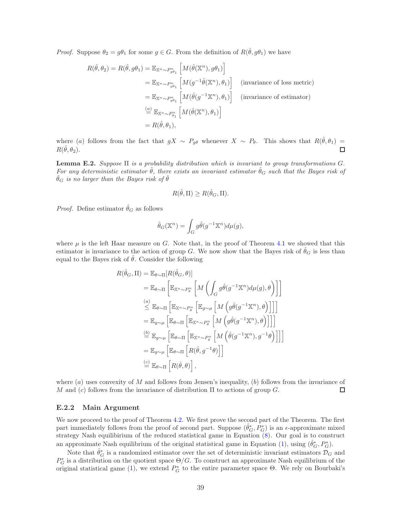*Proof.* Suppose  $\theta_2 = g\theta_1$  for some  $g \in G$ . From the definition of  $R(\hat{\theta}, g\theta_1)$  we have

$$
R(\hat{\theta}, \theta_2) = R(\hat{\theta}, g\theta_1) = \mathbb{E}_{\mathbb{X}^n \sim P_{g\theta_1}^n} \left[ M(\hat{\theta}(\mathbb{X}^n), g\theta_1) \right]
$$
  
\n
$$
= \mathbb{E}_{\mathbb{X}^n \sim P_{g\theta_1}^n} \left[ M(g^{-1}\hat{\theta}(\mathbb{X}^n), \theta_1) \right] \quad \text{(invariance of loss metric)}
$$
  
\n
$$
= \mathbb{E}_{\mathbb{X}^n \sim P_{g\theta_1}^n} \left[ M(\hat{\theta}(g^{-1}\mathbb{X}^n), \theta_1) \right] \quad \text{(invariance of estimator)}
$$
  
\n
$$
\stackrel{(a)}{=} \mathbb{E}_{\mathbb{X}^n \sim P_{\theta_1}^n} \left[ M(\hat{\theta}(\mathbb{X}^n), \theta_1) \right]
$$
  
\n
$$
= R(\hat{\theta}, \theta_1),
$$

where (a) follows from the fact that  $gX \sim P_{g\theta}$  whenever  $X \sim P_{\theta}$ . This shows that  $R(\hat{\theta}, \theta_1) =$  $R(\hat{\theta}, \theta_2)$ .  $\Box$ 

<span id="page-38-0"></span>**Lemma E.2.** Suppose  $\Pi$  is a probability distribution which is invariant to group transformations  $G$ . For any deterministic estimator  $\hat{\theta}$ , there exists an invariant estimator  $\hat{\theta}_G$  such that the Bayes risk of  $\hat{\theta}_G$  is no larger than the Bayes risk of  $\hat{\theta}$ 

$$
R(\hat{\theta}, \Pi) \ge R(\hat{\theta}_G, \Pi).
$$

*Proof.* Define estimator  $\hat{\theta}_G$  as follows

$$
\hat{\theta}_G(\mathbb{X}^n) = \int_G g\hat{\theta}(g^{-1}\mathbb{X}^n)d\mu(g),
$$

where  $\mu$  is the left Haar measure on G. Note that, in the proof of Theorem [4.1](#page-13-1) we showed that this estimator is invariance to the action of group G. We now show that the Bayes risk of  $\theta_G$  is less than equal to the Bayes risk of  $\hat{\theta}$ . Consider the following

$$
R(\hat{\theta}_{G}, \Pi) = \mathbb{E}_{\theta \sim \Pi}[R(\hat{\theta}_{G}, \theta)]
$$
  
\n
$$
= \mathbb{E}_{\theta \sim \Pi} \left[ \mathbb{E}_{\mathbb{X}^{n} \sim P_{\theta}^{n}} \left[ M \left( \int_{G} g \hat{\theta}(g^{-1} \mathbb{X}^{n}) d\mu(g), \theta \right) \right] \right]
$$
  
\n
$$
\stackrel{(a)}{\leq} \mathbb{E}_{\theta \sim \Pi} \left[ \mathbb{E}_{\mathbb{X}^{n} \sim P_{\theta}^{n}} \left[ \mathbb{E}_{g \sim \mu} \left[ M \left( g \hat{\theta}(g^{-1} \mathbb{X}^{n}), \theta \right) \right] \right] \right]
$$
  
\n
$$
= \mathbb{E}_{g \sim \mu} \left[ \mathbb{E}_{\theta \sim \Pi} \left[ \mathbb{E}_{\mathbb{X}^{n} \sim P_{\theta}^{n}} \left[ M \left( g \hat{\theta}(g^{-1} \mathbb{X}^{n}), \theta \right) \right] \right] \right]
$$
  
\n
$$
\stackrel{(b)}{=} \mathbb{E}_{g \sim \mu} \left[ \mathbb{E}_{\theta \sim \Pi} \left[ \mathbb{E}_{\mathbb{X}^{n} \sim P_{\theta}^{n}} \left[ M \left( \hat{\theta}(g^{-1} \mathbb{X}^{n}), g^{-1} \theta \right) \right] \right] \right]
$$
  
\n
$$
= \mathbb{E}_{g \sim \mu} \left[ \mathbb{E}_{\theta \sim \Pi} \left[ R(\hat{\theta}, g^{-1} \theta) \right] \right]
$$
  
\n
$$
\stackrel{(c)}{=} \mathbb{E}_{\theta \sim \Pi} \left[ R(\hat{\theta}, \theta) \right],
$$

where  $(a)$  uses convexity of M and follows from Jensen's inequality,  $(b)$  follows from the invariance of M and (c) follows from the invariance of distribution  $\Pi$  to actions of group G. □

#### E.2.2 Main Argument

We now proceed to the proof of Theorem [4.2.](#page-14-0) We first prove the second part of the Theorem. The first part immediately follows from the proof of second part. Suppose  $(\hat{\theta}_G^*, P_G^*)$  is an  $\epsilon$ -approximate mixed strategy Nash equilibirium of the reduced statistical game in Equation [\(8\)](#page-13-0). Our goal is to construct an approximate Nash equilibrium of the original statistical game in Equation [\(1\)](#page-3-1), using  $(\hat{\theta}_G^*, P_G^*)$ .

Note that  $\hat{\theta}_G^*$  is a randomized estimator over the set of deterministic invariant estimators  $\mathcal{D}_G$  and  $P_G^*$  is a distribution on the quotient space  $\Theta/G$ . To construct an approximate Nash equilibrium of the original statistical game [\(1\)](#page-3-1), we extend  $P_G^*$  to the entire parameter space  $\Theta$ . We rely on Bourbaki's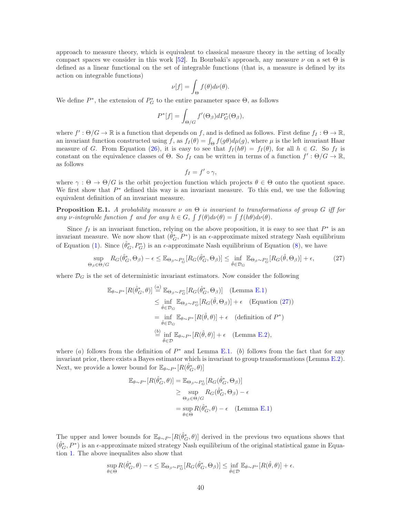approach to measure theory, which is equivalent to classical measure theory in the setting of locally compact spaces we consider in this work [\[52\]](#page-30-16). In Bourbaki's approach, any measure  $\nu$  on a set  $\Theta$  is defined as a linear functional on the set of integrable functions (that is, a measure is defined by its action on integrable functions)

$$
\nu[f] = \int_{\Theta} f(\theta) d\nu(\theta).
$$

We define  $P^*$ , the extension of  $P_G^*$  to the entire parameter space  $\Theta$ , as follows

$$
P^*[f] = \int_{\Theta/G} f'(\Theta_\beta) dP^*_{G}(\Theta_\beta),
$$

where  $f': \Theta/G \to \mathbb{R}$  is a function that depends on f, and is defined as follows. First define  $f_I : \Theta \to \mathbb{R}$ , an invariant function constructed using f, as  $f_I(\theta) = \int_{\Theta} f(g\theta) d\mu(g)$ , where  $\mu$  is the left invariant Haar measure of G. From Equation [\(26\)](#page-36-1), it is easy to see that  $f_I(h\theta) = f_I(\theta)$ , for all  $h \in G$ . So  $f_I$  is constant on the equivalence classes of  $\Theta$ . So  $f_I$  can be written in terms of a function  $f' : \Theta/G \to \mathbb{R}$ , as follows

<span id="page-39-0"></span>
$$
f_I = f' \circ \gamma,
$$

where  $\gamma : \Theta \to \Theta/G$  is the orbit projection function which projects  $\theta \in \Theta$  onto the quotient space. We first show that  $P^*$  defined this way is an invariant measure. To this end, we use the following equivalent definition of an invariant measure.

**Proposition E.1.** A probability measure  $\nu$  on  $\Theta$  is invariant to transformations of group G iff for any v-integrable function f and for any  $h \in G$ ,  $\int f(\theta) d\nu(\theta) = \int f(h\theta) d\nu(\theta)$ .

Since  $f_I$  is an invariant function, relying on the above proposition, it is easy to see that  $P^*$  is an invariant measure. We now show that  $(\hat{\theta}_G^*, P^*)$  is an  $\epsilon$ -approximate mixed strategy Nash equilibrium of Equation [\(1\)](#page-3-1). Since  $(\hat{\theta}_G^*, P_G^*)$  is an  $\epsilon$ -approximate Nash equilibrium of Equation [\(8\)](#page-13-0), we have

$$
\sup_{\Theta_{\beta}\in\Theta/G} R_G(\hat{\theta}_G^*, \Theta_{\beta}) - \epsilon \leq \mathbb{E}_{\Theta_{\beta}\sim P_G^*}[R_G(\hat{\theta}_G^*, \Theta_{\beta})] \leq \inf_{\hat{\theta}\in\mathcal{D}_G} \mathbb{E}_{\Theta_{\beta}\sim P_G^*}[R_G(\hat{\theta}, \Theta_{\beta})] + \epsilon,
$$
\n(27)

where  $\mathcal{D}_G$  is the set of deterministic invariant estimators. Now consider the following

$$
\mathbb{E}_{\theta \sim P^*}[R(\hat{\theta}_G^*, \theta)] \stackrel{(a)}{=} \mathbb{E}_{\Theta_\beta \sim P_G^*}[R_G(\hat{\theta}_G^*, \Theta_\beta)] \quad \text{(Lemma E.1)}
$$
\n
$$
\leq \inf_{\hat{\theta} \in \mathcal{D}_G} \mathbb{E}_{\Theta_\beta \sim P_G^*}[R_G(\hat{\theta}, \Theta_\beta)] + \epsilon \quad \text{(Equation (27))}
$$
\n
$$
= \inf_{\hat{\theta} \in \mathcal{D}_G} \mathbb{E}_{\theta \sim P^*}[R(\hat{\theta}, \theta)] + \epsilon \quad \text{(definition of } P^*)
$$
\n
$$
\stackrel{(b)}{=} \inf_{\hat{\theta} \in \mathcal{D}} \mathbb{E}_{\theta \sim P^*}[R(\hat{\theta}, \theta)] + \epsilon \quad \text{(Lemma E.2)},
$$

where (a) follows from the definition of  $P^*$  and Lemma [E.1.](#page-37-0) (b) follows from the fact that for any invariant prior, there exists a Bayes estimator which is invariant to group transformations (Lemma [E.2\)](#page-38-0). Next, we provide a lower bound for  $\mathbb{E}_{\theta \sim P^*}[R(\hat{\theta}_G^*, \theta)]$ 

$$
\mathbb{E}_{\theta \sim P^*}[R(\hat{\theta}_G^*, \theta)] = \mathbb{E}_{\Theta_\beta \sim P_G^*}[R_G(\hat{\theta}_G^*, \Theta_\beta)]
$$
  
\n
$$
\geq \sup_{\Theta_\beta \in \Theta/G} R_G(\hat{\theta}_G^*, \Theta_\beta) - \epsilon
$$
  
\n
$$
= \sup_{\theta \in \Theta} R(\hat{\theta}_G^*, \theta) - \epsilon \quad \text{(Lemma E.1)}
$$

The upper and lower bounds for  $\mathbb{E}_{\theta \sim P^*}[R(\hat{\theta}_G^*, \theta)]$  derived in the previous two equations shows that  $(\hat{\theta}_G^*, P^*)$  is an  $\epsilon$ -approximate mixed strategy Nash equilibrium of the original statistical game in Equation [1.](#page-3-1) The above inequalites also show that

$$
\sup_{\theta \in \Theta} R(\hat{\theta}_G^*, \theta) - \epsilon \leq \mathbb{E}_{\Theta_{\beta} \sim P_G^*}[R_G(\hat{\theta}_G^*, \Theta_{\beta})] \leq \inf_{\hat{\theta} \in \mathcal{D}} \mathbb{E}_{\theta \sim P^*}[R(\hat{\theta}, \theta)] + \epsilon.
$$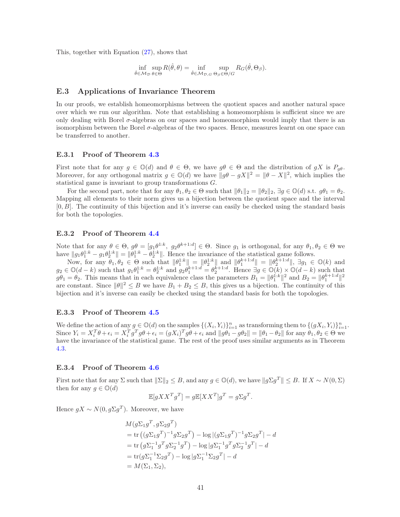This, together with Equation [\(27\)](#page-39-0), shows that

$$
\inf_{\hat{\theta}\in\mathcal{M}_{\mathcal{D}}}\sup_{\theta\in\Theta}R(\hat{\theta},\theta)=\inf_{\hat{\theta}\in\mathcal{M}_{\mathcal{D},G}}\sup_{\Theta_{\beta}\in\Theta/G}R_G(\hat{\theta},\Theta_{\beta}).
$$

### E.3 Applications of Invariance Theorem

In our proofs, we establish homeomorphisms between the quotient spaces and another natural space over which we run our algorithm. Note that establishing a homeomorphism is sufficient since we are only dealing with Borel  $\sigma$ -algebras on our spaces and homeomorphism would imply that there is an isomorphism between the Borel  $\sigma$ -algebras of the two spaces. Hence, measures learnt on one space can be transferred to another.

#### E.3.1 Proof of Theorem [4.3](#page-14-3)

First note that for any  $g \in \mathbb{O}(d)$  and  $\theta \in \Theta$ , we have  $g\theta \in \Theta$  and the distribution of  $gX$  is  $P_g\theta$ . Moreover, for any orthogonal matrix  $g \in \mathbb{O}(d)$  we have  $||g\theta - gX||^2 = ||\theta - X||^2$ , which implies the statistical game is invariant to group transformations G.

For the second part, note that for any  $\theta_1, \theta_2 \in \Theta$  such that  $\|\theta_1\|_2 = \|\theta_2\|_2$ ,  $\exists g \in \mathbb{O}(d)$  s.t.  $g\theta_1 = \theta_2$ . Mapping all elements to their norm gives us a bijection between the quotient space and the interval  $[0, B]$ . The continuity of this bijection and it's inverse can easily be checked using the standard basis for both the topologies.

#### E.3.2 Proof of Theorem [4.4](#page-14-5)

Note that for any  $\theta \in \Theta$ ,  $g\theta = [g_1\theta^{1:k}, g_2\theta^{k+1:d}] \in \Theta$ . Since  $g_1$  is orthogonal, for any  $\theta_1, \theta_2 \in \Theta$  we have  $||g_1\theta_1^{1:k} - g_1\theta_2^{1:k}|| = ||\theta_1^{1:k} - \theta_2^{1:k}||$ . Hence the invariance of the statistical game follows.

Now, for any  $\theta_1, \theta_2 \in \Theta$  such that  $\|\theta_1^{1:k}\| = \|\theta_2^{1:k}\|$  and  $\|\theta_1^{k+1:d}\| = \|\theta_2^{k+1:d}\|$ ,  $\exists g_1 \in \mathbb{O}(k)$  and  $g_2 \in \mathbb{O}(d-k)$  such that  $g_1\theta_1^{1:k} = \theta_2^{1:k}$  and  $g_2\theta_1^{k+1:d} = \theta_2^{k+1:d}$ . Hence  $\exists g \in \mathbb{O}(k) \times \mathbb{O}(d-k)$  such that  $g\theta_1 = \theta_2$ . This means that in each equivalence class the parameters  $B_1 = ||\theta_1^{1:k}||^2$  and  $B_2 = ||\theta_1^{k+1:d}||^2$ are constant. Since  $\|\theta\|^2 \leq B$  we have  $B_1 + B_2 \leq B$ , this gives us a bijection. The continuity of this bijection and it's inverse can easily be checked using the standard basis for both the topologies.

### E.3.3 Proof of Theorem [4.5](#page-15-2)

We define the action of any  $g \in \mathbb{O}(d)$  on the samples  $\{(X_i, Y_i)\}_{i=1}^n$  as transforming them to  $\{(gX_i, Y_i)\}_{i=1}^n$ . Since  $Y_i = X_i^T \theta + \epsilon_i = X_i^T g^T g \theta + \epsilon_i = (gX_i)^T g \theta + \epsilon_i$  and  $||g\theta_1 - g\theta_2|| = ||\theta_1 - \theta_2||$  for any  $\theta_1, \theta_2 \in \Theta$  we have the invariance of the statistical game. The rest of the proof uses similar arguments as in Theorem [4.3.](#page-14-3)

#### E.3.4 Proof of Theorem [4.6](#page-15-6)

First note that for any  $\Sigma$  such that  $||\Sigma||_2 \leq B$ , and any  $g \in \mathbb{O}(d)$ , we have  $||g\Sigma g^T|| \leq B$ . If  $X \sim N(0, \Sigma)$ then for any  $g \in \mathbb{O}(d)$ 

$$
\mathbb{E}[gXX^Tg^T] = g\mathbb{E}[XX^T]g^T = g\Sigma g^T.
$$

Hence  $gX \sim N(0, g\Sigma g^T)$ . Moreover, we have

$$
M(g\Sigma_1 g^T, g\Sigma_2 g^T)
$$
  
= tr  $((g\Sigma_1 g^T)^{-1} g \Sigma_2 g^T) - \log |(g\Sigma_1 g^T)^{-1} g \Sigma_2 g^T| - d$   
= tr  $(g\Sigma_1^{-1} g^T g \Sigma_2^{-1} g^T) - \log |g\Sigma_1^{-1} g^T g \Sigma_2^{-1} g^T| - d$   
= tr  $(g\Sigma_1^{-1} \Sigma_2 g^T) - \log |g\Sigma_1^{-1} \Sigma_2 g^T| - d$   
=  $M(\Sigma_1, \Sigma_2)$ ,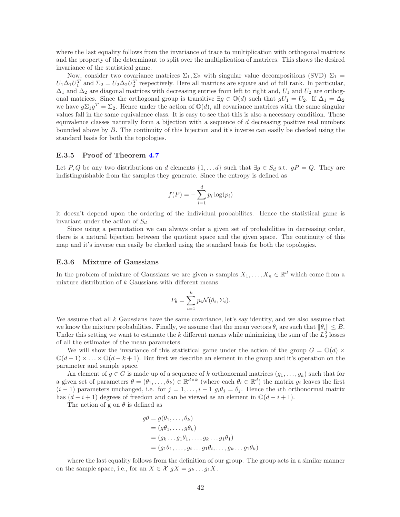where the last equality follows from the invariance of trace to multiplication with orthogonal matrices and the property of the determinant to split over the multiplication of matrices. This shows the desired invariance of the statistical game.

Now, consider two covariance matrices  $\Sigma_1, \Sigma_2$  with singular value decompositions (SVD)  $\Sigma_1$  =  $U_1\Delta_1U_1^T$  and  $\Sigma_2=U_2\Delta_2U_2^T$  respectively. Here all matrices are square and of full rank. In particular,  $\Delta_1$  and  $\Delta_2$  are diagonal matrices with decreasing entries from left to right and,  $U_1$  and  $U_2$  are orthogonal matrices. Since the orthogonal group is transitive  $\exists g \in \mathbb{O}(d)$  such that  $gU_1 = U_2$ . If  $\Delta_1 = \Delta_2$ we have  $g\Sigma_1g^T = \Sigma_2$ . Hence under the action of  $\mathbb{O}(d)$ , all covariance matrices with the same singular values fall in the same equivalence class. It is easy to see that this is also a necessary condition. These equivalence classes naturally form a bijection with a sequence of  $d$  decreasing positive real numbers bounded above by  $B$ . The continuity of this bijection and it's inverse can easily be checked using the standard basis for both the topologies.

#### E.3.5 Proof of Theorem [4.7](#page-16-4)

Let P, Q be any two distributions on d elements  $\{1, \ldots d\}$  such that  $\exists g \in S_d$  s.t.  $gP = Q$ . They are indistinguishable from the samples they generate. Since the entropy is defined as

$$
f(P) = -\sum_{i=1}^{d} p_i \log(p_i)
$$

it doesn't depend upon the ordering of the individual probabilites. Hence the statistical game is invariant under the action of  $S_d$ .

Since using a permutation we can always order a given set of probabilities in decreasing order, there is a natural bijection between the quotient space and the given space. The continuity of this map and it's inverse can easily be checked using the standard basis for both the topologies.

### E.3.6 Mixture of Gaussians

In the problem of mixture of Gaussians we are given n samples  $X_1, \ldots, X_n \in \mathbb{R}^d$  which come from a mixture distribution of  $k$  Gaussians with different means

$$
P_{\theta} = \sum_{i=1}^{k} p_i \mathcal{N}(\theta_i, \Sigma_i).
$$

We assume that all  $k$  Gaussians have the same covariance, let's say identity, and we also assume that we know the mixture probabilities. Finally, we assume that the mean vectors  $\theta_i$  are such that  $\|\theta_i\| \leq B$ . Under this setting we want to estimate the k different means while minimizing the sum of the  $L_2^2$  losses of all the estimates of the mean parameters.

We will show the invariance of this statistical game under the action of the group  $G = \mathbb{O}(d) \times$  $\mathbb{O}(d-1) \times \ldots \times \mathbb{O}(d-k+1)$ . But first we describe an element in the group and it's operation on the parameter and sample space.

An element of  $g \in G$  is made up of a sequence of k orthonormal matrices  $(g_1, \ldots, g_k)$  such that for a given set of parameters  $\theta = (\theta_1, \dots, \theta_k) \in \mathbb{R}^{d \times k}$  (where each  $\theta_i \in \mathbb{R}^d$ ) the matrix  $g_i$  leaves the first  $(i-1)$  parameters unchanged, i.e. for  $j = 1, \ldots, i-1$   $g_i \theta_j = \theta_j$ . Hence the *i*th orthonormal matrix has  $(d - i + 1)$  degrees of freedom and can be viewed as an element in  $\mathbb{O}(d - i + 1)$ .

The action of g on  $\theta$  is defined as

$$
g\theta = g(\theta_1, \dots, \theta_k)
$$
  
=  $(g\theta_1, \dots, g\theta_k)$   
=  $(g_k \dots g_1 \theta_1, \dots, g_k \dots g_1 \theta_1)$   
=  $(g_1 \theta_1, \dots, g_i \dots g_1 \theta_i, \dots, g_k \dots g_1 \theta_k)$ 

where the last equality follows from the definition of our group. The group acts in a similar manner on the sample space, i.e., for an  $X \in \mathcal{X}$   $gX = g_k \dots g_1 X$ .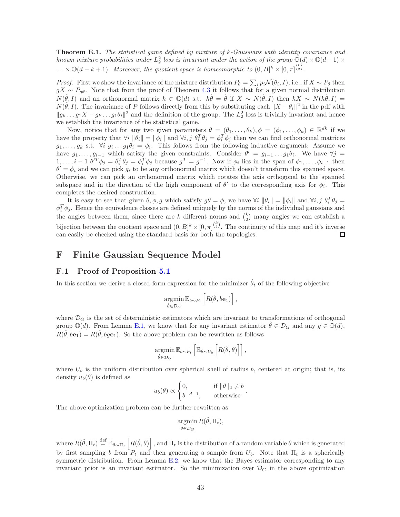Theorem E.1. The statistical game defined by mixture of k-Gaussians with identity covariance and known mixture probabilities under  $L_2^2$  loss is invariant under the action of the group  $\mathbb{Q}(d) \times \mathbb{Q}(d-1) \times$  $\ldots \times \mathbb{O}(d-k+1)$ . Moreover, the quotient space is homeomorphic to  $(0, B]^k \times [0, \pi]^{k \choose 2}$ .

*Proof.* First we show the invariance of the mixture distribution  $P_{\theta} = \sum_{i} p_i \mathcal{N}(\theta_i, I)$ , i.e., if  $X \sim P_{\theta}$  then  $gX \sim P_{q\theta}$ . Note that from the proof of Theorem [4.3](#page-14-3) it follows that for a given normal distribution  $N(\tilde{\theta}, I)$  and an orthonormal matrix  $h \in \mathbb{O}(d)$  s.t.  $h\tilde{\theta} = \tilde{\theta}$  if  $X \sim N(\tilde{\theta}, I)$  then  $hX \sim N(h\tilde{\theta}, I) =$  $N(\tilde{\theta}, I)$ . The invariance of P follows directly from this by substituting each  $||X - \theta_i||^2$  in the pdf with  $||g_k...g_1X-g_k...g_1\theta_i||^2$  and the definition of the group. The  $L_2^2$  loss is trivially invariant and hence we establish the invariance of the statistical game.

Now, notice that for any two given parameters  $\theta = (\theta_1, \ldots, \theta_k), \phi = (\phi_1, \ldots, \phi_k) \in \mathbb{R}^{dk}$  if we have the property that  $\forall i \|\theta_i\| = \|\phi_i\|$  and  $\forall i, j \ \theta_i^T \theta_j = \phi_i^T \phi_j$  then we can find orthonormal matrices  $g_1, \ldots, g_k$  s.t.  $\forall i \ g_i \ldots g_1 \theta_i = \phi_i$ . This follows from the following inductive argument: Assume we have  $g_1, \ldots, g_{i-1}$  which satisfy the given constraints. Consider  $\theta' = g_{i-1} \ldots g_1 \theta_i$ . We have  $\forall j =$  $1, \ldots, i-1$   $\theta^T \phi_j = \theta_i^T \theta_j = \phi_i^T \phi_j$  because  $g^T = g^{-1}$ . Now if  $\phi_i$  lies in the span of  $\phi_1, \ldots, \phi_{i-1}$  then  $\theta' = \phi_i$  and we can pick  $g_i$  to be any orthonormal matrix which doesn't transform this spanned space. Otherwise, we can pick an orthonormal matrix which rotates the axis orthogonal to the spanned subspace and in the direction of the high component of  $\theta'$  to the corresponding axis for  $\phi_i$ . This completes the desired construction.

It is easy to see that given  $\theta, \phi, g$  which satisfy  $g\theta = \phi$ , we have  $\forall i \|\theta_i\| = \|\phi_i\|$  and  $\forall i, j \theta_i^T \theta_j =$  $\phi_i^T \phi_j$ . Hence the equivalence classes are defined uniquely by the norms of the individual gaussians and the angles between them, since there are k different norms and  $\binom{k}{2}$  many angles we can establish a bijection between the quotient space and  $(0, B]^k \times [0, \pi]^{k \choose 2}$ . The continuity of this map and it's inverse can easily be checked using the standard basis for both the topologies. ◻

### F Finite Gaussian Sequence Model

### F.1 Proof of Proposition [5.1](#page-17-2)

In this section we derive a closed-form expression for the minimizer  $\hat{\theta}_t$  of the following objective

$$
\underset{\hat{\theta}\in\mathcal{D}_G}{\operatorname{argmin}} \mathbb{E}_{b\sim P_t} \left[ R(\hat{\theta}, b\mathbf{e}_1) \right],
$$

where  $\mathcal{D}_G$  is the set of deterministic estimators which are invariant to transformations of orthogonal group  $\mathbb{O}(d)$ . From Lemma [E.1,](#page-37-0) we know that for any invariant estimator  $\theta \in \mathcal{D}_G$  and any  $g \in \mathbb{O}(d)$ ,  $R(\hat{\theta}, b\mathbf{e}_1) = R(\hat{\theta}, b g\mathbf{e}_1)$ . So the above problem can be rewritten as follows

$$
\underset{\hat{\theta}\in\mathcal{D}_G}{\operatorname{argmin}} \mathbb{E}_{b\sim P_t} \left[ \mathbb{E}_{\theta\sim U_b} \left[ R(\hat{\theta}, \theta) \right] \right],
$$

where  $U_b$  is the uniform distribution over spherical shell of radius b, centered at origin; that is, its density  $u_b(\theta)$  is defined as

$$
u_b(\theta) \propto \begin{cases} 0, & \text{if } \|\theta\|_2 \neq b \\ b^{-d+1}, & \text{otherwise} \end{cases}.
$$

The above optimization problem can be further rewritten as

$$
\operatorname*{argmin}_{\hat{\theta}\in\mathcal{D}_G} R(\hat{\theta}, \Pi_t),
$$

where  $R(\hat{\theta}, \Pi_t) \stackrel{\text{def}}{=} \mathbb{E}_{\theta \sim \Pi_t} \left[ R(\hat{\theta}, \theta) \right]$ , and  $\Pi_t$  is the distribution of a random variable  $\theta$  which is generated by first sampling b from  $P_t$  and then generating a sample from  $U_b$ . Note that  $\Pi_t$  is a spherically symmetric distribution. From Lemma [E.2,](#page-38-0) we know that the Bayes estimator corresponding to any invariant prior is an invariant estimator. So the minimization over  $\mathcal{D}_G$  in the above optimization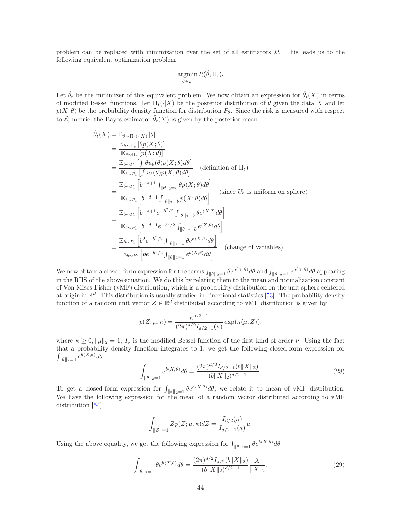problem can be replaced with minimization over the set of all estimators D. This leads us to the following equivalent optimization problem

$$
\operatorname*{argmin}_{\hat{\theta}\in\mathcal{D}} R(\hat{\theta}, \Pi_t).
$$

Let  $\hat{\theta}_t$  be the minimizer of this equivalent problem. We now obtain an expression for  $\hat{\theta}_t(X)$  in terms of modified Bessel functions. Let  $\Pi_t(\cdot|X)$  be the posterior distribution of  $\theta$  given the data X and let  $p(X; \theta)$  be the probability density function for distribution  $P_{\theta}$ . Since the risk is measured with respect to  $\ell_2^2$  metric, the Bayes estimator  $\hat{\theta}_t(X)$  is given by the posterior mean

$$
\hat{\theta}_{t}(X) = \mathbb{E}_{\theta \sim \Pi_{t}}[\theta p(X; \theta)]
$$
\n
$$
= \frac{\mathbb{E}_{\theta \sim \Pi_{t}}[\theta p(X; \theta)]}{\mathbb{E}_{\theta \sim P_{t}}[\int \theta u_{b}(\theta) p(X; \theta) d\theta]} = \frac{\mathbb{E}_{b \sim P_{t}}[\int \theta u_{b}(\theta) p(X; \theta) d\theta]}{\mathbb{E}_{b \sim P_{t}}[\int u_{b}(\theta) p(X; \theta) d\theta]} \quad \text{(definition of } \Pi_{t})
$$
\n
$$
= \frac{\mathbb{E}_{b \sim P_{t}}[\int b^{-d+1} \int_{\|\theta\|_{2} = b} \theta p(X; \theta) d\theta]}{\mathbb{E}_{b \sim P_{t}}[\int b^{-d+1} \int_{\|\theta\|_{2} = b} p(X; \theta) d\theta]} \quad \text{(since } U_{b} \text{ is uniform on sphere)}
$$
\n
$$
= \frac{\mathbb{E}_{b \sim P_{t}}[\int b^{-d+1} e^{-b^{2}/2} \int_{\|\theta\|_{2} = b} \theta e^{\langle X, \theta \rangle} d\theta]}{\mathbb{E}_{b \sim P_{t}}[\int b^{-d+1} e^{-b^{2}/2} \int_{\|\theta\|_{2} = b} e^{\langle X, \theta \rangle} d\theta]}
$$
\n
$$
= \frac{\mathbb{E}_{b \sim P_{t}}[\int b^{2} e^{-b^{2}/2} \int_{\|\theta\|_{2} = 1} \theta e^{b \langle X, \theta \rangle} d\theta]}{\mathbb{E}_{b \sim P_{t}}[\int b^{2} e^{-b^{2}/2} \int_{\|\theta\|_{2} = 1} e^{b \langle X, \theta \rangle} d\theta]} \quad \text{(change of variables)}.
$$

We now obtain a closed-form expression for the terms  $\int_{\|\theta\|_2=1} \theta e^{b\langle X,\theta\rangle} d\theta$  and  $\int_{\|\theta\|_2=1} e^{b\langle X,\theta\rangle} d\theta$  appearing in the RHS of the above equation. We do this by relating them to the mean and normalization constant of Von Mises-Fisher (vMF) distribution, which is a probability distribution on the unit sphere centered at origin in  $\mathbb{R}^d$ . This distribution is usually studied in directional statistics [\[53\]](#page-30-17). The probability density function of a random unit vector  $Z \in \mathbb{R}^d$  distributed according to vMF distribution is given by

$$
p(Z; \mu, \kappa) = \frac{\kappa^{d/2 - 1}}{(2\pi)^{d/2} I_{d/2 - 1}(\kappa)} \exp(\kappa \langle \mu, Z \rangle),
$$

where  $\kappa \geq 0$ ,  $\|\mu\|_2 = 1$ ,  $I_\nu$  is the modified Bessel function of the first kind of order  $\nu$ . Using the fact that a probability density function integrates to 1, we get the following closed-form expression for  $\int_{\|\theta\|_2=1} e^{b\langle X,\theta\rangle} d\theta$ 

<span id="page-43-0"></span>
$$
\int_{\|\theta\|_2=1} e^{b\langle X,\theta\rangle} d\theta = \frac{(2\pi)^{d/2} I_{d/2-1}(b||X||_2)}{(b||X||_2)^{d/2-1}}.
$$
\n(28)

To get a closed-form expression for  $\int_{\|\theta\|_2=1} \theta e^{b\langle X,\theta\rangle} d\theta$ , we relate it to mean of vMF distribution. We have the following expression for the mean of a random vector distributed according to vMF distribution [\[54](#page-30-18)]

<span id="page-43-1"></span>
$$
\int_{\|Z\|=1} Zp(Z;\mu,\kappa)dZ = \frac{I_{d/2}(\kappa)}{I_{d/2-1}(\kappa)}\mu.
$$

Using the above equality, we get the following expression for  $\int_{\|\theta\|_2=1} \theta e^{b\langle X,\theta\rangle} d\theta$ 

$$
\int_{\|\theta\|_{2}=1} \theta e^{b\langle X,\theta\rangle} d\theta = \frac{(2\pi)^{d/2} I_{d/2}(b||X||_2)}{(b||X||_2)^{d/2-1}} \frac{X}{||X||_2}.
$$
\n(29)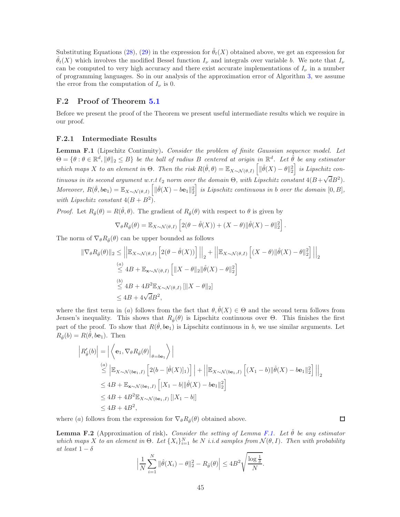Substituting Equations [\(28\)](#page-43-0), [\(29\)](#page-43-1) in the expression for  $\hat{\theta}_t(X)$  obtained above, we get an expression for  $\hat{\theta}_t(X)$  which involves the modified Bessel function  $I_\nu$  and integrals over variable b. We note that  $I_\nu$ can be computed to very high accuracy and there exist accurate implementations of  $I_{\nu}$  in a number of programming languages. So in our analysis of the approximation error of Algorithm [3,](#page-17-1) we assume the error from the computation of  $I_{\nu}$  is 0.

### F.2 Proof of Theorem [5.1](#page-17-3)

Before we present the proof of the Theorem we present useful intermediate results which we require in our proof.

#### F.2.1 Intermediate Results

<span id="page-44-0"></span>Lemma F.1 (Lipschitz Continuity). Consider the problem of finite Gaussian sequence model. Let  $\Theta = \{\theta : \theta \in \mathbb{R}^d, \|\theta\|_2 \leq B\}$  be the ball of radius B centered at origin in  $\mathbb{R}^d$ . Let  $\hat{\theta}$  be any estimator which maps X to an element in  $\Theta$ . Then the risk  $R(\hat{\theta}, \theta) = \mathbb{E}_{X \sim \mathcal{N}(\theta, I)} \left[ \| \hat{\theta}(X) - \theta \|_2^2 \right]$  is Lipschitz continuous in its second argument w.r.t  $\ell_2$  norm over the domain  $\Theta$ , with Lipschitz constant  $4(B+\sqrt{d}B^2)$ . Moreover,  $R(\hat{\theta}, \text{be}_1) = \mathbb{E}_{X \sim \mathcal{N}(\theta, I)} \left[ \| \hat{\theta}(X) - \text{be}_1 \|_2^2 \right]$  is Lipschitz continuous in b over the domain  $[0, B]$ , with Lipschitz constant  $4(B+B^2)$ .

*Proof.* Let  $R_{\hat{\theta}}(\theta) = R(\hat{\theta}, \theta)$ . The gradient of  $R_{\hat{\theta}}(\theta)$  with respect to  $\theta$  is given by

$$
\nabla_{\theta} R_{\hat{\theta}}(\theta) = \mathbb{E}_{X \sim \mathcal{N}(\theta, I)} \left[ 2(\theta - \hat{\theta}(X)) + (X - \theta) ||\hat{\theta}(X) - \theta||_2^2 \right]
$$

.

 $\Box$ 

The norm of  $\nabla_{\theta} R_{\hat{\theta}}(\theta)$  can be upper bounded as follows

$$
\|\nabla_{\theta}R_{\hat{\theta}}(\theta)\|_{2} \leq \left|\left|\mathbb{E}_{X\sim\mathcal{N}(\theta,I)}\left[2(\theta-\hat{\theta}(X))\right]\right|\right|_{2} + \left|\left|\mathbb{E}_{X\sim\mathcal{N}(\theta,I)}\left[(X-\theta)\|\hat{\theta}(X)-\theta\|_{2}^{2}\right]\right|\right|_{2}
$$
  
\n
$$
\leq 4B + \mathbb{E}_{\mathbf{x}\sim\mathcal{N}(\theta,I)}\left[\|X-\theta\|_{2}\|\hat{\theta}(X)-\theta\|_{2}^{2}\right]
$$
  
\n
$$
\leq 4B + 4B^{2}\mathbb{E}_{X\sim\mathcal{N}(\theta,I)}\left[\|X-\theta\|_{2}\right]
$$
  
\n
$$
\leq 4B + 4\sqrt{d}B^{2},
$$

where the first term in (a) follows from the fact that  $\theta, \hat{\theta}(X) \in \Theta$  and the second term follows from Jensen's inequality. This shows that  $R_{\hat{\theta}}(\theta)$  is Lipschitz continuous over  $\Theta$ . This finishes the first part of the proof. To show that  $R(\hat{\theta}, b\mathbf{e}_1)$  is Lipschitz continuous in b, we use similar arguments. Let  $R_{\hat{\theta}}(b) = R(\hat{\theta}, b\mathbf{e}_1)$ . Then

$$
\begin{aligned}\n\left| R_{\hat{\theta}}'(b) \right| &= \left| \left\langle \mathbf{e}_{1}, \nabla_{\theta} R_{\hat{\theta}}(\theta) \right|_{\theta=b\mathbf{e}_{1}} \right\rangle \\
&\stackrel{(a)}{\leq} \left| \mathbb{E}_{X \sim \mathcal{N}(b\mathbf{e}_{1},I)} \left[ 2(b - [\hat{\theta}(X)]_{1}) \right] \right| + \left| \left| \mathbb{E}_{X \sim \mathcal{N}(b\mathbf{e}_{1},I)} \left[ (X_{1} - b) \|\hat{\theta}(X) - b\mathbf{e}_{1}\|_{2}^{2} \right] \right| \right|_{2} \\
&\leq 4B + \mathbb{E}_{\mathbf{x} \sim \mathcal{N}(b\mathbf{e}_{1},I)} \left[ |X_{1} - b| \|\hat{\theta}(X) - b\mathbf{e}_{1}\|_{2}^{2} \right] \\
&\leq 4B + 4B^{2} \mathbb{E}_{X \sim \mathcal{N}(b\mathbf{e}_{1},I)} \left[ |X_{1} - b| \right] \\
&\leq 4B + 4B^{2},\n\end{aligned}
$$

where (a) follows from the expression for  $\nabla_{\theta} R_{\hat{\theta}}(\theta)$  obtained above.

<span id="page-44-1"></span>**Lemma F.2** (Approximation of risk). Consider the setting of Lemma [F.1.](#page-44-0) Let  $\hat{\theta}$  be any estimator which maps X to an element in  $\Theta$ . Let  $\{X_i\}_{i=1}^N$  be N i.i.d samples from  $\mathcal{N}(\theta, I)$ . Then with probability at least  $1 - \delta$ 

$$
\left|\frac{1}{N}\sum_{i=1}^N \|\hat{\theta}(X_i) - \theta\|_2^2 - R_{\hat{\theta}}(\theta)\right| \le 4B^2 \sqrt{\frac{\log \frac{1}{\delta}}{N}}.
$$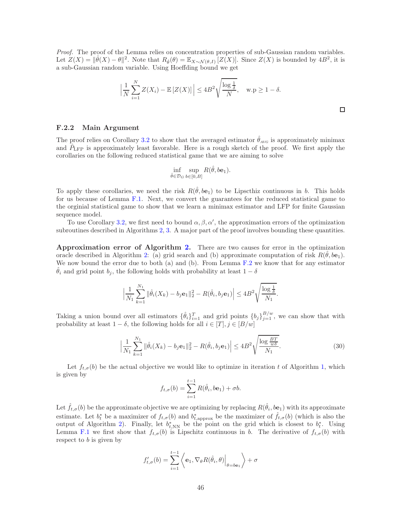Proof. The proof of the Lemma relies on concentration properties of sub-Gaussian random variables. Let  $Z(X) = ||\hat{\theta}(X) - \theta||^2$ . Note that  $R_{\hat{\theta}}(\theta) = \mathbb{E}_{X \sim \mathcal{N}(\theta, I)} [Z(X)]$ . Since  $Z(X)$  is bounded by  $4B^2$ , it is a sub-Gaussian random variable. Using Hoeffding bound we get

$$
\left|\frac{1}{N}\sum_{i=1}^{N}Z(X_i) - \mathbb{E}\left[Z(X)\right]\right| \le 4B^2\sqrt{\frac{\log{\frac{1}{\delta}}}{N}}, \quad \text{w.p } \ge 1 - \delta.
$$

□

#### F.2.2 Main Argument

The proof relies on Corollary [3.2](#page-11-0) to show that the averaged estimator  $\hat{\theta}_{AVG}$  is approximately minimax and  $\hat{P}_{\text{LFP}}$  is approximately least favorable. Here is a rough sketch of the proof. We first apply the corollaries on the following reduced statistical game that we are aiming to solve

$$
\inf_{\hat{\theta}\in\mathcal{D}_G}\sup_{b\in[0,B]}R(\hat{\theta},b\mathbf{e}_1).
$$

To apply these corollaries, we need the risk  $R(\hat{\theta}, b\mathbf{e}_1)$  to be Lipscthiz continuous in b. This holds for us because of Lemma [F.1.](#page-44-0) Next, we convert the guarantees for the reduced statistical game to the orginial statistical game to show that we learn a minimax estimator and LFP for finite Gaussian sequence model.

To use Corollary [3.2,](#page-11-0) we first need to bound  $\alpha, \beta, \alpha'$ , the approximation errors of the optimization subroutines described in Algorithms [2,](#page-17-0) [3.](#page-17-1) A major part of the proof involves bounding these quantities.

Approximation error of Algorithm [2.](#page-17-0) There are two causes for error in the optimization oracle described in Algorithm [2:](#page-17-0) (a) grid search and (b) approximate computation of risk  $R(\hat{\theta}, b\mathbf{e}_1)$ . We now bound the error due to both (a) and (b). From Lemma [F.2](#page-44-1) we know that for any estimator  $\hat{\theta}_i$  and grid point  $b_j$ , the following holds with probability at least  $1 - \delta$ 

$$
\left|\frac{1}{N_1}\sum_{k=1}^{N_1} \|\hat{\theta}_i(X_k) - b_j \mathbf{e}_1\|_2^2 - R(\hat{\theta}_i, b_j \mathbf{e}_1)\right| \le 4B^2 \sqrt{\frac{\log \frac{1}{\delta}}{N_1}}.
$$

Taking a union bound over all estimators  $\{\hat{\theta}_i\}_{i=1}^T$  and grid points  $\{b_j\}_{j=1}^{B/w}$ , we can show that with probability at least  $1 - \delta$ , the following holds for all  $i \in [T], j \in [B/w]$ 

$$
\left|\frac{1}{N_1}\sum_{k=1}^{N_1} \|\hat{\theta}_i(X_k) - b_j \mathbf{e}_1\|_2^2 - R(\hat{\theta}_i, b_j \mathbf{e}_1)\right| \le 4B^2 \sqrt{\frac{\log \frac{BT}{w\delta}}{N_1}}.
$$
\n(30)

Let  $f_{t,\sigma}(b)$  be the actual objective we would like to optimize in iteration t of Algorithm [1,](#page-10-0) which is given by

<span id="page-45-0"></span>
$$
f_{t,\sigma}(b) = \sum_{i=1}^{t-1} R(\hat{\theta}_i, b\mathbf{e}_1) + \sigma b.
$$

Let  $\hat{f}_{t,\sigma}(b)$  be the approximate objective we are optimizing by replacing  $R(\hat{\theta}_i,b\mathbf{e}_1)$  with its approximate estimate. Let  $b_t^*$  be a maximizer of  $f_{t,\sigma}(b)$  and  $b_{t,\text{approx}}^*$  be the maximizer of  $\hat{f}_{t,\sigma}(b)$  (which is also the output of Algorithm [2\)](#page-17-0). Finally, let  $b_{t,NN}^*$  be the point on the grid which is closest to  $b_t^*$ . Using Lemma [F.1](#page-44-0) we first show that  $f_{t,\sigma}(b)$  is Lipschitz continuous in b. The derivative of  $f_{t,\sigma}(b)$  with respect to  $b$  is given by

$$
f'_{t,\sigma}(b) = \sum_{i=1}^{t-1} \left\langle \mathbf{e}_1, \nabla_{\theta} R(\hat{\theta}_i, \theta) \Big|_{\theta = b\mathbf{e}_1} \right\rangle + \sigma
$$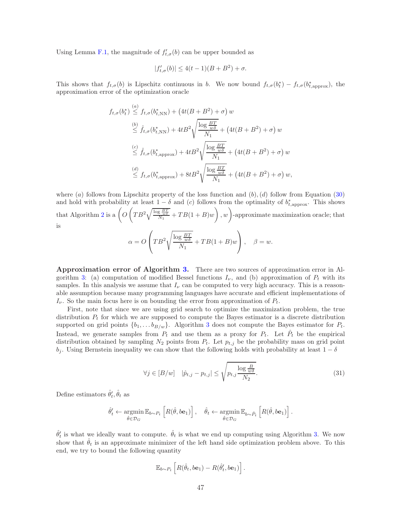Using Lemma [F.1,](#page-44-0) the magnitude of  $f'_{t,\sigma}(b)$  can be upper bounded as

$$
|f'_{t,\sigma}(b)| \le 4(t-1)(B+B^2) + \sigma.
$$

This shows that  $f_{t,\sigma}(b)$  is Lipschitz continuous in b. We now bound  $f_{t,\sigma}(b_t^*) - f_{t,\sigma}(b_{t,\text{approx}}^*)$ , the approximation error of the optimization oracle

$$
f_{t,\sigma}(b_t^*) \stackrel{(a)}{\leq} f_{t,\sigma}(b_{t,NN}^*) + \left(4t(B+B^2) + \sigma\right) w
$$
  
\n
$$
\stackrel{(b)}{\leq} \hat{f}_{t,\sigma}(b_{t,NN}^*) + 4tB^2 \sqrt{\frac{\log \frac{BT}{w\delta}}{N_1}} + \left(4t(B+B^2) + \sigma\right) w
$$
  
\n
$$
\stackrel{(c)}{\leq} \hat{f}_{t,\sigma}(b_{t,\mathrm{approx}}^*) + 4tB^2 \sqrt{\frac{\log \frac{BT}{w\delta}}{N_1}} + \left(4t(B+B^2) + \sigma\right) w
$$
  
\n
$$
\stackrel{(d)}{\leq} f_{t,\sigma}(b_{t,\mathrm{approx}}^*) + 8tB^2 \sqrt{\frac{\log \frac{BT}{w\delta}}{N_1}} + \left(4t(B+B^2) + \sigma\right) w,
$$

where (a) follows from Lipschitz property of the loss function and  $(b)$ , (d) follow from Equation [\(30\)](#page-45-0) and hold with probability at least  $1 - \delta$  and (c) follows from the optimality of  $b_{t,\text{approx}}^*$ . This shows that Algorithm [2](#page-17-0) is a  $\left(O\left(TB^2\sqrt{\frac{\log{\frac{BT}{w^3}}}{N_1}} + TB(1+B)w\right), w\right)$ -approximate maximization oracle; that is

$$
\alpha = O\left(TB^2 \sqrt{\frac{\log \frac{BT}{w\delta}}{N_1}} + TB(1+B)w\right), \quad \beta = w.
$$

Approximation error of Algorithm [3.](#page-17-1) There are two sources of approximation error in Al-gorithm [3:](#page-17-1) (a) computation of modified Bessel functions  $I_{\nu}$ , and (b) approximation of  $P_t$  with its samples. In this analysis we assume that  $I_{\nu}$  can be computed to very high accuracy. This is a reasonable assumption because many programming languages have accurate and efficient implementations of  $I_{\nu}$ . So the main focus here is on bounding the error from approximation of  $P_t$ .

First, note that since we are using grid search to optimize the maximization problem, the true distribution  $P_t$  for which we are supposed to compute the Bayes estimator is a discrete distribution supported on grid points  $\{b_1, \ldots, b_{B/w}\}.$  Algorithm [3](#page-17-1) does not compute the Bayes estimator for  $P_t$ . Instead, we generate samples from  $P_t$  and use them as a proxy for  $P_t$ . Let  $\hat{P}_t$  be the empirical distribution obtained by sampling  $N_2$  points from  $P_t$ . Let  $p_{t,j}$  be the probability mass on grid point  $b_i$ . Using Bernstein inequality we can show that the following holds with probability at least  $1 - \delta$ 

<span id="page-46-0"></span>
$$
\forall j \in [B/w] \quad |\hat{p}_{t,j} - p_{t,j}| \le \sqrt{p_{t,j} \frac{\log \frac{B}{w\delta}}{N_2}}.\tag{31}
$$

Define estimators  $\hat{\theta}'_t$ ,  $\hat{\theta}_t$  as

$$
\hat{\theta}'_t \leftarrow \underset{\hat{\theta} \in \mathcal{D}_G}{\operatorname{argmin}} \mathbb{E}_{b \sim P_t} \left[ R(\hat{\theta}, b\mathbf{e}_1) \right], \quad \hat{\theta}_t \leftarrow \underset{\hat{\theta} \in \mathcal{D}_G}{\operatorname{argmin}} \mathbb{E}_{b \sim \hat{P}_t} \left[ R(\hat{\theta}, b\mathbf{e}_1) \right].
$$

 $\hat{\theta}'_t$  is what we ideally want to compute.  $\hat{\theta}_t$  is what we end up computing using Algorithm [3.](#page-17-1) We now show that  $\hat{\theta}_t$  is an approximate minimizer of the left hand side optimization problem above. To this end, we try to bound the following quantity

$$
\mathbb{E}_{b\sim P_t}\left[R(\hat{\theta}_t,b\mathbf{e}_1)-R(\hat{\theta}'_t,b\mathbf{e}_1)\right].
$$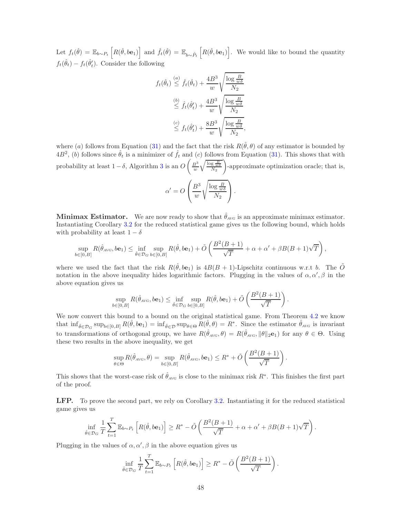Let  $f_t(\hat{\theta}) = \mathbb{E}_{b \sim P_t} \left[ R(\hat{\theta}, b e_1) \right]$  and  $\hat{f}_t(\hat{\theta}) = \mathbb{E}_{b \sim \hat{P}_t} \left[ R(\hat{\theta}, b e_1) \right]$ . We would like to bound the quantity  $f_t(\hat{\theta}_t) - f_t(\hat{\theta}'_t)$ . Consider the following

$$
f_t(\hat{\theta}_t) \stackrel{(a)}{\leq} \hat{f}_t(\hat{\theta}_t) + \frac{4B^3}{w} \sqrt{\frac{\log \frac{B}{w\delta}}{N_2}}
$$
  

$$
\stackrel{(b)}{\leq} \hat{f}_t(\hat{\theta}'_t) + \frac{4B^3}{w} \sqrt{\frac{\log \frac{B}{w\delta}}{N_2}}
$$
  

$$
\stackrel{(c)}{\leq} f_t(\hat{\theta}'_t) + \frac{8B^3}{w} \sqrt{\frac{\log \frac{B}{w\delta}}{N_2}},
$$

where (a) follows from Equation [\(31\)](#page-46-0) and the fact that the risk  $R(\hat{\theta}, \theta)$  of any estimator is bounded by  $4B^2$ , (b) follows since  $\hat{\theta}_t$  is a minimizer of  $\hat{f}_t$  and (c) follows from Equation [\(31\)](#page-46-0). This shows that with probability at least  $1-\delta$ , Algorithm [3](#page-17-1) is an  $O\left(\frac{B^3}{w}\sqrt{\frac{\log \frac{B}{w\delta}}{N_2}}\right)$ -approximate optimization oracle; that is,

$$
\alpha' = O\left(\frac{B^3}{w} \sqrt{\frac{\log \frac{B}{w\delta}}{N_2}}\right).
$$

**Minimax Estimator.** We are now ready to show that  $\hat{\theta}_{AVG}$  is an approximate minimax estimator. Instantiating Corollary [3.2](#page-11-0) for the reduced statistical game gives us the following bound, which holds with probability at least  $1 - \delta$ 

$$
\sup_{b\in[0,B]} R(\hat{\theta}_{A\vee G}, b\mathbf{e}_1) \le \inf_{\hat{\theta}\in\mathcal{D}_G} \sup_{b\in[0,B]} R(\hat{\theta}, b\mathbf{e}_1) + \tilde{O}\left(\frac{B^2(B+1)}{\sqrt{T}} + \alpha + \alpha' + \beta B(B+1)\sqrt{T}\right),
$$

where we used the fact that the risk  $R(\hat{\theta}, b\mathbf{e}_1)$  is  $4B(B + 1)$ -Lipschitz continuous w.r.t b. The  $\tilde{O}$ notation in the above inequality hides logarithmic factors. Plugging in the values of  $\alpha, \alpha', \beta$  in the above equation gives us

$$
\sup_{b\in[0,B]} R(\hat{\theta}_{A\vee G},b\mathbf{e}_1)\leq \inf_{\hat{\theta}\in\mathcal{D}_G}\sup_{b\in[0,B]} R(\hat{\theta},b\mathbf{e}_1)+\tilde{O}\left(\frac{B^2(B+1)}{\sqrt{T}}\right).
$$

We now convert this bound to a bound on the original statistical game. From Theorem [4.2](#page-14-0) we know that  $\inf_{\hat{\theta} \in \mathcal{D}_G} \sup_{b \in [0, B]} R(\hat{\theta}, b e_1) = \inf_{\hat{\theta} \in \mathcal{D}} \sup_{\theta \in \Theta} R(\hat{\theta}, \theta) = R^*$ . Since the estimator  $\hat{\theta}_{A \vee G}$  is invariant to transformations of orthogonal group, we have  $R(\hat{\theta}_{AVG}, \theta) = R(\hat{\theta}_{AVG}, \|\theta\|_2, \mathbf{e}_1)$  for any  $\theta \in \Theta$ . Using these two results in the above inequality, we get

$$
\sup_{\theta \in \Theta} R(\hat{\theta}_{A\vee G}, \theta) = \sup_{b \in [0, B]} R(\hat{\theta}_{A\vee G}, b\mathbf{e}_1) \le R^* + \tilde{O}\left(\frac{B^2(B+1)}{\sqrt{T}}\right).
$$

This shows that the worst-case risk of  $\hat{\theta}_{AVG}$  is close to the minimax risk  $R^*$ . This finishes the first part of the proof.

LFP. To prove the second part, we rely on Corollary [3.2.](#page-11-0) Instantiating it for the reduced statistical game gives us

$$
\inf_{\hat{\theta}\in\mathcal{D}_G}\frac{1}{T}\sum_{t=1}^T\mathbb{E}_{b\sim P_t}\left[R(\hat{\theta},b\mathbf{e}_1)\right]\geq R^*-\tilde{O}\left(\frac{B^2(B+1)}{\sqrt{T}}+\alpha+\alpha'+\beta B(B+1)\sqrt{T}\right).
$$

Plugging in the values of  $\alpha, \alpha', \beta$  in the above equation gives us

$$
\inf_{\hat{\theta}\in\mathcal{D}_G} \frac{1}{T} \sum_{t=1}^T \mathbb{E}_{b\sim P_t} \left[ R(\hat{\theta}, b\mathbf{e}_1) \right] \ge R^* - \tilde{O}\left(\frac{B^2(B+1)}{\sqrt{T}}\right).
$$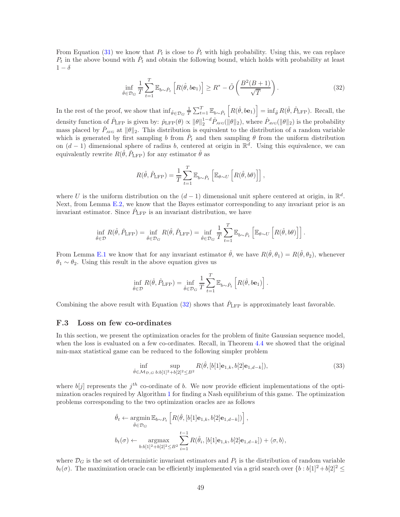From Equation [\(31\)](#page-46-0) we know that  $P_t$  is close to  $\hat{P}_t$  with high probability. Using this, we can replace  $P_t$  in the above bound with  $\hat{P}_t$  and obtain the following bound, which holds with probability at least  $1 - \delta$ 

<span id="page-48-1"></span>
$$
\inf_{\hat{\theta}\in\mathcal{D}_G} \frac{1}{T} \sum_{t=1}^T \mathbb{E}_{b\sim\hat{P}_t} \left[ R(\hat{\theta}, b\mathbf{e}_1) \right] \ge R^* - \tilde{O}\left(\frac{B^2(B+1)}{\sqrt{T}}\right). \tag{32}
$$

In the rest of the proof, we show that  $\inf_{\hat{\theta} \in \mathcal{D}_G} \frac{1}{T} \sum_{t=1}^T \mathbb{E}_{b \sim \hat{P}_t} \left[ R(\hat{\theta}, b e_1) \right] = \inf_{\hat{\theta}} R(\hat{\theta}, \hat{P}_{\text{LFP}})$ . Recall, the density function of  $\hat{P}_{\text{LFP}}$  is given by:  $\hat{p}_{\text{LFP}}(\theta) \propto \|\theta\|_2^{1-d} \hat{P}_{\text{AVG}}(\|\theta\|_2)$ , where  $\hat{P}_{\text{AVG}}(\|\theta\|_2)$  is the probability mass placed by  $\hat{P}_{AVG}$  at  $\|\theta\|_2$ . This distribution is equivalent to the distribution of a random variable which is generated by first sampling b from  $\hat{P}_t$  and then sampling  $\theta$  from the uniform distribution on  $(d-1)$  dimensional sphere of radius b, centered at origin in  $\mathbb{R}^d$ . Using this equivalence, we can equivalently rewrite  $R(\hat{\theta}, \hat{P}_{\text{LFP}})$  for any estimator  $\hat{\theta}$  as

$$
R(\hat{\theta}, \hat{P}_{\rm LFP}) = \frac{1}{T} \sum_{t=1}^{T} \mathbb{E}_{b \sim \hat{P}_t} \left[ \mathbb{E}_{\theta \sim U} \left[ R(\hat{\theta}, b\theta) \right] \right],
$$

where U is the uniform distribution on the  $(d-1)$  dimensional unit sphere centered at origin, in  $\mathbb{R}^d$ . Next, from Lemma [E.2,](#page-38-0) we know that the Bayes estimator corresponding to any invariant prior is an invariant estimator. Since  $\hat{P}_{\text{LFP}}$  is an invariant distribution, we have

$$
\inf_{\hat{\theta}\in\mathcal{D}} R(\hat{\theta}, \hat{P}_{\text{LFP}}) = \inf_{\hat{\theta}\in\mathcal{D}_G} R(\hat{\theta}, \hat{P}_{\text{LFP}}) = \inf_{\hat{\theta}\in\mathcal{D}_G} \frac{1}{T} \sum_{t=1}^T \mathbb{E}_{b\sim\hat{P}_t} \left[ \mathbb{E}_{\theta\sim U} \left[ R(\hat{\theta}, b\theta) \right] \right].
$$

From Lemma [E.1](#page-37-0) we know that for any invariant estimator  $\hat{\theta}$ , we have  $R(\hat{\theta}, \theta_1) = R(\hat{\theta}, \theta_2)$ , whenever  $\theta_1 \sim \theta_2$ . Using this result in the above equation gives us

$$
\inf_{\hat{\theta}\in\mathcal{D}} R(\hat{\theta},\hat{P}_{\mathrm{LFP}})=\inf_{\hat{\theta}\in\mathcal{D}_{G}}\frac{1}{T}\sum_{t=1}^{T}\mathbb{E}_{b\sim\hat{P}_{t}}\left[R(\hat{\theta},b\mathbf{e}_{1})\right].
$$

Combining the above result with Equation [\(32\)](#page-48-1) shows that  $\hat{P}_{\text{LFP}}$  is approximately least favorable.

#### <span id="page-48-0"></span>F.3 Loss on few co-ordinates

In this section, we present the optimization oracles for the problem of finite Gaussian sequence model, when the loss is evaluated on a few co-ordinates. Recall, in Theorem [4.4](#page-14-5) we showed that the original min-max statistical game can be reduced to the following simpler problem

$$
\inf_{\hat{\theta}\in\mathcal{M}_{\mathcal{D},G}}\sup_{b:b[1]^2+b[2]^2\leq B^2} R(\hat{\theta},[b[1]\mathbf{e}_{1,k},b[2]\mathbf{e}_{1,d-k}]),\tag{33}
$$

where  $b[j]$  represents the  $j<sup>th</sup>$  co-ordinate of b. We now provide efficient implementations of the optimization oracles required by Algorithm [1](#page-10-0) for finding a Nash equilibrium of this game. The optimization problems corresponding to the two optimization oracles are as follows

$$
\hat{\theta}_t \leftarrow \underset{\hat{\theta} \in \mathcal{D}_G}{\operatorname{argmin}} \mathbb{E}_{b \sim P_t} \left[ R(\hat{\theta}, [b[1] \mathbf{e}_{1,k}, b[2] \mathbf{e}_{1,d-k}]) \right],
$$
  

$$
b_t(\sigma) \leftarrow \underset{b:b[1]^2 + b[2]^2 \leq B^2}{\operatorname{argmax}} \sum_{i=1}^{t-1} R(\hat{\theta}_i, [b[1] \mathbf{e}_{1,k}, b[2] \mathbf{e}_{1,d-k}]) + \langle \sigma, b \rangle,
$$

where  $\mathcal{D}_G$  is the set of deterministic invariant estimators and  $P_t$  is the distribution of random variable  $b_t(\sigma)$ . The maximization oracle can be efficiently implemented via a grid search over  $\{b : b[1]^2 + b[2]^2 \leq b(t) \}$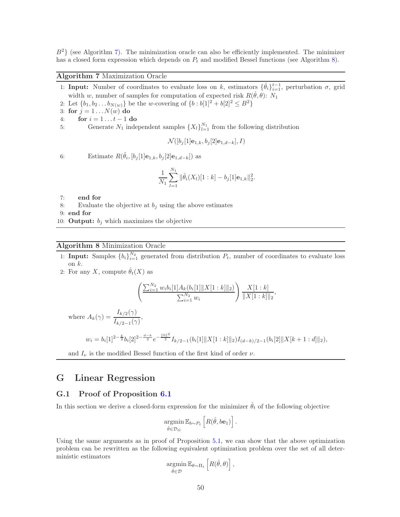$B<sup>2</sup>$  (see Algorithm [7\)](#page-49-0). The minimization oracle can also be efficiently implemented. The minimizer has a closed form expression which depends on  $P_t$  and modified Bessel functions (see Algorithm [8\)](#page-49-1).

<span id="page-49-0"></span>Algorithm 7 Maximization Oracle

- 1: Input: Number of coordinates to evaluate loss on k, estimators  $\{\hat{\theta}_i\}_{i=1}^{t-1}$ , perturbation  $\sigma$ , grid width w, number of samples for computation of expected risk  $R(\hat{\theta}, \theta)$ : N<sub>1</sub>
- 2: Let  $\{b_1, b_2 \ldots b_{N(w)}\}$  be the w-covering of  $\{b : b[1]^2 + b[2]^2 \leq B^2\}$
- 3: for  $j = 1 \dots N(w)$  do
- 4: **for**  $i = 1...t-1$  **do**<br>5: **Generate**  $N_1$  inde
- 5: Generate  $N_1$  independent samples  $\{X_l\}_{l=1}^{N_1}$  from the following distribution

$$
\mathcal{N}([b_j[1]\mathbf{e}_{1,k},b_j[2]\mathbf{e}_{1,d-k}],I)
$$

6: Estimate  $R(\hat{\theta}_i, [b_j[1] \mathbf{e}_{1,k}, b_j[2] \mathbf{e}_{1,d-k}])$  as

$$
\frac{1}{N_1}\sum_{l=1}^{N_1} \|\hat{\theta}_i(X_l)[1:k]-b_j[1]\mathbf{e}_{1,k}\|_2^2.
$$

- 7: end for
- 8: Evaluate the objective at  $b_i$  using the above estimates
- 9: end for
- 10: **Output:**  $b_i$  which maximizes the objective

#### <span id="page-49-1"></span>Algorithm 8 Minimization Oracle

- 1: **Input:** Samples  ${b_i}_{i=1}^{N_2}$  generated from distribution  $P_t$ , number of coordinates to evaluate loss on  $k$ .
- 2: For any X, compute  $\hat{\theta}_t(X)$  as

$$
\left(\frac{\sum_{i=1}^{N_2} w_i b_i[1] A_k(b_i[1] \|X[1:k]\|_2)}{\sum_{i=1}^{N_2} w_i}\right) \frac{X[1:k]}{\|X[1:k]\|_2},
$$

where  $A_k(\gamma) = \frac{I_{k/2}(\gamma)}{I_{k/2-1}(\gamma)},$ 

$$
w_i = b_i[1]^{2-\frac{k}{2}}b_i[2]^{2-\frac{d-k}{2}}e^{-\frac{\|b\|^2}{2}}I_{k/2-1}(b_i[1]\|X[1:k]\|_2)I_{(d-k)/2-1}(b_i[2]\|X[k+1:d]\|_2),
$$

and  $I_{\nu}$  is the modified Bessel function of the first kind of order  $\nu$ .

## G Linear Regression

#### G.1 Proof of Proposition [6.1](#page-19-2)

In this section we derive a closed-form expression for the minimizer  $\hat{\theta}_t$  of the following objective

$$
\operatorname*{argmin}_{\hat{\theta}\in\mathcal{D}_G} \mathbb{E}_{b\sim P_t} \left[ R(\hat{\theta}, b\mathbf{e}_1) \right].
$$

Using the same arguments as in proof of Proposition [5.1,](#page-17-2) we can show that the above optimization problem can be rewritten as the following equivalent optimization problem over the set of all deterministic estimators

$$
\underset{\hat{\theta}\in\mathcal{D}}{\operatorname{argmin}}\,\mathbb{E}_{\theta\sim\Pi_t}\left[R(\hat{\theta},\theta)\right],
$$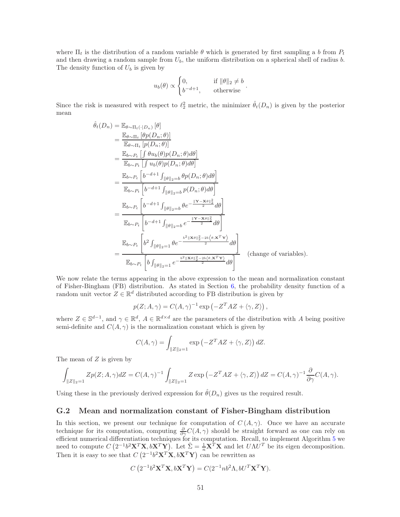where  $\Pi_t$  is the distribution of a random variable  $\theta$  which is generated by first sampling a b from  $P_t$ and then drawing a random sample from  $U_b$ , the uniform distribution on a spherical shell of radius b. The density function of  $U_b$  is given by

$$
u_b(\theta) \propto \begin{cases} 0, & \text{if } \|\theta\|_2 \neq b \\ b^{-d+1}, & \text{otherwise} \end{cases}.
$$

Since the risk is measured with respect to  $\ell_2^2$  metric, the minimizer  $\hat{\theta}_t(D_n)$  is given by the posterior mean

$$
\hat{\theta}_{t}(D_{n}) = \mathbb{E}_{\theta \sim \Pi_{t}}[\theta p(D_{n};\theta)]
$$
\n
$$
= \frac{\mathbb{E}_{\theta \sim \Pi_{t}}[\theta p(D_{n};\theta)]}{\mathbb{E}_{\theta \sim P_{t}}[\int \theta u_{b}(\theta) p(D_{n};\theta) d\theta]}
$$
\n
$$
= \frac{\mathbb{E}_{b \sim P_{t}}[\int u_{b}(\theta) p(D_{n};\theta) d\theta]}{\mathbb{E}_{b \sim P_{t}}[\int u_{b}(\theta) p(D_{n};\theta) d\theta]}
$$
\n
$$
= \frac{\mathbb{E}_{b \sim P_{t}}[b^{-d+1} \int_{\|\theta\|_{2}=b} \theta p(D_{n};\theta) d\theta]}{\mathbb{E}_{b \sim P_{t}}[b^{-d+1} \int_{\|\theta\|_{2}=b} p(D_{n};\theta) d\theta]}
$$
\n
$$
= \frac{\mathbb{E}_{b \sim P_{t}}[b^{-d+1} \int_{\|\theta\|_{2}=b} \theta e^{-\frac{\|\mathbf{Y}-\mathbf{X}\theta\|_{2}^{2}}{2}} d\theta]}{\mathbb{E}_{b \sim P_{t}}[b^{-d+1} \int_{\|\theta\|_{2}=b} e^{-\frac{\|\mathbf{Y}-\mathbf{X}\theta\|_{2}^{2}}{2}} d\theta]}
$$
\n
$$
= \frac{\mathbb{E}_{b \sim P_{t}}[b^{2} \int_{\|\theta\|_{2}=1} \theta e^{-\frac{b^{2} \|\mathbf{X}\theta\|_{2}^{2}-2b\left\langle \theta, \mathbf{X}^{T}\mathbf{Y}\right\rangle}{2}} d\theta]}{\mathbb{E}_{b \sim P_{t}}[b^{2} \int_{\|\theta\|_{2}=1} e^{-\frac{b^{2} \|\mathbf{X}\theta\|_{2}^{2}-2b\left\langle \theta, \mathbf{X}^{T}\mathbf{Y}\right\rangle}{2}} d\theta]}
$$
\n(change of variables).

We now relate the terms appearing in the above expression to the mean and normalization constant of Fisher-Bingham (FB) distribution. As stated in Section [6,](#page-18-0) the probability density function of a random unit vector  $Z \in \mathbb{R}^d$  distributed according to FB distribution is given by

$$
p(Z; A, \gamma) = C(A, \gamma)^{-1} \exp(-Z^T A Z + \langle \gamma, Z \rangle),
$$

where  $Z \in \mathbb{S}^{d-1}$ , and  $\gamma \in \mathbb{R}^d$ ,  $A \in \mathbb{R}^{d \times d}$  are the parameters of the distribution with A being positive semi-definite and  $C(A, \gamma)$  is the normalization constant which is given by

$$
C(A, \gamma) = \int_{\|Z\|_2 = 1} \exp\left(-Z^T A Z + \langle \gamma, Z \rangle\right) dZ.
$$

The mean of  $Z$  is given by

$$
\int_{\|Z\|_2=1} Zp(Z;A,\gamma)dZ = C(A,\gamma)^{-1} \int_{\|Z\|_2=1} Z \exp\left(-Z^T AZ + \langle \gamma,Z\rangle\right) dZ = C(A,\gamma)^{-1} \frac{\partial}{\partial \gamma} C(A,\gamma).
$$

Using these in the previously derived expression for  $\hat{\theta}(D_n)$  gives us the required result.

### <span id="page-50-0"></span>G.2 Mean and normalization constant of Fisher-Bingham distribution

In this section, we present our technique for computation of  $C(A, \gamma)$ . Once we have an accurate technique for its computation, computing  $\frac{\partial}{\partial \gamma} C(A, \gamma)$  should be straight forward as one can rely on efficient numerical differentiation techniques for its computation. Recall, to implement Algorithm [5](#page-19-1) we need to compute  $C(2^{-1}b^2\mathbf{X}^T\mathbf{X}, b\mathbf{X}^T\mathbf{Y})$ . Let  $\hat{\Sigma} = \frac{1}{n}\mathbf{X}^T\mathbf{X}$  and let  $U\Lambda U^T$  be its eigen decomposition. Then it is easy to see that  $C(2^{-1}b^2\mathbf{X}^T\mathbf{X}, b\mathbf{X}^T\mathbf{Y})$  can be rewritten as

$$
C\left(2^{-1}b^2\mathbf{X}^T\mathbf{X}, b\mathbf{X}^T\mathbf{Y}\right) = C(2^{-1}nb^2\Lambda, bU^T\mathbf{X}^T\mathbf{Y}).
$$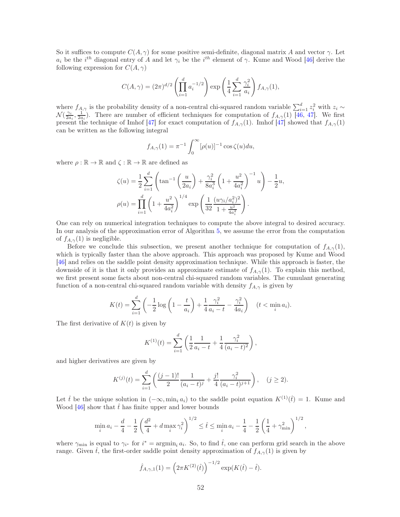So it suffices to compute  $C(A, \gamma)$  for some positive semi-definite, diagonal matrix A and vector  $\gamma$ . Let  $a_i$  be the i<sup>th</sup> diagonal entry of A and let  $\gamma_i$  be the i<sup>th</sup> element of  $\gamma$ . Kume and Wood [\[46\]](#page-30-10) derive the following expression for  $C(A, \gamma)$ 

$$
C(A, \gamma) = (2\pi)^{d/2} \left( \prod_{i=1}^{d} a_i^{-1/2} \right) \exp \left( \frac{1}{4} \sum_{i=1}^{d} \frac{\gamma_i^2}{a_i} \right) f_{A, \gamma}(1),
$$

where  $f_{A,\gamma}$  is the probability density of a non-central chi-squared random variable  $\sum_{i=1}^{d} z_i^2$  with  $z_i \sim$  $\mathcal{N}(\frac{\gamma_i}{2a_i}, \frac{1}{2a_i})$ . There are number of efficient techniques for computation of  $f_{A,\gamma}(1)$  [\[46,](#page-30-10) [47\]](#page-30-11). We first present the technique of Imhof [\[47\]](#page-30-11) for exact computation of  $f_{A,\gamma}(1)$ . Imhof [47] showed that  $f_{A,\gamma}(1)$ can be written as the following integral

$$
f_{A,\gamma}(1) = \pi^{-1} \int_0^\infty [\rho(u)]^{-1} \cos \zeta(u) du,
$$

where  $\rho : \mathbb{R} \to \mathbb{R}$  and  $\zeta : \mathbb{R} \to \mathbb{R}$  are defined as

$$
\zeta(u) = \frac{1}{2} \sum_{i=1}^{d} \left( \tan^{-1} \left( \frac{u}{2a_i} \right) + \frac{\gamma_i^2}{8a_i^3} \left( 1 + \frac{u^2}{4a_i^2} \right)^{-1} u \right) - \frac{1}{2} u,
$$
  

$$
\rho(u) = \prod_{i=1}^{d} \left( 1 + \frac{u^2}{4a_i^2} \right)^{1/4} \exp \left( \frac{1}{32} \frac{(u\gamma_i/a_i^2)^2}{1 + \frac{u^2}{4a_i^2}} \right).
$$

One can rely on numerical integration techniques to compute the above integral to desired accuracy. In our analysis of the approximation error of Algorithm [5,](#page-19-1) we assume the error from the computation of  $f_{A,\gamma}(1)$  is negligible.

Before we conclude this subsection, we present another technique for computation of  $f_{A,\gamma}(1)$ , which is typically faster than the above approach. This approach was proposed by Kume and Wood [\[46\]](#page-30-10) and relies on the saddle point density approximation technique. While this approach is faster, the downside of it is that it only provides an approximate estimate of  $f_{A,\gamma}(1)$ . To explain this method, we first present some facts about non-central chi-squared random variables. The cumulant generating function of a non-central chi-squared random variable with density  $f_{A,\gamma}$  is given by

$$
K(t) = \sum_{i=1}^{d} \left( -\frac{1}{2} \log \left( 1 - \frac{t}{a_i} \right) + \frac{1}{4} \frac{\gamma_i^2}{a_i - t} - \frac{\gamma_i^2}{4a_i} \right) \quad (t < \min_i a_i).
$$

The first derivative of  $K(t)$  is given by

$$
K^{(1)}(t) = \sum_{i=1}^{d} \left( \frac{1}{2} \frac{1}{a_i - t} + \frac{1}{4} \frac{\gamma_i^2}{(a_i - t)^2} \right),
$$

and higher derivatives are given by

$$
K^{(j)}(t) = \sum_{i=1}^{d} \left( \frac{(j-1)!}{2} \frac{1}{(a_i - t)^j} + \frac{j!}{4} \frac{\gamma_i^2}{(a_i - t)^{j+1}} \right), \quad (j \ge 2).
$$

Let the unique solution in  $(-\infty, \min_i a_i)$  to the saddle point equation  $K^{(1)}(\hat{t}) = 1$ . Kume and Wood [\[46\]](#page-30-10) show that  $\hat{t}$  has finite upper and lower bounds

$$
\min_i a_i - \frac{d}{4} - \frac{1}{2} \left( \frac{d^2}{4} + d \max_i \gamma_i^2 \right)^{1/2} \leq \hat{t} \leq \min_i a_i - \frac{1}{4} - \frac{1}{2} \left( \frac{1}{4} + \gamma_{\min}^2 \right)^{1/2},
$$

where  $\gamma_{\min}$  is equal to  $\gamma_{i^*}$  for  $i^* = \operatorname{argmin}_i a_i$ . So, to find  $\hat{t}$ , one can perform grid search in the above range. Given  $\hat{t}$ , the first-order saddle point density approximation of  $f_{A,\gamma}(1)$  is given by

$$
\hat{f}_{A,\gamma,1}(1) = \left(2\pi K^{(2)}(\hat{t})\right)^{-1/2} \exp(K(\hat{t}) - \hat{t}).
$$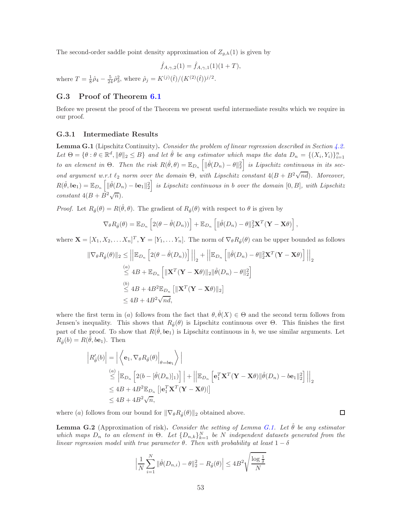The second-order saddle point density approximation of  $Z_{g,h}(1)$  is given by

$$
\hat{f}_{A,\gamma,2}(1) = \hat{f}_{A,\gamma,1}(1)(1+T),
$$

where  $T = \frac{1}{8}\hat{\rho}_4 - \frac{5}{24}\hat{\rho}_3^2$ , where  $\hat{\rho}_j = K^{(j)}(\hat{t})/(K^{(2)}(\hat{t}))^{j/2}$ .

### G.3 Proof of Theorem [6.1](#page-19-3)

Before we present the proof of the Theorem we present useful intermediate results which we require in our proof.

#### G.3.1 Intermediate Results

<span id="page-52-0"></span>Lemma G.1 (Lipschitz Continuity). Consider the problem of linear regression described in Section [4.2.](#page-15-1) Let  $\Theta = \{\theta : \theta \in \mathbb{R}^d, \|\theta\|_2 \leq B\}$  and let  $\hat{\theta}$  be any estimator which maps the data  $D_n = \{(X_i, Y_i)\}_{i=1}^n$ to an element in  $\Theta$ . Then the risk  $R(\hat{\theta}, \theta) = \mathbb{E}_{D_n} \left[ \| \hat{\theta}(D_n) - \theta \|_2^2 \right]$  is Lipschitz continuous in its second argument w.r.t  $\ell_2$  norm over the domain  $\Theta$ , with Lipschitz constant  $4(B + B^2\sqrt{nd})$ . Moreover,  $R(\hat{\theta}, b\mathbf{e}_1) = \mathbb{E}_{D_n} \left[ \|\hat{\theta}(D_n) - b\mathbf{e}_1\|_2^2 \right]$  is Lipschitz continuous in b over the domain  $[0, B]$ , with Lipschitz constant  $4(B + \overrightarrow{B^2}\sqrt{n}).$ 

*Proof.* Let  $R_{\hat{\theta}}(\theta) = R(\hat{\theta}, \theta)$ . The gradient of  $R_{\hat{\theta}}(\theta)$  with respect to  $\theta$  is given by

$$
\nabla_{\theta} R_{\hat{\theta}}(\theta) = \mathbb{E}_{D_n} \left[ 2(\theta - \hat{\theta}(D_n)) \right] + \mathbb{E}_{D_n} \left[ \| \hat{\theta}(D_n) - \theta \|_2^2 \mathbf{X}^T (\mathbf{Y} - \mathbf{X} \theta) \right],
$$

where  $\mathbf{X} = [X_1, X_2, \dots, X_n]^T$ ,  $\mathbf{Y} = [Y_1, \dots, Y_n]$ . The norm of  $\nabla_{\theta} R_{\hat{\theta}}(\theta)$  can be upper bounded as follows

$$
\|\nabla_{\theta}R_{\hat{\theta}}(\theta)\|_{2} \leq \left\|\mathbb{E}_{D_{n}}\left[2(\theta - \hat{\theta}(D_{n}))\right]\right\|_{2} + \left\|\mathbb{E}_{D_{n}}\left[\|\hat{\theta}(D_{n}) - \theta\|_{2}^{2}\mathbf{X}^{T}(\mathbf{Y} - \mathbf{X}\theta)\right]\right\|_{2}
$$
  
\n
$$
\leq 4B + \mathbb{E}_{D_{n}}\left[\|\mathbf{X}^{T}(\mathbf{Y} - \mathbf{X}\theta)\|_{2}\|\hat{\theta}(D_{n}) - \theta\|_{2}^{2}\right]
$$
  
\n
$$
\leq 4B + 4B^{2}\mathbb{E}_{D_{n}}\left[\|\mathbf{X}^{T}(\mathbf{Y} - \mathbf{X}\theta)\|_{2}\right]
$$
  
\n
$$
\leq 4B + 4B^{2}\sqrt{nd},
$$

where the first term in (a) follows from the fact that  $\theta$ ,  $\hat{\theta}(X) \in \Theta$  and the second term follows from Jensen's inequality. This shows that  $R_{\hat{\theta}}(\theta)$  is Lipschitz continuous over  $\Theta$ . This finishes the first part of the proof. To show that  $R(\hat{\theta}, b\mathbf{e}_1)$  is Lipschitz continuous in b, we use similar arguments. Let  $R_{\hat{\theta}}(b) = R(\hat{\theta}, b\mathbf{e}_1)$ . Then

$$
\begin{aligned}\n\left| R_{\hat{\theta}}'(b) \right| &= \left| \left\langle \mathbf{e}_1, \nabla_{\theta} R_{\hat{\theta}}(\theta) \right|_{\theta=b\mathbf{e}_1} \right\rangle \\
&\stackrel{(a)}{\leq} \left| \mathbb{E}_{D_n} \left[ 2(b - [\hat{\theta}(D_n)]_1) \right] \right| + \left| \left| \mathbb{E}_{D_n} \left[ \mathbf{e}_1^T \mathbf{X}^T (\mathbf{Y} - \mathbf{X}\theta) \right| \hat{\theta}(D_n) - b\mathbf{e}_1 \right\|_2^2 \right] \right|_2 \\
&\leq 4B + 4B^2 \mathbb{E}_{D_n} \left[ \left| \mathbf{e}_1^T \mathbf{X}^T (\mathbf{Y} - \mathbf{X}\theta) \right| \right] \\
&\leq 4B + 4B^2 \sqrt{n},\n\end{aligned}
$$

where (a) follows from our bound for  $\|\nabla_{\theta}R_{\hat{\theta}}(\theta)\|_2$  obtained above.

<span id="page-52-1"></span>**Lemma G.2** (Approximation of risk). Consider the setting of Lemma [G.1.](#page-52-0) Let  $\hat{\theta}$  be any estimator which maps  $D_n$  to an element in  $\Theta$ . Let  $\{D_{n,k}\}_{k=1}^N$  be N independent datasets generated from the linear regression model with true parameter  $\theta$ . Then with probability at least  $1 - \delta$ 

 $\Box$ 

$$
\left| \frac{1}{N} \sum_{i=1}^{N} \|\hat{\theta}(D_{n,i}) - \theta\|_{2}^{2} - R_{\hat{\theta}}(\theta) \right| \le 4B^{2} \sqrt{\frac{\log \frac{1}{\delta}}{N}}
$$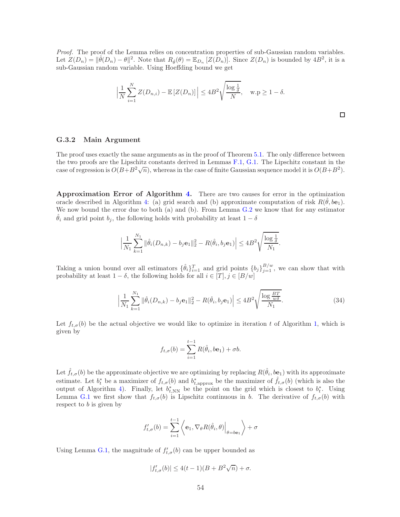Proof. The proof of the Lemma relies on concentration properties of sub-Gaussian random variables. Let  $Z(D_n) = \|\hat{\theta}(D_n) - \theta\|^2$ . Note that  $R_{\hat{\theta}}(\theta) = \mathbb{E}_{D_n}[Z(D_n)]$ . Since  $Z(D_n)$  is bounded by  $4B^2$ , it is a sub-Gaussian random variable. Using Hoeffding bound we get

$$
\left|\frac{1}{N}\sum_{i=1}^{N}Z(D_{n,i})-\mathbb{E}\left[Z(D_n)\right]\right|\leq 4B^2\sqrt{\frac{\log{\frac{1}{\delta}}}{N}}, \quad \text{w.p}\geq 1-\delta.
$$

 $\Box$ 

### G.3.2 Main Argument

The proof uses exactly the same arguments as in the proof of Theorem [5.1.](#page-17-3) The only difference between the two proofs are the Lipschitz constants derived in Lemmas [F.1,](#page-44-0) [G.1.](#page-52-0) The Lipschitz constant in the case of regression is  $O(B+B^2\sqrt{n})$ , whereas in the case of finite Gaussian sequence model it is  $O(B+B^2)$ .

Approximation Error of Algorithm [4.](#page-19-0) There are two causes for error in the optimization oracle described in Algorithm [4:](#page-19-0) (a) grid search and (b) approximate computation of risk  $R(\hat{\theta}, b\mathbf{e}_1)$ . We now bound the error due to both (a) and (b). From Lemma [G.2](#page-52-1) we know that for any estimator  $\hat{\theta}_i$  and grid point  $b_j$ , the following holds with probability at least  $1 - \delta$ 

$$
\Big| \frac{1}{N_1} \sum_{k=1}^{N_1} \| \hat{\theta}_i(D_{n,k}) - b_j \mathbf{e}_1 \|_2^2 - R(\hat{\theta}_i, b_j \mathbf{e}_1) \Big| \leq 4 B^2 \sqrt{\frac{\log \frac{1}{\delta}}{N_1}}.
$$

Taking a union bound over all estimators  $\{\hat{\theta}_i\}_{i=1}^T$  and grid points  $\{b_j\}_{j=1}^{B/w}$ , we can show that with probability at least  $1 - \delta$ , the following holds for all  $i \in [T], j \in [B/w]$ 

$$
\left|\frac{1}{N_1}\sum_{k=1}^{N_1} \|\hat{\theta}_i(D_{n,k}) - b_j \mathbf{e}_1\|_2^2 - R(\hat{\theta}_i, b_j \mathbf{e}_1)\right| \le 4B^2 \sqrt{\frac{\log \frac{BT}{w\delta}}{N_1}}.
$$
\n(34)

Let  $f_{t,\sigma}(b)$  be the actual objective we would like to optimize in iteration t of Algorithm [1,](#page-10-0) which is given by

<span id="page-53-0"></span>
$$
f_{t,\sigma}(b) = \sum_{i=1}^{t-1} R(\hat{\theta}_i, b\mathbf{e}_1) + \sigma b.
$$

Let  $\hat{f}_{t,\sigma}(b)$  be the approximate objective we are optimizing by replacing  $R(\hat{\theta}_i,b\mathbf{e}_1)$  with its approximate estimate. Let  $b_t^*$  be a maximizer of  $f_{t,\sigma}(b)$  and  $b_{t,\text{approx}}^*$  be the maximizer of  $\hat{f}_{t,\sigma}(b)$  (which is also the output of Algorithm [4\)](#page-19-0). Finally, let  $b_{t,NN}^*$  be the point on the grid which is closest to  $b_t^*$ . Using Lemma [G.1](#page-52-0) we first show that  $f_{t,\sigma}(b)$  is Lipschitz continuous in b. The derivative of  $f_{t,\sigma}(b)$  with respect to  $b$  is given by

$$
f'_{t,\sigma}(b) = \sum_{i=1}^{t-1} \left\langle \mathbf{e}_1, \nabla_{\theta} R(\hat{\theta}_i, \theta) \Big|_{\theta = b\mathbf{e}_1} \right\rangle + \sigma
$$

Using Lemma [G.1,](#page-52-0) the magnitude of  $f'_{t,\sigma}(b)$  can be upper bounded as

$$
|f'_{t,\sigma}(b)| \le 4(t-1)(B+B^2\sqrt{n}) + \sigma.
$$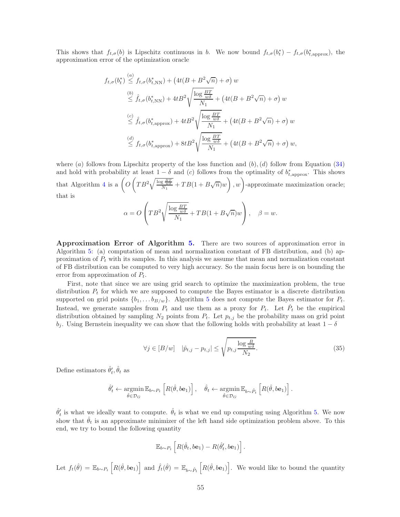This shows that  $f_{t,\sigma}(b)$  is Lipschitz continuous in b. We now bound  $f_{t,\sigma}(b_t^*) - f_{t,\sigma}(b_{t,\text{approx}}^*)$ , the approximation error of the optimization oracle

$$
f_{t,\sigma}(b_t^*) \stackrel{(a)}{\leq} f_{t,\sigma}(b_{t,\text{NN}}^*) + \left(4t(B + B^2\sqrt{n}) + \sigma\right)w
$$
  
\n
$$
\stackrel{(b)}{\leq} \hat{f}_{t,\sigma}(b_{t,\text{NN}}^*) + 4tB^2\sqrt{\frac{\log\frac{BT}{w\delta}}{N_1}} + \left(4t(B + B^2\sqrt{n}) + \sigma\right)w
$$
  
\n
$$
\stackrel{(c)}{\leq} \hat{f}_{t,\sigma}(b_{t,\text{approx}}^*) + 4tB^2\sqrt{\frac{\log\frac{BT}{w\delta}}{N_1}} + \left(4t(B + B^2\sqrt{n}) + \sigma\right)w
$$
  
\n
$$
\stackrel{(d)}{\leq} f_{t,\sigma}(b_{t,\text{approx}}^*) + 8tB^2\sqrt{\frac{\log\frac{BT}{w\delta}}{N_1}} + \left(4t(B + B^2\sqrt{n}) + \sigma\right)w,
$$

where (a) follows from Lipschitz property of the loss function and  $(b)$ , (d) follow from Equation [\(34\)](#page-53-0) and hold with probability at least  $1 - \delta$  and (c) follows from the optimality of  $b^*_{t,approx}$ . This shows that Algorithm [4](#page-19-0) is a  $\left(O\left(TB^2\sqrt{\frac{\log \frac{BT}{wa}}{N_1}}+TB(1+B\sqrt{n})w\right), w\right)$ -approximate maximization oracle; that is

$$
\alpha = O\left(TB^2 \sqrt{\frac{\log \frac{BT}{w\delta}}{N_1}} + TB(1 + B\sqrt{n})w\right), \quad \beta = w.
$$

Approximation Error of Algorithm [5.](#page-19-1) There are two sources of approximation error in Algorithm [5:](#page-19-1) (a) computation of mean and normalization constant of FB distribution, and (b) approximation of  $P_t$  with its samples. In this analysis we assume that mean and normalization constant of FB distribution can be computed to very high accuracy. So the main focus here is on bounding the error from approximation of  $P_t$ .

First, note that since we are using grid search to optimize the maximization problem, the true distribution  $P_t$  for which we are supposed to compute the Bayes estimator is a discrete distribution supported on grid points  $\{b_1, \ldots, b_{B/w}\}$ . Algorithm [5](#page-19-1) does not compute the Bayes estimator for  $P_t$ . Instead, we generate samples from  $P_t$  and use them as a proxy for  $P_t$ . Let  $\hat{P}_t$  be the empirical distribution obtained by sampling  $N_2$  points from  $P_t$ . Let  $p_{t,j}$  be the probability mass on grid point  $b_i$ . Using Bernstein inequality we can show that the following holds with probability at least  $1 - \delta$ 

<span id="page-54-0"></span>
$$
\forall j \in [B/w] \quad |\hat{p}_{t,j} - p_{t,j}| \le \sqrt{p_{t,j} \frac{\log \frac{B}{w\delta}}{N_2}}.\tag{35}
$$

Define estimators  $\hat{\theta}'_t$ ,  $\hat{\theta}_t$  as

$$
\hat{\theta}'_t \leftarrow \underset{\hat{\theta} \in \mathcal{D}_G}{\operatorname{argmin}} \mathbb{E}_{b \sim P_t} \left[ R(\hat{\theta}, b\mathbf{e}_1) \right], \quad \hat{\theta}_t \leftarrow \underset{\hat{\theta} \in \mathcal{D}_G}{\operatorname{argmin}} \mathbb{E}_{b \sim \hat{P}_t} \left[ R(\hat{\theta}, b\mathbf{e}_1) \right].
$$

 $\hat{\theta}'_t$  is what we ideally want to compute.  $\hat{\theta}_t$  is what we end up computing using Algorithm [5.](#page-19-1) We now show that  $\hat{\theta}_t$  is an approximate minimizer of the left hand side optimization problem above. To this end, we try to bound the following quantity

$$
\mathbb{E}_{b\sim P_t}\left[ R(\hat{\theta}_t, b\mathbf{e}_1) - R(\hat{\theta}'_t, b\mathbf{e}_1) \right].
$$

Let  $f_t(\hat{\theta}) = \mathbb{E}_{b \sim P_t} \left[ R(\hat{\theta}, b e_1) \right]$  and  $\hat{f}_t(\hat{\theta}) = \mathbb{E}_{b \sim \hat{P}_t} \left[ R(\hat{\theta}, b e_1) \right]$ . We would like to bound the quantity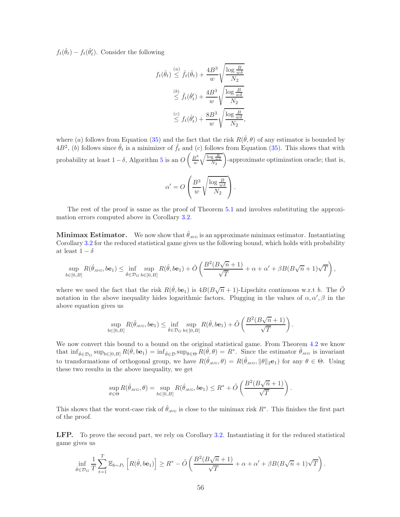$f_t(\hat{\theta}_t) - f_t(\hat{\theta}'_t)$ . Consider the following

$$
f_t(\hat{\theta}_t) \stackrel{(a)}{\leq} \hat{f}_t(\hat{\theta}_t) + \frac{4B^3}{w} \sqrt{\frac{\log \frac{B}{w\delta}}{N_2}}
$$
  

$$
\stackrel{(b)}{\leq} \hat{f}_t(\hat{\theta}'_t) + \frac{4B^3}{w} \sqrt{\frac{\log \frac{B}{w\delta}}{N_2}}
$$
  

$$
\stackrel{(c)}{\leq} f_t(\hat{\theta}'_t) + \frac{8B^3}{w} \sqrt{\frac{\log \frac{B}{w\delta}}{N_2}},
$$

where (a) follows from Equation [\(35\)](#page-54-0) and the fact that the risk  $R(\hat{\theta}, \theta)$  of any estimator is bounded by  $4B^2$ , (b) follows since  $\hat{\theta}_t$  is a minimizer of  $\hat{f}_t$  and (c) follows from Equation [\(35\)](#page-54-0). This shows that with probability at least  $1-\delta$ , Algorithm [5](#page-19-1) is an  $O\left(\frac{B^3}{w}\sqrt{\frac{\log \frac{B}{w\delta}}{N_2}}\right)$ -approximate optimization oracle; that is,

$$
\alpha' = O\left(\frac{B^3}{w} \sqrt{\frac{\log \frac{B}{w\delta}}{N_2}}\right).
$$

The rest of the proof is same as the proof of Theorem [5.1](#page-17-3) and involves substituting the approximation errors computed above in Corollary [3.2.](#page-11-0)

**Minimax Estimator.** We now show that  $\hat{\theta}_{AVG}$  is an approximate minimax estimator. Instantiating Corollary [3.2](#page-11-0) for the reduced statistical game gives us the following bound, which holds with probability at least  $1 - \delta$ 

$$
\sup_{b\in[0,B]} R(\hat{\theta}_{A\vee G},b\mathbf{e}_1) \le \inf_{\hat{\theta}\in\mathcal{D}_G} \sup_{b\in[0,B]} R(\hat{\theta},b\mathbf{e}_1) + \tilde{O}\left(\frac{B^2(B\sqrt{n}+1)}{\sqrt{T}} + \alpha + \alpha' + \beta B(B\sqrt{n}+1)\sqrt{T}\right),
$$

where we used the fact that the risk  $R(\hat{\theta}, b\mathbf{e}_1)$  is  $4B(B\sqrt{n}+1)$ -Lipschitz continuous w.r.t b. The  $\tilde{O}$ notation in the above inequality hides logarithmic factors. Plugging in the values of  $\alpha, \alpha', \beta$  in the above equation gives us

$$
\sup_{b\in[0,B]} R(\hat{\theta}_{\text{AVG}}, b\mathbf{e}_1) \le \inf_{\hat{\theta}\in\mathcal{D}_G} \sup_{b\in[0,B]} R(\hat{\theta}, b\mathbf{e}_1) + \tilde{O}\left(\frac{B^2(B\sqrt{n}+1)}{\sqrt{T}}\right).
$$

We now convert this bound to a bound on the original statistical game. From Theorem [4.2](#page-14-0) we know that  $\inf_{\hat{\theta} \in \mathcal{D}_G} \sup_{b \in [0, B]} R(\hat{\theta}, b e_1) = \inf_{\hat{\theta} \in \mathcal{D}} \sup_{\theta \in \Theta} R(\hat{\theta}, \theta) = R^*$ . Since the estimator  $\hat{\theta}_{A \vee G}$  is invariant to transformations of orthogonal group, we have  $R(\hat{\theta}_{AVG}, \theta) = R(\hat{\theta}_{AVG}, \|\theta\|_2, \mathbf{e}_1)$  for any  $\theta \in \Theta$ . Using these two results in the above inequality, we get

$$
\sup_{\theta \in \Theta} R(\hat{\theta}_{\text{AVG}}, \theta) = \sup_{b \in [0, B]} R(\hat{\theta}_{\text{AVG}}, b\mathbf{e}_1) \leq R^* + \tilde{O}\left(\frac{B^2(B\sqrt{n}+1)}{\sqrt{T}}\right).
$$

This shows that the worst-case risk of  $\hat{\theta}_{AVG}$  is close to the minimax risk  $R^*$ . This finishes the first part of the proof.

LFP. To prove the second part, we rely on Corollary [3.2.](#page-11-0) Instantiating it for the reduced statistical game gives us

$$
\inf_{\hat{\theta}\in\mathcal{D}_G}\frac{1}{T}\sum_{t=1}^T\mathbb{E}_{b\sim P_t}\left[R(\hat{\theta},b\mathbf{e}_1)\right]\geq R^*-\tilde{O}\left(\frac{B^2(B\sqrt{n}+1)}{\sqrt{T}}+\alpha+\alpha'+\beta B(B\sqrt{n}+1)\sqrt{T}\right).
$$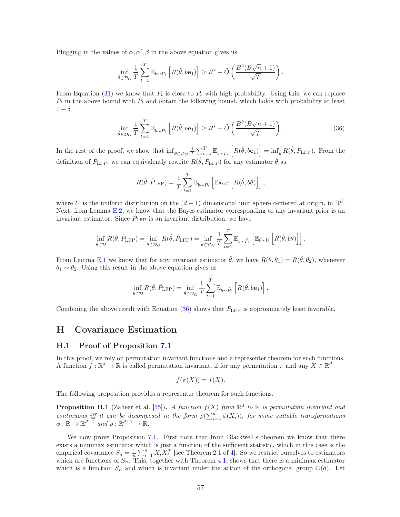Plugging in the values of  $\alpha, \alpha', \beta$  in the above equation gives us

$$
\inf_{\hat{\theta}\in\mathcal{D}_G}\frac{1}{T}\sum_{t=1}^T\mathbb{E}_{b\sim P_t}\left[R(\hat{\theta},b\mathbf{e}_1)\right]\geq R^*-\tilde{O}\left(\frac{B^2(B\sqrt{n}+1)}{\sqrt{T}}\right).
$$

From Equation [\(31\)](#page-46-0) we know that  $P_t$  is close to  $\hat{P}_t$  with high probability. Using this, we can replace  $P_t$  in the above bound with  $\hat{P}_t$  and obtain the following bound, which holds with probability at least  $1-\delta$ 

$$
\inf_{\hat{\theta}\in\mathcal{D}_G} \frac{1}{T} \sum_{t=1}^T \mathbb{E}_{b\sim\hat{P}_t} \left[ R(\hat{\theta}, b\mathbf{e}_1) \right] \ge R^* - \tilde{O}\left(\frac{B^2(B\sqrt{n}+1)}{\sqrt{T}}\right). \tag{36}
$$

In the rest of the proof, we show that  $\inf_{\hat{\theta} \in \mathcal{D}_G} \frac{1}{T} \sum_{t=1}^T \mathbb{E}_{b \sim \hat{P}_t} \left[ R(\hat{\theta}, b e_1) \right] = \inf_{\hat{\theta}} R(\hat{\theta}, \hat{P}_{\text{LFP}})$ . From the definition of  $\hat{P}_{\text{LFP}}$ , we can equivalently rewrite  $R(\hat{\theta}, \hat{P}_{\text{LFP}})$  for any estimator  $\hat{\theta}$  as

<span id="page-56-0"></span>
$$
R(\hat{\theta}, \hat{P}_{\text{LFP}}) = \frac{1}{T} \sum_{t=1}^{T} \mathbb{E}_{b \sim \hat{P}_t} \left[ \mathbb{E}_{\theta \sim U} \left[ R(\hat{\theta}, b\theta) \right] \right],
$$

where U is the uniform distribution on the  $(d-1)$  dimensional unit sphere centered at origin, in  $\mathbb{R}^d$ . Next, from Lemma [E.2,](#page-38-0) we know that the Bayes estimator corresponding to any invariant prior is an invariant estimator. Since  $\hat{P}_{\text{LFP}}$  is an invariant distribution, we have

$$
\inf_{\hat{\theta}\in\mathcal{D}} R(\hat{\theta}, \hat{P}_{\text{LFP}}) = \inf_{\hat{\theta}\in\mathcal{D}_G} R(\hat{\theta}, \hat{P}_{\text{LFP}}) = \inf_{\hat{\theta}\in\mathcal{D}_G} \frac{1}{T} \sum_{t=1}^T \mathbb{E}_{b\sim\hat{P}_t} \left[ \mathbb{E}_{\theta\sim U} \left[ R(\hat{\theta}, b\theta) \right] \right].
$$

From Lemma [E.1](#page-37-0) we know that for any invariant estimator  $\hat{\theta}$ , we have  $R(\hat{\theta}, \theta_1) = R(\hat{\theta}, \theta_2)$ , whenever  $\theta_1 \sim \theta_2$ . Using this result in the above equation gives us

$$
\inf_{\hat{\theta}\in\mathcal{D}} R(\hat{\theta}, \hat{P}_{\text{LFP}}) = \inf_{\hat{\theta}\in\mathcal{D}_G} \frac{1}{T} \sum_{t=1}^T \mathbb{E}_{b\sim\hat{P}_t} \left[ R(\hat{\theta}, b\mathbf{e}_1) \right].
$$

Combining the above result with Equation [\(36\)](#page-56-0) shows that  $\hat{P}_{\text{LFP}}$  is approximately least favorable.

## H Covariance Estimation

#### H.1 Proof of Proposition [7.1](#page-20-0)

In this proof, we rely on permutation invariant functions and a representer theorem for such functions. A function  $f : \mathbb{R}^d \to \mathbb{R}$  is called permutation invariant, if for any permutation  $\pi$  and any  $X \in \mathbb{R}^d$ 

$$
f(\pi(X)) = f(X).
$$

The following proposition provides a representer theorem for such functions.

<span id="page-56-1"></span>**Proposition H.1** (Zaheer et al. [\[55](#page-30-19)]). A function  $f(X)$  from  $\mathbb{R}^d$  to  $\mathbb{R}$  is permutation invariant and continuous iff it can be decomposed in the form  $\rho(\sum_{i=1}^d \phi(X_i))$ , for some suitable transformations  $\phi: \mathbb{R} \to \mathbb{R}^{d+1}$  and  $\rho: \mathbb{R}^{d+1} \to \mathbb{R}$ .

We now prove Proposition [7.1.](#page-20-0) First note that from Blackwell's theorem we know that there exists a minimax estimator which is just a function of the sufficient statistic, which in this case is the empirical covariance  $S_n = \frac{1}{n} \sum_{i=1}^n X_i X_i^T$  [see Theorem 2.1 of [4\]](#page-28-3). So we restrict ourselves to estimators which are functions of  $S_n$ . This, together with Theorem [4.1,](#page-13-1) shows that there is a minimax estimator which is a function  $S_n$  and which is invariant under the action of the orthogonal group  $\mathbb{O}(d)$ . Let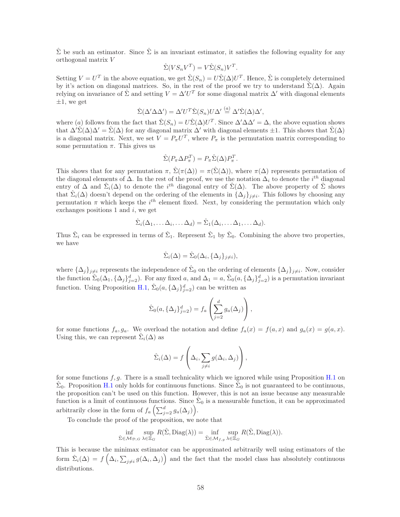$\hat{\Sigma}$  be such an estimator. Since  $\hat{\Sigma}$  is an invariant estimator, it satisfies the following equality for any orthogonal matrix V

$$
\hat{\Sigma}(VS_nV^T) = V\hat{\Sigma}(S_n)V^T.
$$

Setting  $V = U^T$  in the above equation, we get  $\hat{\Sigma}(S_n) = U\hat{\Sigma}(\Delta)U^T$ . Hence,  $\hat{\Sigma}$  is completely determined by it's action on diagonal matrices. So, in the rest of the proof we try to understand  $\hat{\Sigma}(\Delta)$ . Again relying on invariance of  $\hat{\Sigma}$  and setting  $V = \Delta' U^T$  for some diagonal matrix  $\Delta'$  with diagonal elements  $\pm 1$ , we get

$$
\hat{\Sigma}(\Delta' \Delta \Delta') = \Delta' U^T \hat{\Sigma}(S_n) U \Delta' \stackrel{(a)}{=} \Delta' \hat{\Sigma}(\Delta) \Delta',
$$

where (a) follows from the fact that  $\hat{\Sigma}(S_n) = U\hat{\Sigma}(\Delta)U^T$ . Since  $\Delta' \Delta \Delta' = \Delta$ , the above equation shows that  $\Delta' \hat{\Sigma}(\Delta) \Delta' = \hat{\Sigma}(\Delta)$  for any diagonal matrix  $\Delta'$  with diagonal elements  $\pm 1$ . This shows that  $\hat{\Sigma}(\Delta)$ is a diagonal matrix. Next, we set  $V = P_{\pi} U^{T}$ , where  $P_{\pi}$  is the permutation matrix corresponding to some permutation  $\pi$ . This gives us

$$
\hat{\Sigma}(P_{\pi} \Delta P_{\pi}^{T}) = P_{\pi} \hat{\Sigma}(\Delta) P_{\pi}^{T}.
$$

This shows that for any permutation  $\pi$ ,  $\hat{\Sigma}(\pi(\Delta)) = \pi(\hat{\Sigma}(\Delta))$ , where  $\pi(\Delta)$  represents permutation of the diagonal elements of  $\Delta$ . In the rest of the proof, we use the notation  $\Delta_i$  to denote the  $i^{th}$  diagonal entry of  $\Delta$  and  $\hat{\Sigma}_i(\Delta)$  to denote the  $i^{th}$  diagonal entry of  $\hat{\Sigma}(\Delta)$ . The above property of  $\hat{\Sigma}$  shows that  $\hat{\Sigma}_i(\Delta)$  doesn't depend on the ordering of the elements in  $\{\Delta_j\}_{j\neq i}$ . This follows by choosing any permutation  $\pi$  which keeps the i<sup>th</sup> element fixed. Next, by considering the permutation which only exchanges positions 1 and  $i$ , we get

$$
\hat{\Sigma}_i(\Delta_1,\ldots,\Delta_i,\ldots,\Delta_d)=\hat{\Sigma}_1(\Delta_i,\ldots,\Delta_1,\ldots,\Delta_d).
$$

Thus  $\hat{\Sigma}_i$  can be expressed in terms of  $\hat{\Sigma}_1$ . Represent  $\hat{\Sigma}_1$  by  $\hat{\Sigma}_0$ . Combining the above two properties, we have

$$
\hat{\Sigma}_i(\Delta) = \hat{\Sigma}_0(\Delta_i, {\{\Delta_j\}_{j \neq i}}),
$$

where  $\{\Delta_j\}_{j\neq i}$  represents the independence of  $\hat{\Sigma}_0$  on the ordering of elements  $\{\Delta_j\}_{j\neq i}$ . Now, consider the function  $\hat{\Sigma}_0(\Delta_1, {\{\Delta_j\}}_{j=2}^d)$ . For any fixed a, and  $\Delta_1 = a, \hat{\Sigma}_0(a, {\{\Delta_j\}}_{j=2}^d)$  is a permutation invariant function. Using Proposition [H.1,](#page-56-1)  $\hat{\Sigma}_0(a, {\{\Delta_j\}}_{j=2}^d)$  can be written as

$$
\hat{\Sigma}_0(a,\{\Delta_j\}_{j=2}^d) = f_a\left(\sum_{j=2}^d g_a(\Delta_j)\right),
$$

for some functions  $f_a, g_a$ . We overload the notation and define  $f_a(x) = f(a, x)$  and  $g_a(x) = g(a, x)$ . Using this, we can represent  $\hat{\Sigma}_i(\Delta)$  as

$$
\hat{\Sigma}_i(\Delta) = f\left(\Delta_i, \sum_{j \neq i} g(\Delta_i, \Delta_j)\right),
$$

for some functions  $f, g$ . There is a small technicality which we ignored while using Proposition [H.1](#page-56-1) on  $\hat{\Sigma}_0$ . Proposition [H.1](#page-56-1) only holds for continuous functions. Since  $\hat{\Sigma}_0$  is not guaranteed to be continuous, the proposition can't be used on this function. However, this is not an issue because any measurable function is a limit of continuous functions. Since  $\hat{\Sigma}_0$  is a measurable function, it can be approximated arbitrarily close in the form of  $f_a\left(\sum_{j=2}^d g_a(\Delta_j)\right)$ .

To conclude the proof of the proposition, we note that

$$
\inf_{\hat{\Sigma}\in\mathcal{M}_{\mathcal{D},G}}\sup_{\lambda\in\Xi_G}R(\hat{\Sigma},\text{Diag}(\lambda))=\inf_{\hat{\Sigma}\in\mathcal{M}_{f,g}}\sup_{\lambda\in\Xi_G}R(\hat{\Sigma},\text{Diag}(\lambda)).
$$

This is because the minimax estimator can be approximated arbitrarily well using estimators of the form  $\hat{\Sigma}_i(\Delta) = f\left(\Delta_i, \sum_{j\neq i} g(\Delta_i, \Delta_j)\right)$  and the fact that the model class has absolutely continuous distributions.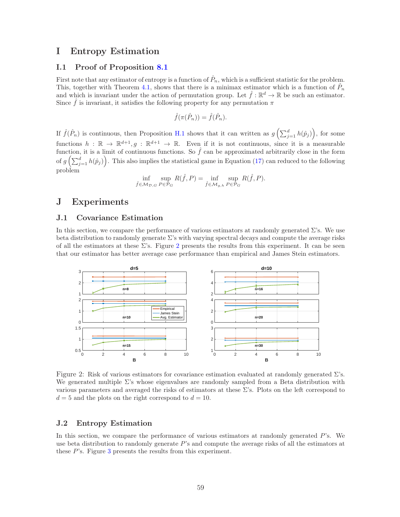## I Entropy Estimation

### <span id="page-58-0"></span>I.1 Proof of Proposition [8.1](#page-21-2)

First note that any estimator of entropy is a function of  $\hat{P}_n$ , which is a sufficient statistic for the problem. This, together with Theorem [4.1,](#page-13-1) shows that there is a minimax estimator which is a function of  $\hat{P}_n$ and which is invariant under the action of permutation group. Let  $\hat{f} : \mathbb{R}^d \to \mathbb{R}$  be such an estimator. Since  $\hat{f}$  is invariant, it satisfies the following property for any permutation  $\pi$ 

$$
\hat{f}(\pi(\hat{P}_n)) = \hat{f}(\hat{P}_n).
$$

If  $\hat{f}(\hat{P}_n)$  is continuous, then Proposition [H.1](#page-56-1) shows that it can written as  $g\left(\sum_{j=1}^d h(\hat{p}_j)\right)$ , for some functions  $h : \mathbb{R} \to \mathbb{R}^{d+1}, g : \mathbb{R}^{d+1} \to \mathbb{R}$ . Even if it is not continuous, since it is a measurable function, it is a limit of continuous functions. So  $\hat{f}$  can be approximated arbitrarily close in the form of  $g\left(\sum_{j=1}^d h(\hat{p}_j)\right)$ . This also implies the statistical game in Equation [\(17\)](#page-16-3) can reduced to the following problem

$$
\inf_{\hat{f}\in\mathcal{M}_{\mathcal{D},G}}\sup_{P\in\mathcal{P}_G}R(\hat{f},P)=\inf_{\hat{f}\in\mathcal{M}_{g,h}}\sup_{P\in\mathcal{P}_G}R(\hat{f},P).
$$

# <span id="page-58-1"></span>J Experiments

### J.1 Covariance Estimation

In this section, we compare the performance of various estimators at randomly generated  $\Sigma$ 's. We use beta distribution to randomly generate Σ's with varying spectral decays and compute the average risks of all the estimators at these  $\Sigma$ 's. Figure [2](#page-58-2) presents the results from this experiment. It can be seen that our estimator has better average case performance than empirical and James Stein estimators.



<span id="page-58-2"></span>Figure 2: Risk of various estimators for covariance estimation evaluated at randomly generated  $\Sigma$ 's. We generated multiple  $\Sigma$ 's whose eigenvalues are randomly sampled from a Beta distribution with various parameters and averaged the risks of estimators at these Σ's. Plots on the left correspond to  $d = 5$  and the plots on the right correspond to  $d = 10$ .

### J.2 Entropy Estimation

In this section, we compare the performance of various estimators at randomly generated  $P$ 's. We use beta distribution to randomly generate P's and compute the average risks of all the estimators at these P's. Figure [3](#page-59-0) presents the results from this experiment.